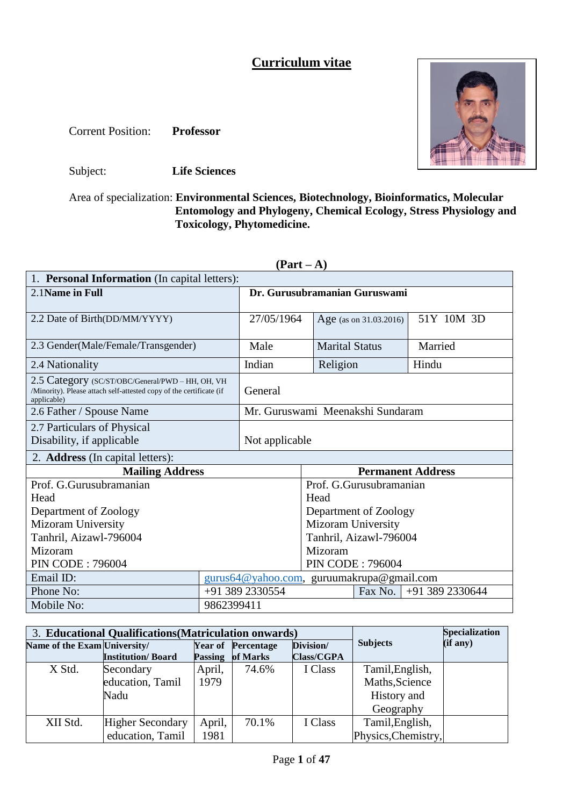# **Curriculum vitae**

Corrent Position: **Professor**



Subject: **Life Sciences**

Area of specialization: **Environmental Sciences, Biotechnology, Bioinformatics, Molecular**  *3 passport* Entomology and Phylogeny, Chemical Ecology, Stress Physiology and Phylogeny, Chemical Ecology, Stress Physiology and  **Toxicology, Phytomedicine.** *photograph*

| 1. Personal Information (In capital letters):                                                                                          |                                  |                                           |                        |                         |                          |  |
|----------------------------------------------------------------------------------------------------------------------------------------|----------------------------------|-------------------------------------------|------------------------|-------------------------|--------------------------|--|
| 2.1 Name in Full                                                                                                                       |                                  | Dr. Gurusubramanian Guruswami             |                        |                         |                          |  |
|                                                                                                                                        |                                  |                                           |                        |                         |                          |  |
| 2.2 Date of Birth(DD/MM/YYYY)                                                                                                          |                                  | 27/05/1964                                |                        | Age (as on 31.03.2016)  | 51Y 10M 3D               |  |
|                                                                                                                                        |                                  |                                           |                        |                         |                          |  |
| 2.3 Gender(Male/Female/Transgender)                                                                                                    |                                  | Male                                      | <b>Marital Status</b>  |                         | Married                  |  |
| 2.4 Nationality                                                                                                                        |                                  | Indian                                    | Religion               |                         | Hindu                    |  |
| 2.5 Category (SC/ST/OBC/General/PWD - HH, OH, VH<br>/Minority). Please attach self-attested copy of the certificate (if<br>applicable) |                                  | General                                   |                        |                         |                          |  |
| 2.6 Father / Spouse Name                                                                                                               | Mr. Guruswami Meenakshi Sundaram |                                           |                        |                         |                          |  |
| 2.7 Particulars of Physical                                                                                                            |                                  |                                           |                        |                         |                          |  |
| Disability, if applicable                                                                                                              |                                  | Not applicable                            |                        |                         |                          |  |
| 2. <b>Address</b> (In capital letters):                                                                                                |                                  |                                           |                        |                         |                          |  |
| <b>Mailing Address</b>                                                                                                                 |                                  |                                           |                        |                         | <b>Permanent Address</b> |  |
| Prof. G.Gurusubramanian                                                                                                                |                                  |                                           |                        | Prof. G.Gurusubramanian |                          |  |
| Head                                                                                                                                   |                                  |                                           | Head                   |                         |                          |  |
| Department of Zoology                                                                                                                  |                                  |                                           |                        | Department of Zoology   |                          |  |
| Mizoram University                                                                                                                     |                                  |                                           | Mizoram University     |                         |                          |  |
| Tanhril, Aizawl-796004                                                                                                                 |                                  |                                           | Tanhril, Aizawl-796004 |                         |                          |  |
| Mizoram                                                                                                                                |                                  | Mizoram                                   |                        |                         |                          |  |
| <b>PIN CODE: 796004</b>                                                                                                                | <b>PIN CODE: 796004</b>          |                                           |                        |                         |                          |  |
| Email ID:                                                                                                                              |                                  | gurus64@yahoo.com, guruumakrupa@gmail.com |                        |                         |                          |  |
| Phone No:                                                                                                                              |                                  | +91 389 2330554                           |                        | Fax No.                 | +91 389 2330644          |  |
| Mobile No:                                                                                                                             | 9862399411                       |                                           |                        |                         |                          |  |

| Ш<br>r<br>Я |  |
|-------------|--|
|-------------|--|

|                              | 3. Educational Qualifications (Matriculation onwards) |                | <b>Specialization</b>     |                   |                     |          |
|------------------------------|-------------------------------------------------------|----------------|---------------------------|-------------------|---------------------|----------|
| Name of the Exam University/ |                                                       |                | <b>Year of Percentage</b> | Division/         | <b>Subjects</b>     | (if any) |
|                              | <b>Institution/Board</b>                              | <b>Passing</b> | of Marks                  | <b>Class/CGPA</b> |                     |          |
| X Std.                       | Secondary                                             | April,         | 74.6%                     | I Class           | Tamil, English,     |          |
|                              | education, Tamil                                      | 1979           |                           |                   | Maths, Science      |          |
|                              | Nadu                                                  |                |                           |                   | History and         |          |
|                              |                                                       |                |                           |                   | Geography           |          |
| XII Std.                     | <b>Higher Secondary</b>                               | April,         | 70.1%                     | I Class           | Tamil, English,     |          |
|                              | education, Tamil                                      | 1981           |                           |                   | Physics, Chemistry, |          |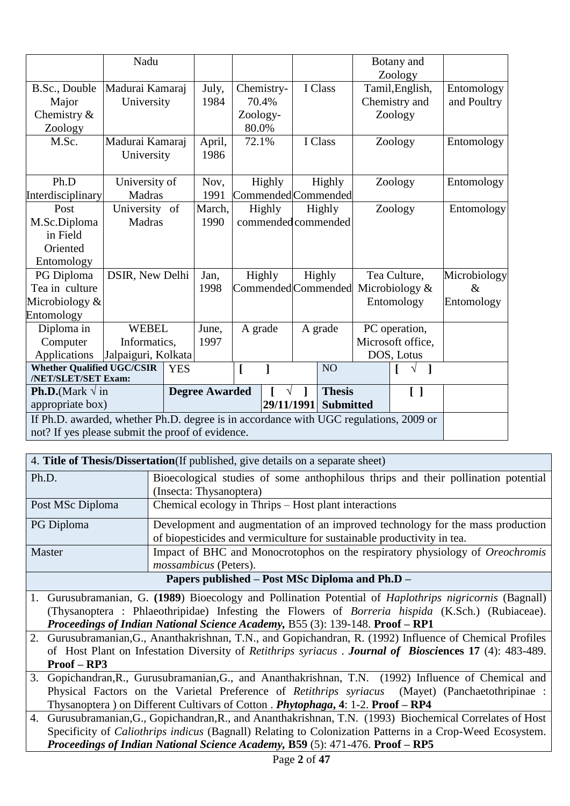|                                                                                       | Nadu                |            |                       |          |            |                     |                                    | Botany and<br>Zoology |              |
|---------------------------------------------------------------------------------------|---------------------|------------|-----------------------|----------|------------|---------------------|------------------------------------|-----------------------|--------------|
| B.Sc., Double                                                                         | Madurai Kamaraj     |            | July,                 |          | Chemistry- | I Class             |                                    | Tamil, English,       | Entomology   |
| Major                                                                                 | University          |            | 1984                  |          | 70.4%      |                     |                                    | Chemistry and         | and Poultry  |
| Chemistry &                                                                           |                     |            |                       | Zoology- |            |                     |                                    | Zoology               |              |
| Zoology                                                                               |                     |            |                       | 80.0%    |            |                     |                                    |                       |              |
| M.Sc.                                                                                 | Madurai Kamaraj     |            | April,                | 72.1%    |            | I Class             |                                    | Zoology               | Entomology   |
|                                                                                       | University          |            | 1986                  |          |            |                     |                                    |                       |              |
| Ph.D                                                                                  | University of       |            | Nov,                  |          | Highly     | Highly              |                                    | Zoology               | Entomology   |
| Interdisciplinary                                                                     | Madras              |            | 1991                  |          |            | Commended Commended |                                    |                       |              |
| Post                                                                                  | University of       |            | March,                |          | Highly     | Highly              |                                    | Zoology               | Entomology   |
| M.Sc.Diploma                                                                          | <b>Madras</b>       |            | 1990                  |          |            | commended commended |                                    |                       |              |
| in Field                                                                              |                     |            |                       |          |            |                     |                                    |                       |              |
| Oriented                                                                              |                     |            |                       |          |            |                     |                                    |                       |              |
| Entomology                                                                            |                     |            |                       |          |            |                     |                                    |                       |              |
| PG Diploma                                                                            | DSIR, New Delhi     |            | Jan,                  |          | Highly     | Highly              |                                    | Tea Culture,          | Microbiology |
| Tea in culture                                                                        |                     |            | 1998                  |          |            |                     | Commended Commended Microbiology & |                       | $\&$         |
| Microbiology &                                                                        |                     |            |                       |          |            |                     |                                    | Entomology            | Entomology   |
| Entomology                                                                            |                     |            |                       |          |            |                     |                                    |                       |              |
| Diploma in                                                                            | <b>WEBEL</b>        |            | June,                 | A grade  |            | A grade             |                                    | PC operation,         |              |
| Computer                                                                              | Informatics,        |            | 1997                  |          |            |                     | Microsoft office,                  |                       |              |
| Applications                                                                          | Jalpaiguri, Kolkata |            |                       |          |            |                     |                                    | DOS, Lotus            |              |
| <b>Whether Qualified UGC/CSIR</b><br>/NET/SLET/SET Exam:                              |                     | <b>YES</b> |                       | ſ        | 1          | NO <sub>1</sub>     |                                    |                       |              |
| <b>Ph.D.</b> (Mark $\sqrt{}$ in                                                       |                     |            | <b>Degree Awarded</b> |          |            | <b>Thesis</b>       |                                    | $\Box$                |              |
| appropriate box)                                                                      |                     |            |                       |          | 29/11/1991 | <b>Submitted</b>    |                                    |                       |              |
| If Ph.D. awarded, whether Ph.D. degree is in accordance with UGC regulations, 2009 or |                     |            |                       |          |            |                     |                                    |                       |              |
| not? If yes please submit the proof of evidence.                                      |                     |            |                       |          |            |                     |                                    |                       |              |

| 4. Title of Thesis/Dissertation(If published, give details on a separate sheet) |                                                                                     |  |  |  |  |
|---------------------------------------------------------------------------------|-------------------------------------------------------------------------------------|--|--|--|--|
| Ph.D.                                                                           | Bioecological studies of some anthophilous thrips and their pollination potential   |  |  |  |  |
|                                                                                 | (Insecta: Thysanoptera)                                                             |  |  |  |  |
| Post MSc Diploma                                                                | Chemical ecology in Thrips – Host plant interactions                                |  |  |  |  |
| PG Diploma                                                                      | Development and augmentation of an improved technology for the mass production      |  |  |  |  |
|                                                                                 | of biopesticides and vermiculture for sustainable productivity in tea.              |  |  |  |  |
| Master                                                                          | Impact of BHC and Monocrotophos on the respiratory physiology of <i>Oreochromis</i> |  |  |  |  |
|                                                                                 | <i>mossambicus</i> (Peters).                                                        |  |  |  |  |
|                                                                                 | Papers published – Post MSc Diploma and Ph.D –                                      |  |  |  |  |

1. Gurusubramanian, G. **(1989**) Bioecology and Pollination Potential of *Haplothrips nigricornis* (Bagnall) (Thysanoptera : Phlaeothripidae) Infesting the Flowers of *Borreria hispida* (K.Sch.) (Rubiaceae). *Proceedings of Indian National Science Academy,* B55 (3): 139-148. **Proof – RP1**

2. Gurusubramanian,G., Ananthakrishnan, T.N., and Gopichandran, R. (1992) Influence of Chemical Profiles of Host Plant on Infestation Diversity of *Retithrips syriacus* . *Journal of Biosci***ences 17** (4): 483-489. **Proof – RP3**

3. Gopichandran,R., Gurusubramanian,G., and Ananthakrishnan, T.N. (1992) Influence of Chemical and Physical Factors on the Varietal Preference of *Retithrips syriacus* (Mayet) (Panchaetothripinae : Thysanoptera ) on Different Cultivars of Cotton . *Phytophaga***, 4**: 1-2. **Proof – RP4**

4. Gurusubramanian,G., Gopichandran,R., and Ananthakrishnan, T.N. (1993) Biochemical Correlates of Host Specificity of *Caliothrips indicus* (Bagnall) Relating to Colonization Patterns in a Crop-Weed Ecosystem. *Proceedings of Indian National Science Academy,* **B59** (5): 471-476. **Proof – RP5**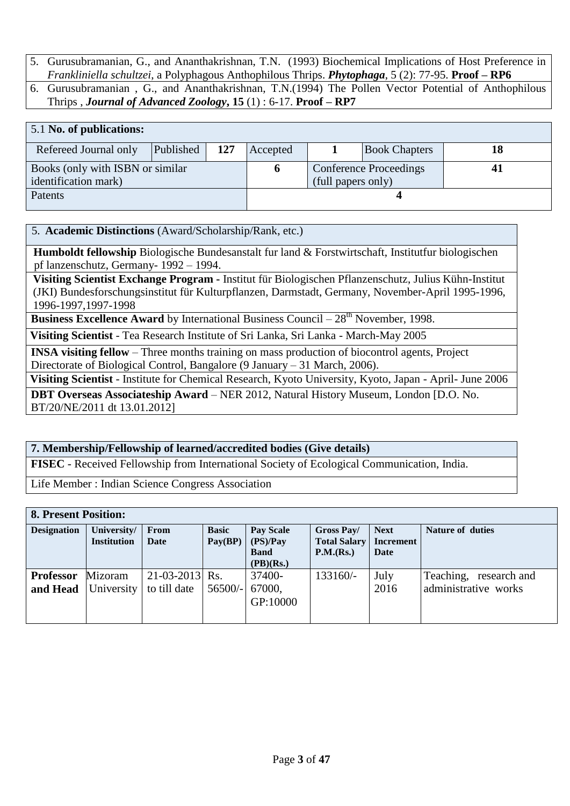- 5. Gurusubramanian, G., and Ananthakrishnan, T.N. (1993) Biochemical Implications of Host Preference in *Frankliniella schultzei*, a Polyphagous Anthophilous Thrips. *Phytophaga*, 5 (2): 77-95. **Proof – RP6**
- 6. Gurusubramanian , G., and Ananthakrishnan, T.N.(1994) The Pollen Vector Potential of Anthophilous Thrips , *Journal of Advanced Zoology***, 15** (1) : 6-17. **Proof – RP7**

| 5.1 No. of publications:         |           |     |          |                    |                               |  |
|----------------------------------|-----------|-----|----------|--------------------|-------------------------------|--|
| Refereed Journal only            | Published | 127 | Accepted |                    | <b>Book Chapters</b>          |  |
| Books (only with ISBN or similar |           |     |          |                    | <b>Conference Proceedings</b> |  |
| identification mark)             |           |     |          | (full papers only) |                               |  |
| Patents                          |           |     |          |                    |                               |  |

#### 5. **Academic Distinctions** (Award/Scholarship/Rank, etc.)

 **Humboldt fellowship** Biologische Bundesanstalt fur land & Forstwirtschaft, Institutfur biologischen pf lanzenschutz, Germany- 1992 – 1994.

 **Visiting Scientist Exchange Program -** Institut für Biologischen Pflanzenschutz, Julius Kühn-Institut (JKI) Bundesforschungsinstitut für Kulturpflanzen, Darmstadt, Germany, November-April 1995-1996, 1996-1997,1997-1998

**Business Excellence Award** by International Business Council – 28<sup>th</sup> November, 1998.

**Visiting Scientist** - Tea Research Institute of Sri Lanka, Sri Lanka - March-May 2005

**INSA visiting fellow** – Three months training on mass production of biocontrol agents, Project Directorate of Biological Control, Bangalore (9 January – 31 March, 2006).

**Visiting Scientist** - Institute for Chemical Research, Kyoto University, Kyoto, Japan - April- June 2006

**DBT Overseas Associateship Award** – NER 2012, Natural History Museum, London [D.O. No. BT/20/NE/2011 dt 13.01.2012]

#### **7. Membership/Fellowship of learned/accredited bodies (Give details)**

**FISEC** - Received Fellowship from International Society of Ecological Communication, India.

Life Member : Indian Science Congress Association

| <b>8. Present Position:</b> |                                   |                  |              |                         |                                  |                                 |                         |  |  |
|-----------------------------|-----------------------------------|------------------|--------------|-------------------------|----------------------------------|---------------------------------|-------------------------|--|--|
| <b>Designation</b>          | University/<br><b>Institution</b> | From<br>Date     | <b>Basic</b> | <b>Pay Scale</b>        | Gross Pay/                       | <b>Next</b><br><b>Increment</b> | <b>Nature of duties</b> |  |  |
|                             |                                   |                  | Pay(BP)      | (PS)/Pay<br><b>Band</b> | <b>Total Salary</b><br>P.M.(Rs.) | Date                            |                         |  |  |
|                             |                                   |                  |              | (PB)(Rs.)               |                                  |                                 |                         |  |  |
| <b>Professor</b>            | Mizoram                           | $21-03-2013$ Rs. |              | 37400-                  | 133160/-                         | July                            | Teaching, research and  |  |  |
| and Head                    | University                        | to till date     | $56500/-$    | 67000.                  |                                  | 2016                            | administrative works    |  |  |
|                             |                                   |                  |              | GP:10000                |                                  |                                 |                         |  |  |
|                             |                                   |                  |              |                         |                                  |                                 |                         |  |  |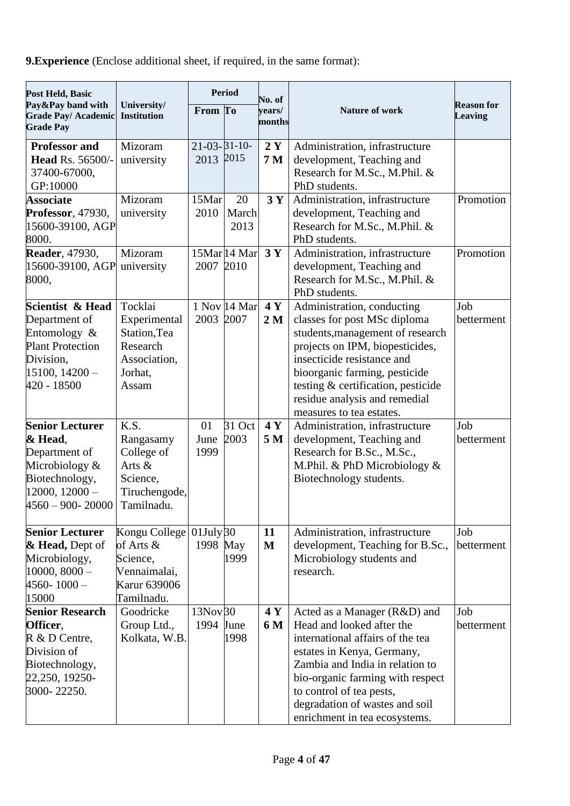**9.Experience** (Enclose additional sheet, if required, in the same format):

| Post Held, Basic                                                                                                                   |                                                                                         |                                  | <b>Period</b>       | No. of               |                                                                                                                                                                                                                                                                                                     |                                     |
|------------------------------------------------------------------------------------------------------------------------------------|-----------------------------------------------------------------------------------------|----------------------------------|---------------------|----------------------|-----------------------------------------------------------------------------------------------------------------------------------------------------------------------------------------------------------------------------------------------------------------------------------------------------|-------------------------------------|
| Pay&Pay band with<br><b>Grade Pay/ Academic</b><br><b>Grade Pay</b>                                                                | University/<br><b>Institution</b>                                                       | From To                          |                     | years/<br>months     | Nature of work                                                                                                                                                                                                                                                                                      | <b>Reason for</b><br><b>Leaving</b> |
| <b>Professor and</b><br><b>Head Rs. 56500/-</b><br>37400-67000,<br>GP:10000                                                        | Mizoram<br>university                                                                   | $21 - 03 - 31 - 10$<br>2013 2015 |                     | 2Y<br>7 <sub>M</sub> | Administration, infrastructure<br>development, Teaching and<br>Research for M.Sc., M.Phil. &<br>PhD students.                                                                                                                                                                                       |                                     |
| <b>Associate</b><br><b>Professor</b> , 47930,<br>15600-39100, AGP<br>8000.                                                         | Mizoram<br>university                                                                   | 15Mar<br>2010                    | 20<br>March<br>2013 | 3Y                   | Administration, infrastructure<br>development, Teaching and<br>Research for M.Sc., M.Phil. &<br>PhD students.                                                                                                                                                                                       | Promotion                           |
| <b>Reader</b> , 47930,<br>15600-39100, AGP<br>8000,                                                                                | Mizoram<br>university                                                                   | 2007 2010                        | 15Mar 14 Mar        | 3Y                   | Administration, infrastructure<br>development, Teaching and<br>Research for M.Sc., M.Phil. &<br>PhD students.                                                                                                                                                                                       | Promotion                           |
| Scientist & Head<br>Department of<br>Entomology $&$<br><b>Plant Protection</b><br>Division,<br>$15100, 14200 -$<br>420 - 18500     | Tocklai<br>Experimental<br>Station, Tea<br>Research<br>Association,<br>Jorhat,<br>Assam | 2003 2007                        | 1 Nov 14 Mar        | 4Y<br>2 <sub>M</sub> | Administration, conducting<br>classes for post MSc diploma<br>students, management of research<br>projects on IPM, biopesticides,<br>insecticide resistance and<br>bioorganic farming, pesticide<br>testing & certification, pesticide<br>residue analysis and remedial<br>measures to tea estates. | Job<br>betterment                   |
| <b>Senior Lecturer</b><br>& Head,<br>Department of<br>Microbiology &<br>Biotechnology,<br>$12000, 12000 -$<br>$4560 - 900 - 20000$ | K.S.<br>Rangasamy<br>College of<br>Arts &<br>Science,<br>Tiruchengode,<br>Tamilnadu.    | 01<br>June<br>1999               | 31 Oct<br>2003      | 4Y<br>5 M            | Administration, infrastructure<br>development, Teaching and<br>Research for B.Sc., M.Sc.,<br>M.Phil. & PhD Microbiology &<br>Biotechnology students.                                                                                                                                                | Job<br>betterment                   |
| <b>Senior Lecturer</b><br>& Head, Dept of<br>Microbiology,<br>$10000, 8000 -$<br>$4560 - 1000 -$<br>15000                          | Kongu College<br>of Arts &<br>Science,<br>Vennaimalai,<br>Karur 639006<br>Tamilnadu.    | $01$ July $30$<br>1998 May       | 1999                | 11<br>M              | Administration, infrastructure<br>development, Teaching for B.Sc.,<br>Microbiology students and<br>research.                                                                                                                                                                                        | Job<br>betterment                   |
| <b>Senior Research</b><br>Officer,<br>R & D Centre,<br>Division of<br>Biotechnology,<br>22,250, 19250-<br>3000-22250.              | Goodricke<br>Group Ltd.,<br>Kolkata, W.B.                                               | 13Nov 30<br>1994 June            | 1998                | 4 Y<br>6 M           | Acted as a Manager (R&D) and<br>Head and looked after the<br>international affairs of the tea<br>estates in Kenya, Germany,<br>Zambia and India in relation to<br>bio-organic farming with respect<br>to control of tea pests,<br>degradation of wastes and soil<br>enrichment in tea ecosystems.   | Job<br>betterment                   |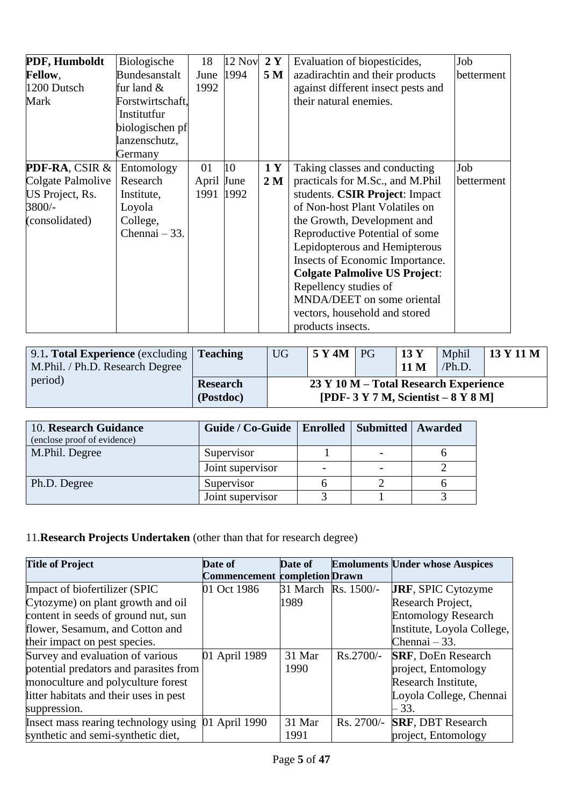| PDF, Humboldt                             | Biologische      | 18         | 12 Nov | 2Y             | Evaluation of biopesticides,         | Job        |
|-------------------------------------------|------------------|------------|--------|----------------|--------------------------------------|------------|
| <b>Fellow,</b>                            | Bundesanstalt    | June       | 1994   | 5 M            | azadirachtin and their products      | betterment |
| 1200 Dutsch                               | fur land $&$     | 1992       |        |                | against different insect pests and   |            |
| Mark                                      | Forstwirtschaft. |            |        |                | their natural enemies.               |            |
|                                           | Institutfur      |            |        |                |                                      |            |
|                                           | biologischen pf  |            |        |                |                                      |            |
|                                           | lanzenschutz,    |            |        |                |                                      |            |
|                                           | Germany          |            |        |                |                                      |            |
| <b>PDF-RA, CSIR <math>\&amp;</math>  </b> | Entomology       | 01         | 10     | 1Y             | Taking classes and conducting        | Job        |
| Colgate Palmolive                         | Research         | April June |        | 2 <sub>M</sub> | practicals for M.Sc., and M.Phil     | betterment |
| US Project, Rs.                           | Institute,       | 1991 1992  |        |                | students. CSIR Project: Impact       |            |
| 3800/-                                    | Loyola           |            |        |                | of Non-host Plant Volatiles on       |            |
| (consolidated)                            | College,         |            |        |                | the Growth, Development and          |            |
|                                           | Chennai – 33.    |            |        |                | Reproductive Potential of some       |            |
|                                           |                  |            |        |                | Lepidopterous and Hemipterous        |            |
|                                           |                  |            |        |                | Insects of Economic Importance.      |            |
|                                           |                  |            |        |                | <b>Colgate Palmolive US Project:</b> |            |
|                                           |                  |            |        |                | Repellency studies of                |            |
|                                           |                  |            |        |                | MNDA/DEET on some oriental           |            |
|                                           |                  |            |        |                | vectors, household and stored        |            |
|                                           |                  |            |        |                | products insects.                    |            |

| 9.1. Total Experience (excluding $\vert$ Teaching<br>M.Phil. / Ph.D. Research Degree |                              | <b>UG</b> | 5 Y 4M | <b>PG</b> | 13 <sub>Y</sub><br><b>11 M</b> | Mphil<br>/Ph.D.                                                                    | 13 Y 11 M |
|--------------------------------------------------------------------------------------|------------------------------|-----------|--------|-----------|--------------------------------|------------------------------------------------------------------------------------|-----------|
| period)                                                                              | <b>Research</b><br>(Postdoc) |           |        |           |                                | 23 Y 10 M – Total Research Experience<br>[PDF- $3 Y 7 M$ , Scientist – $8 Y 8 M$ ] |           |

| 10. Research Guidance<br>(enclose proof of evidence) | Guide / Co-Guide   Enrolled | <b>Submitted   Awarded</b> |  |
|------------------------------------------------------|-----------------------------|----------------------------|--|
| M.Phil. Degree                                       | Supervisor                  |                            |  |
|                                                      | Joint supervisor            |                            |  |
| Ph.D. Degree                                         | Supervisor                  |                            |  |
|                                                      | Joint supervisor            |                            |  |

# 11.**Research Projects Undertaken** (other than that for research degree)

| <b>Title of Project</b>                | Date of                              | Date of             |              | <b>Emoluments Under whose Auspices</b> |
|----------------------------------------|--------------------------------------|---------------------|--------------|----------------------------------------|
|                                        | <b>Commencement completion Drawn</b> |                     |              |                                        |
| Impact of biofertilizer (SPIC          | 01 Oct 1986                          | 31 March Rs. 1500/- |              | <b>JRF, SPIC Cytozyme</b>              |
| Cytozyme) on plant growth and oil      |                                      | 1989                |              | Research Project,                      |
| content in seeds of ground nut, sun    |                                      |                     |              | <b>Entomology Research</b>             |
| flower, Sesamum, and Cotton and        |                                      |                     |              | Institute, Loyola College,             |
| their impact on pest species.          |                                      |                     |              | Chennai $-33$ .                        |
| Survey and evaluation of various       | 01 April 1989                        | 31 Mar              | $Rs.2700/-$  | <b>SRF, DoEn Research</b>              |
| potential predators and parasites from |                                      | 1990                |              | project, Entomology                    |
| monoculture and polyculture forest     |                                      |                     |              | Research Institute,                    |
| litter habitats and their uses in pest |                                      |                     |              | Loyola College, Chennai                |
| suppression.                           |                                      |                     |              | - 33.                                  |
| Insect mass rearing technology using   | 01 April 1990                        | 31 Mar              | $Rs. 2700/-$ | <b>SRF, DBT Research</b>               |
| synthetic and semi-synthetic diet,     |                                      | 1991                |              | project, Entomology                    |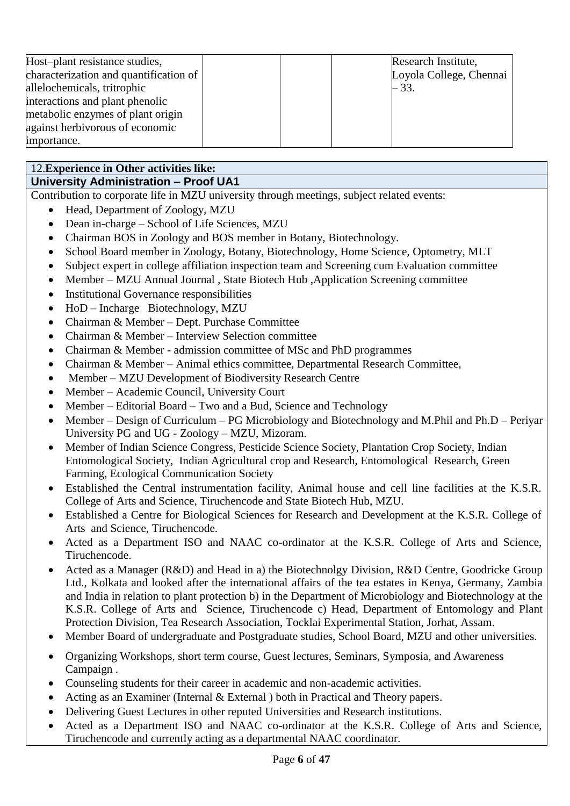| Host-plant resistance studies,         | Research Institute,     |
|----------------------------------------|-------------------------|
| characterization and quantification of | Loyola College, Chennai |
| allelochemicals, tritrophic            | $-33.$                  |
| interactions and plant phenolic        |                         |
| metabolic enzymes of plant origin      |                         |
| against herbivorous of economic        |                         |
| importance.                            |                         |

# 12.**Experience in Other activities like:**

# **University Administration – Proof UA1**

Contribution to corporate life in MZU university through meetings, subject related events:

- Head, Department of Zoology, MZU
- Dean in-charge School of Life Sciences, MZU
- Chairman BOS in Zoology and BOS member in Botany, Biotechnology.
- School Board member in Zoology, Botany, Biotechnology, Home Science, Optometry, MLT
- Subject expert in college affiliation inspection team and Screening cum Evaluation committee
- Member MZU Annual Journal , State Biotech Hub , Application Screening committee
- Institutional Governance responsibilities
- HoD Incharge Biotechnology, MZU
- Chairman & Member Dept. Purchase Committee
- Chairman & Member Interview Selection committee
- Chairman & Member admission committee of MSc and PhD programmes
- Chairman & Member Animal ethics committee, Departmental Research Committee,
- Member MZU Development of Biodiversity Research Centre
- Member Academic Council, University Court
- Member Editorial Board Two and a Bud, Science and Technology
- Member Design of Curriculum PG Microbiology and Biotechnology and M.Phil and Ph.D Periyar University PG and UG - Zoology – MZU, Mizoram.
- Member of Indian Science Congress, Pesticide Science Society, Plantation Crop Society, Indian Entomological Society, Indian Agricultural crop and Research, Entomological Research, Green Farming, Ecological Communication Society
- Established the Central instrumentation facility, Animal house and cell line facilities at the K.S.R. College of Arts and Science, Tiruchencode and State Biotech Hub, MZU.
- Established a Centre for Biological Sciences for Research and Development at the K.S.R. College of Arts and Science, Tiruchencode.
- Acted as a Department ISO and NAAC co-ordinator at the K.S.R. College of Arts and Science, Tiruchencode.
- Acted as a Manager (R&D) and Head in a) the Biotechnolgy Division, R&D Centre, Goodricke Group Ltd., Kolkata and looked after the international affairs of the tea estates in Kenya, Germany, Zambia and India in relation to plant protection b) in the Department of Microbiology and Biotechnology at the K.S.R. College of Arts and Science, Tiruchencode c) Head, Department of Entomology and Plant Protection Division, Tea Research Association, Tocklai Experimental Station, Jorhat, Assam.
- Member Board of undergraduate and Postgraduate studies, School Board, MZU and other universities.
- Organizing Workshops, short term course, Guest lectures, Seminars, Symposia, and Awareness Campaign .
- Counseling students for their career in academic and non-academic activities.
- Acting as an Examiner (Internal & External ) both in Practical and Theory papers.
- Delivering Guest Lectures in other reputed Universities and Research institutions.
- Acted as a Department ISO and NAAC co-ordinator at the K.S.R. College of Arts and Science, Tiruchencode and currently acting as a departmental NAAC coordinator.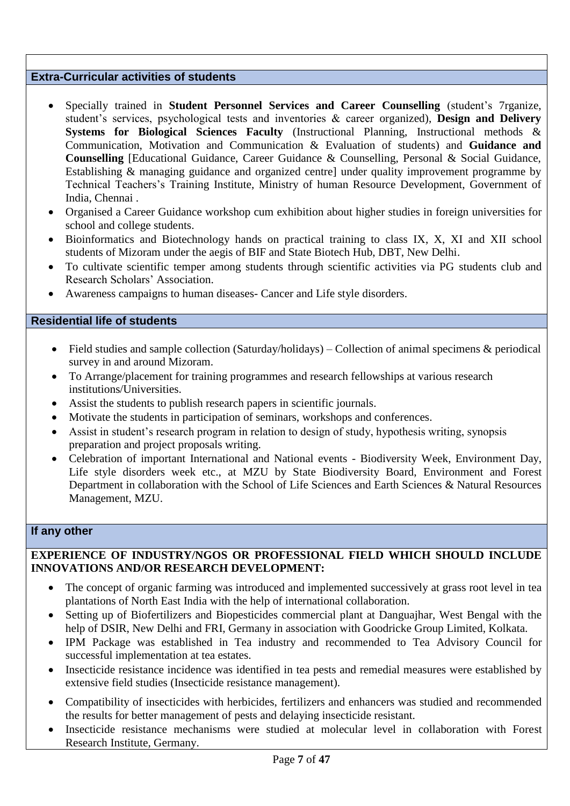#### **Extra-Curricular activities of students**

- Specially trained in **Student Personnel Services and Career Counselling** (student's 7rganize, student's services, psychological tests and inventories & career organized), **Design and Delivery Systems for Biological Sciences Faculty** (Instructional Planning, Instructional methods & Communication, Motivation and Communication & Evaluation of students) and **Guidance and Counselling** [Educational Guidance, Career Guidance & Counselling, Personal & Social Guidance, Establishing & managing guidance and organized centre] under quality improvement programme by Technical Teachers's Training Institute, Ministry of human Resource Development, Government of India, Chennai .
- Organised a Career Guidance workshop cum exhibition about higher studies in foreign universities for school and college students.
- Bioinformatics and Biotechnology hands on practical training to class IX, X, XI and XII school students of Mizoram under the aegis of BIF and State Biotech Hub, DBT, New Delhi.
- To cultivate scientific temper among students through scientific activities via PG students club and Research Scholars' Association.
- Awareness campaigns to human diseases- Cancer and Life style disorders.

#### **Residential life of students**

- Field studies and sample collection (Saturday/holidays) Collection of animal specimens & periodical survey in and around Mizoram.
- To Arrange/placement for training programmes and research fellowships at various research institutions/Universities.
- Assist the students to publish research papers in scientific journals.
- Motivate the students in participation of seminars, workshops and conferences.
- Assist in student's research program in relation to design of study, hypothesis writing, synopsis preparation and project proposals writing.
- Celebration of important International and National events Biodiversity Week, Environment Day, Life style disorders week etc., at MZU by State Biodiversity Board, Environment and Forest Department in collaboration with the School of Life Sciences and Earth Sciences & Natural Resources Management, MZU.

#### **If any other**

#### **EXPERIENCE OF INDUSTRY/NGOS OR PROFESSIONAL FIELD WHICH SHOULD INCLUDE INNOVATIONS AND/OR RESEARCH DEVELOPMENT:**

- The concept of organic farming was introduced and implemented successively at grass root level in tea plantations of North East India with the help of international collaboration.
- Setting up of Biofertilizers and Biopesticides commercial plant at Danguajhar, West Bengal with the help of DSIR, New Delhi and FRI, Germany in association with Goodricke Group Limited, Kolkata.
- IPM Package was established in Tea industry and recommended to Tea Advisory Council for successful implementation at tea estates.
- Insecticide resistance incidence was identified in tea pests and remedial measures were established by extensive field studies (Insecticide resistance management).
- Compatibility of insecticides with herbicides, fertilizers and enhancers was studied and recommended the results for better management of pests and delaying insecticide resistant.
- Insecticide resistance mechanisms were studied at molecular level in collaboration with Forest Research Institute, Germany.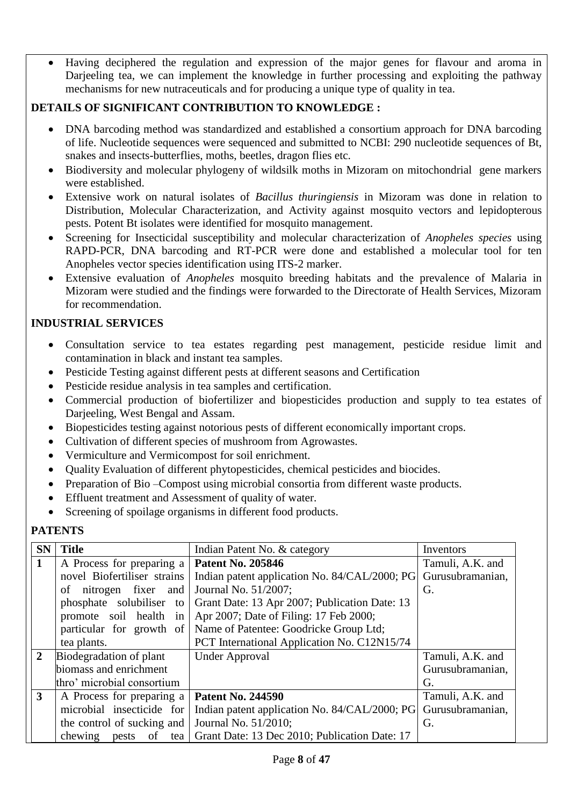Having deciphered the regulation and expression of the major genes for flavour and aroma in Darjeeling tea, we can implement the knowledge in further processing and exploiting the pathway mechanisms for new nutraceuticals and for producing a unique type of quality in tea.

# **DETAILS OF SIGNIFICANT CONTRIBUTION TO KNOWLEDGE :**

- DNA barcoding method was standardized and established a consortium approach for DNA barcoding of life. Nucleotide sequences were sequenced and submitted to NCBI: 290 nucleotide sequences of Bt, snakes and insects-butterflies, moths, beetles, dragon flies etc.
- Biodiversity and molecular phylogeny of wildsilk moths in Mizoram on mitochondrial gene markers were established.
- Extensive work on natural isolates of *Bacillus thuringiensis* in Mizoram was done in relation to Distribution, Molecular Characterization, and Activity against mosquito vectors and lepidopterous pests. Potent Bt isolates were identified for mosquito management.
- Screening for Insecticidal susceptibility and molecular characterization of *Anopheles species* using RAPD-PCR, DNA barcoding and RT-PCR were done and established a molecular tool for ten Anopheles vector species identification using ITS-2 marker.
- Extensive evaluation of *Anopheles* mosquito breeding habitats and the prevalence of Malaria in Mizoram were studied and the findings were forwarded to the Directorate of Health Services, Mizoram for recommendation.

### **INDUSTRIAL SERVICES**

- Consultation service to tea estates regarding pest management, pesticide residue limit and contamination in black and instant tea samples.
- Pesticide Testing against different pests at different seasons and Certification
- Pesticide residue analysis in tea samples and certification.
- Commercial production of biofertilizer and biopesticides production and supply to tea estates of Darjeeling, West Bengal and Assam.
- Biopesticides testing against notorious pests of different economically important crops.
- Cultivation of different species of mushroom from Agrowastes.
- Vermiculture and Vermicompost for soil enrichment.
- Quality Evaluation of different phytopesticides, chemical pesticides and biocides.
- Preparation of Bio –Compost using microbial consortia from different waste products.
- Effluent treatment and Assessment of quality of water.
- Screening of spoilage organisms in different food products.

### **PATENTS**

| <b>SN</b>      | <b>Title</b>                                       | Indian Patent No. & category                                      | Inventors        |
|----------------|----------------------------------------------------|-------------------------------------------------------------------|------------------|
| 1              | A Process for preparing a <b>Patent No. 205846</b> |                                                                   | Tamuli, A.K. and |
|                | novel Biofertiliser strains                        | Indian patent application No. 84/CAL/2000; PG                     | Gurusubramanian, |
|                | of nitrogen fixer and                              | Journal No. 51/2007;                                              | G.               |
|                | phosphate solubiliser to                           | Grant Date: 13 Apr 2007; Publication Date: 13                     |                  |
|                | promote soil health in                             | Apr 2007; Date of Filing: 17 Feb 2000;                            |                  |
|                |                                                    | particular for growth of   Name of Patentee: Goodricke Group Ltd; |                  |
|                | tea plants.                                        | PCT International Application No. C12N15/74                       |                  |
| $\overline{2}$ | Biodegradation of plant                            | <b>Under Approval</b>                                             | Tamuli, A.K. and |
|                | biomass and enrichment                             |                                                                   | Gurusubramanian, |
|                | thro' microbial consortium                         |                                                                   | G.               |
| $3^{\circ}$    | A Process for preparing a   Patent No. 244590      |                                                                   | Tamuli, A.K. and |
|                | microbial insecticide for                          | Indian patent application No. 84/CAL/2000; PG                     | Gurusubramanian, |
|                | the control of sucking and                         | Journal No. 51/2010;                                              | G.               |
|                | chewing                                            | pests of tea   Grant Date: 13 Dec 2010; Publication Date: 17      |                  |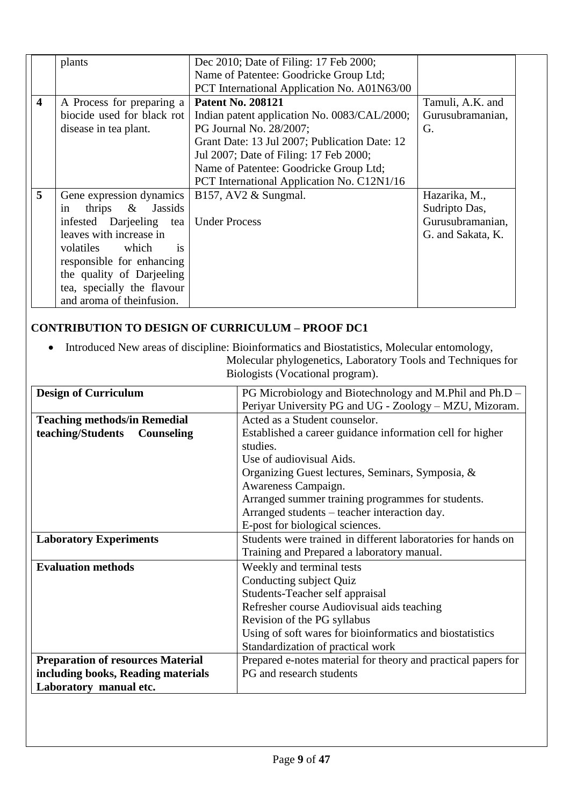|                         | plants                     | Dec 2010; Date of Filing: 17 Feb 2000;        |                   |
|-------------------------|----------------------------|-----------------------------------------------|-------------------|
|                         |                            | Name of Patentee: Goodricke Group Ltd;        |                   |
|                         |                            | PCT International Application No. A01N63/00   |                   |
| $\overline{\mathbf{4}}$ | A Process for preparing a  | <b>Patent No. 208121</b>                      | Tamuli, A.K. and  |
|                         | biocide used for black rot | Indian patent application No. 0083/CAL/2000;  | Gurusubramanian,  |
|                         | disease in tea plant.      | PG Journal No. 28/2007;                       | G.                |
|                         |                            | Grant Date: 13 Jul 2007; Publication Date: 12 |                   |
|                         |                            | Jul 2007; Date of Filing: 17 Feb 2000;        |                   |
|                         |                            | Name of Patentee: Goodricke Group Ltd;        |                   |
|                         |                            | PCT International Application No. C12N1/16    |                   |
| 5                       | Gene expression dynamics   | B157, AV2 $&$ Sungmal.                        | Hazarika, M.,     |
|                         | thrips & Jassids<br>in     |                                               | Sudripto Das,     |
|                         | infested Darjeeling tea    | <b>Under Process</b>                          | Gurusubramanian,  |
|                         | leaves with increase in    |                                               | G. and Sakata, K. |
|                         | volatiles<br>which<br>is   |                                               |                   |
|                         | responsible for enhancing  |                                               |                   |
|                         | the quality of Darjeeling  |                                               |                   |
|                         | tea, specially the flavour |                                               |                   |
|                         | and aroma of theinfusion.  |                                               |                   |

# **CONTRIBUTION TO DESIGN OF CURRICULUM – PROOF DC1**

 Introduced New areas of discipline: Bioinformatics and Biostatistics, Molecular entomology, Molecular phylogenetics, Laboratory Tools and Techniques for Biologists (Vocational program).

|                                  | . |  |
|----------------------------------|---|--|
| Biologists (Vocational program). |   |  |

| <b>Design of Curriculum</b>              | PG Microbiology and Biotechnology and M.Phil and Ph.D –       |  |  |
|------------------------------------------|---------------------------------------------------------------|--|--|
|                                          | Periyar University PG and UG - Zoology – MZU, Mizoram.        |  |  |
| <b>Teaching methods/in Remedial</b>      | Acted as a Student counselor.                                 |  |  |
| teaching/Students<br>Counseling          | Established a career guidance information cell for higher     |  |  |
|                                          | studies.                                                      |  |  |
|                                          | Use of audiovisual Aids.                                      |  |  |
|                                          | Organizing Guest lectures, Seminars, Symposia, &              |  |  |
|                                          | Awareness Campaign.                                           |  |  |
|                                          | Arranged summer training programmes for students.             |  |  |
|                                          | Arranged students – teacher interaction day.                  |  |  |
|                                          | E-post for biological sciences.                               |  |  |
| <b>Laboratory Experiments</b>            | Students were trained in different laboratories for hands on  |  |  |
|                                          | Training and Prepared a laboratory manual.                    |  |  |
| <b>Evaluation methods</b>                | Weekly and terminal tests                                     |  |  |
|                                          | Conducting subject Quiz                                       |  |  |
|                                          | Students-Teacher self appraisal                               |  |  |
|                                          | Refresher course Audiovisual aids teaching                    |  |  |
|                                          | Revision of the PG syllabus                                   |  |  |
|                                          | Using of soft wares for bioinformatics and biostatistics      |  |  |
|                                          | Standardization of practical work                             |  |  |
| <b>Preparation of resources Material</b> | Prepared e-notes material for theory and practical papers for |  |  |
| including books, Reading materials       | PG and research students                                      |  |  |
| Laboratory manual etc.                   |                                                               |  |  |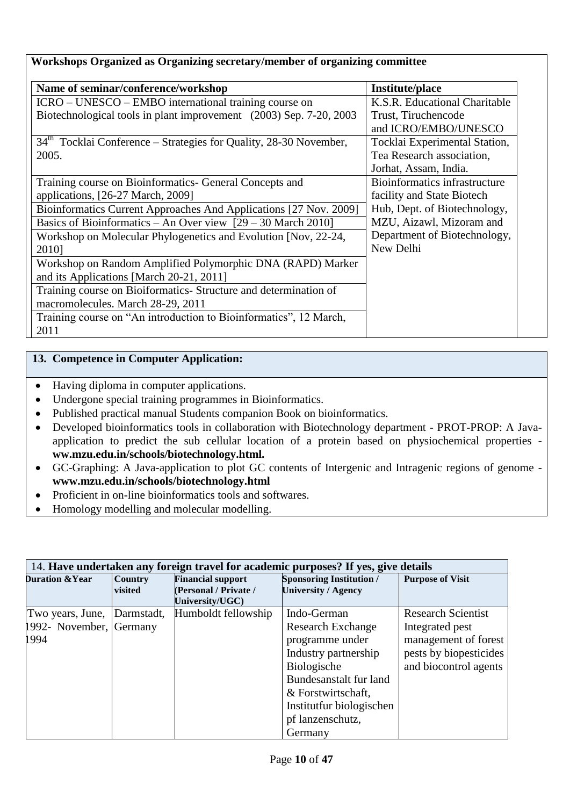| Name of seminar/conference/workshop                                 | <b>Institute/place</b>        |
|---------------------------------------------------------------------|-------------------------------|
| ICRO – UNESCO – EMBO international training course on               | K.S.R. Educational Charitable |
| Biotechnological tools in plant improvement (2003) Sep. 7-20, 2003  | Trust, Tiruchencode           |
|                                                                     | and ICRO/EMBO/UNESCO          |
| $34th$ Tocklai Conference – Strategies for Quality, 28-30 November, | Tocklai Experimental Station, |
| 2005.                                                               | Tea Research association,     |
|                                                                     | Jorhat, Assam, India.         |
| Training course on Bioinformatics- General Concepts and             | Bioinformatics infrastructure |
| applications, [26-27 March, 2009]                                   | facility and State Biotech    |
| Bioinformatics Current Approaches And Applications [27 Nov. 2009]   | Hub, Dept. of Biotechnology,  |
| Basics of Bioinformatics – An Over view $[29 - 30$ March 2010]      | MZU, Aizawl, Mizoram and      |
| Workshop on Molecular Phylogenetics and Evolution [Nov, 22-24,      | Department of Biotechnology,  |
| 2010]                                                               | New Delhi                     |
| Workshop on Random Amplified Polymorphic DNA (RAPD) Marker          |                               |
| and its Applications [March 20-21, 2011]                            |                               |
| Training course on Bioiformatics- Structure and determination of    |                               |
| macromolecules. March 28-29, 2011                                   |                               |
| Training course on "An introduction to Bioinformatics", 12 March,   |                               |
| 2011                                                                |                               |

### **13. Competence in Computer Application:**

- Having diploma in computer applications.
- Undergone special training programmes in Bioinformatics.
- Published practical manual Students companion Book on bioinformatics.
- Developed bioinformatics tools in collaboration with Biotechnology department PROT-PROP: A Javaapplication to predict the sub cellular location of a protein based on physiochemical properties **ww.mzu.edu.in/schools/biotechnology.html.**
- GC-Graphing: A Java-application to plot GC contents of Intergenic and Intragenic regions of genome **www.mzu.edu.in/schools/biotechnology.html**
- Proficient in on-line bioinformatics tools and softwares.
- Homology modelling and molecular modelling.

| 14. Have undertaken any foreign travel for academic purposes? If yes, give details |                           |                                                                            |                                                                                     |                                                 |
|------------------------------------------------------------------------------------|---------------------------|----------------------------------------------------------------------------|-------------------------------------------------------------------------------------|-------------------------------------------------|
| <b>Duration &amp; Year</b>                                                         | <b>Country</b><br>visited | <b>Financial support</b><br><b>Personal / Private /</b><br>University/UGC) | <b>Sponsoring Institution /</b><br><b>University / Agency</b>                       | <b>Purpose of Visit</b>                         |
| Two years, June,                                                                   | Darmstadt,                | Humboldt fellowship                                                        | Indo-German                                                                         | <b>Research Scientist</b>                       |
| 1992- November, Germany<br>1994                                                    |                           |                                                                            | <b>Research Exchange</b><br>programme under                                         | Integrated pest<br>management of forest         |
|                                                                                    |                           |                                                                            | Industry partnership<br>Biologische<br>Bundesanstalt fur land<br>& Forstwirtschaft, | pests by biopesticides<br>and biocontrol agents |
|                                                                                    |                           |                                                                            | Institutfur biologischen<br>pf lanzenschutz,<br>Germany                             |                                                 |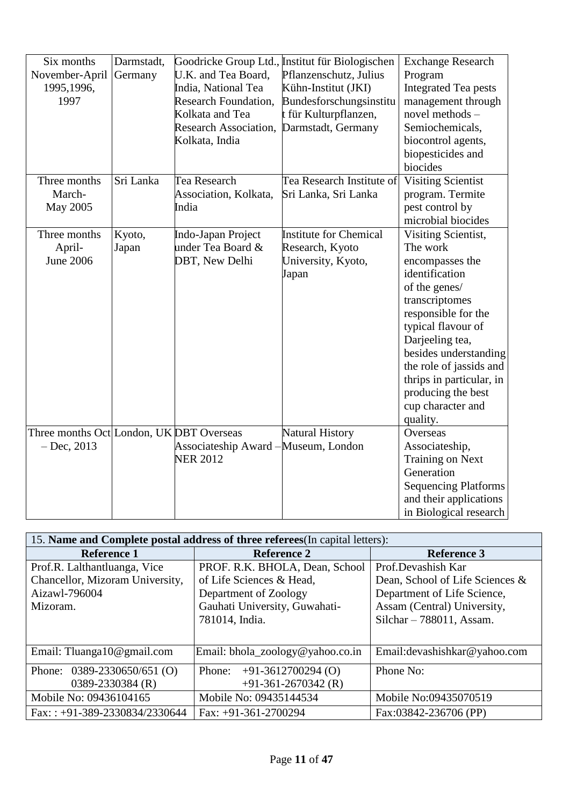| Six months<br>November-April<br>1995,1996,<br>1997        | Darmstadt,<br>Germany | U.K. and Tea Board,<br>India, National Tea<br><b>Research Foundation,</b><br>Kolkata and Tea<br><b>Research Association,</b><br>Kolkata, India | Goodricke Group Ltd., Institut für Biologischen<br>Pflanzenschutz, Julius<br>Kühn-Institut (JKI)<br>Bundesforschungsinstitu<br>t für Kulturpflanzen,<br>Darmstadt, Germany | <b>Exchange Research</b><br>Program<br><b>Integrated Tea pests</b><br>management through<br>novel methods -<br>Semiochemicals,<br>biocontrol agents,<br>biopesticides and<br>biocides                                                                                                                          |
|-----------------------------------------------------------|-----------------------|------------------------------------------------------------------------------------------------------------------------------------------------|----------------------------------------------------------------------------------------------------------------------------------------------------------------------------|----------------------------------------------------------------------------------------------------------------------------------------------------------------------------------------------------------------------------------------------------------------------------------------------------------------|
| Three months<br>March-<br>May 2005                        | Sri Lanka             | Tea Research<br>Association, Kolkata,<br>India                                                                                                 | Tea Research Institute of<br>Sri Lanka, Sri Lanka                                                                                                                          | <b>Visiting Scientist</b><br>program. Termite<br>pest control by<br>microbial biocides                                                                                                                                                                                                                         |
| Three months<br>April-<br><b>June 2006</b>                | Kyoto,<br>Japan       | Indo-Japan Project<br>under Tea Board &<br>DBT, New Delhi                                                                                      | <b>Institute for Chemical</b><br>Research, Kyoto<br>University, Kyoto,<br>Japan                                                                                            | Visiting Scientist,<br>The work<br>encompasses the<br>identification<br>of the genes/<br>transcriptomes<br>responsible for the<br>typical flavour of<br>Darjeeling tea,<br>besides understanding<br>the role of jassids and<br>thrips in particular, in<br>producing the best<br>cup character and<br>quality. |
| Three months Oct London, UK DBT Overseas<br>$-$ Dec, 2013 |                       | Associateship Award – Museum, London<br><b>NER 2012</b>                                                                                        | <b>Natural History</b>                                                                                                                                                     | Overseas<br>Associateship,<br>Training on Next<br>Generation<br><b>Sequencing Platforms</b><br>and their applications<br>in Biological research                                                                                                                                                                |

| 15. Name and Complete postal address of three referees (In capital letters): |                                  |                                 |  |  |
|------------------------------------------------------------------------------|----------------------------------|---------------------------------|--|--|
| <b>Reference 1</b>                                                           | <b>Reference 2</b>               | <b>Reference 3</b>              |  |  |
| Prof.R. Lalthantluanga, Vice                                                 | PROF. R.K. BHOLA, Dean, School   | Prof.Devashish Kar              |  |  |
| Chancellor, Mizoram University,                                              | of Life Sciences & Head,         | Dean, School of Life Sciences & |  |  |
| Aizawl-796004                                                                | Department of Zoology            | Department of Life Science,     |  |  |
| Mizoram.                                                                     | Gauhati University, Guwahati-    | Assam (Central) University,     |  |  |
|                                                                              | 781014, India.                   | Silchar $-788011$ , Assam.      |  |  |
|                                                                              |                                  |                                 |  |  |
| Email: Tluanga10@gmail.com                                                   | Email: bhola_zoology@yahoo.co.in | Email: devashishkar@yahoo.com   |  |  |
| Phone:<br>$0389 - 2330650/651$ (O)                                           | $+91-3612700294(0)$<br>Phone:    | Phone No:                       |  |  |
| 0389-2330384 (R)                                                             | $+91-361-2670342$ (R)            |                                 |  |  |
| Mobile No: 09436104165                                                       | Mobile No: 09435144534           | Mobile No:09435070519           |  |  |
| Fax:: +91-389-2330834/2330644                                                | Fax: $+91-361-2700294$           | Fax:03842-236706 (PP)           |  |  |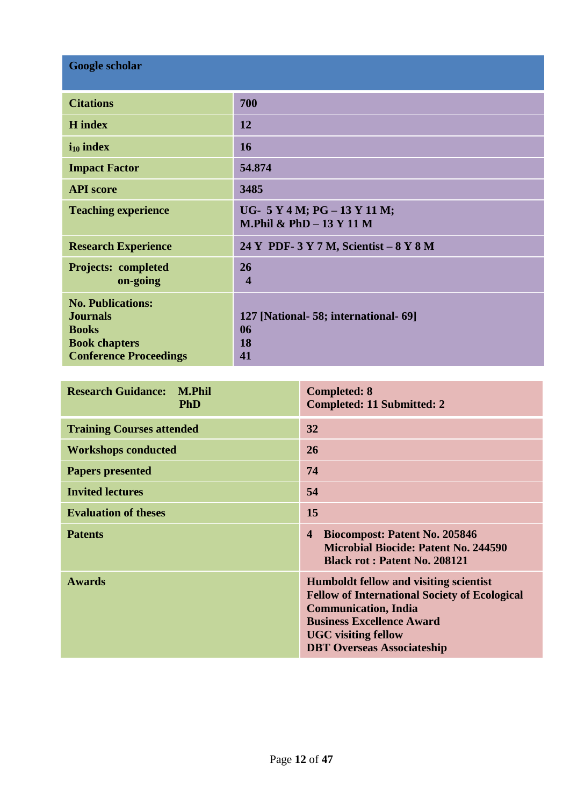| Google scholar                                                                                                       |                                                                 |  |  |  |
|----------------------------------------------------------------------------------------------------------------------|-----------------------------------------------------------------|--|--|--|
| <b>Citations</b>                                                                                                     | 700                                                             |  |  |  |
| <b>H</b> index                                                                                                       | 12                                                              |  |  |  |
| $i_{10}$ index                                                                                                       | 16                                                              |  |  |  |
| <b>Impact Factor</b>                                                                                                 | 54.874                                                          |  |  |  |
| <b>API</b> score                                                                                                     | 3485                                                            |  |  |  |
| <b>Teaching experience</b>                                                                                           | UG- $5 Y 4 M$ ; PG $- 13 Y 11 M$ ;<br>M.Phil & PhD $-13$ Y 11 M |  |  |  |
| <b>Research Experience</b>                                                                                           | 24 Y PDF- 3 Y 7 M, Scientist - 8 Y 8 M                          |  |  |  |
| <b>Projects: completed</b><br>on-going                                                                               | 26<br>$\overline{\mathbf{4}}$                                   |  |  |  |
| <b>No. Publications:</b><br><b>Journals</b><br><b>Books</b><br><b>Book chapters</b><br><b>Conference Proceedings</b> | 127 [National- 58; international- 69]<br>06<br>18<br>41         |  |  |  |

| <b>Research Guidance:</b><br><b>M.Phil</b><br><b>PhD</b> | <b>Completed: 8</b><br><b>Completed: 11 Submitted: 2</b>                                                                                                                                                                             |
|----------------------------------------------------------|--------------------------------------------------------------------------------------------------------------------------------------------------------------------------------------------------------------------------------------|
| <b>Training Courses attended</b>                         | 32                                                                                                                                                                                                                                   |
| <b>Workshops conducted</b>                               | 26                                                                                                                                                                                                                                   |
| <b>Papers presented</b>                                  | 74                                                                                                                                                                                                                                   |
| <b>Invited lectures</b>                                  | 54                                                                                                                                                                                                                                   |
| <b>Evaluation of theses</b>                              | 15                                                                                                                                                                                                                                   |
| <b>Patents</b>                                           | <b>Biocompost: Patent No. 205846</b><br>$\overline{\mathbf{4}}$<br><b>Microbial Biocide: Patent No. 244590</b><br><b>Black rot: Patent No. 208121</b>                                                                                |
| <b>Awards</b>                                            | Humboldt fellow and visiting scientist<br><b>Fellow of International Society of Ecological</b><br><b>Communication, India</b><br><b>Business Excellence Award</b><br><b>UGC</b> visiting fellow<br><b>DBT Overseas Associateship</b> |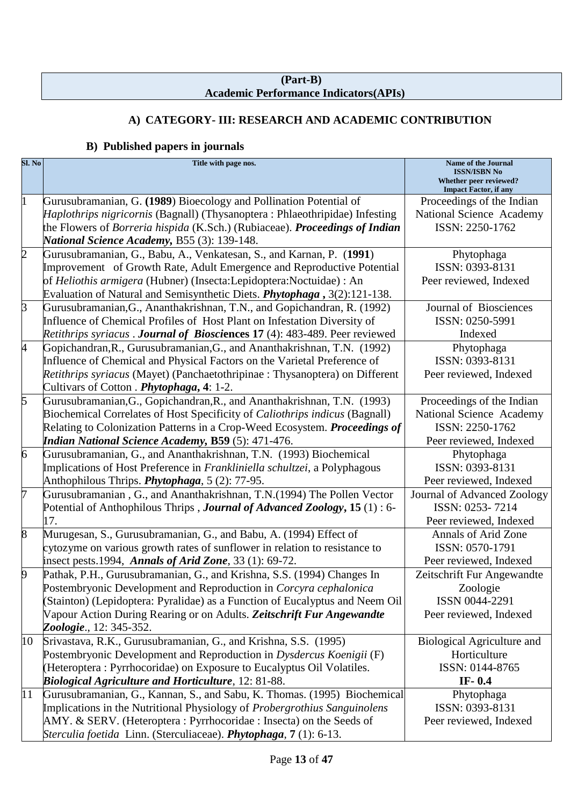#### **(Part-B) Academic Performance Indicators(APIs)**

# **A) CATEGORY- III: RESEARCH AND ACADEMIC CONTRIBUTION**

## **B) Published papers in journals**

| Sl. No         | Title with page nos.                                                                                                                    | Name of the Journal<br><b>ISSN/ISBN No</b><br>Whether peer reviewed?<br><b>Impact Factor</b> , if any |
|----------------|-----------------------------------------------------------------------------------------------------------------------------------------|-------------------------------------------------------------------------------------------------------|
|                | Gurusubramanian, G. (1989) Bioecology and Pollination Potential of                                                                      | Proceedings of the Indian                                                                             |
|                | <i>Haplothrips nigricornis</i> (Bagnall) (Thysanoptera: Phlaeothripidae) Infesting                                                      | National Science Academy                                                                              |
|                | the Flowers of Borreria hispida (K.Sch.) (Rubiaceae). Proceedings of Indian<br><b>National Science Academy, B55 (3): 139-148.</b>       | ISSN: 2250-1762                                                                                       |
| $\overline{c}$ | Gurusubramanian, G., Babu, A., Venkatesan, S., and Karnan, P. (1991)                                                                    | Phytophaga                                                                                            |
|                | Improvement of Growth Rate, Adult Emergence and Reproductive Potential                                                                  | ISSN: 0393-8131                                                                                       |
|                | of Heliothis armigera (Hubner) (Insecta: Lepidoptera: Noctuidae) : An                                                                   | Peer reviewed, Indexed                                                                                |
|                | Evaluation of Natural and Semisynthetic Diets. <i>Phytophaga</i> , 3(2):121-138.                                                        |                                                                                                       |
| $\overline{3}$ | Gurusubramanian, G., Ananthakrishnan, T.N., and Gopichandran, R. (1992)                                                                 | Journal of Biosciences                                                                                |
|                | Influence of Chemical Profiles of Host Plant on Infestation Diversity of                                                                | ISSN: 0250-5991                                                                                       |
|                | Retithrips syriacus . Journal of Biosciences 17 (4): 483-489. Peer reviewed                                                             | Indexed                                                                                               |
| 4              | Gopichandran, R., Gurusubramanian, G., and Ananthakrishnan, T.N. (1992)                                                                 | Phytophaga                                                                                            |
|                | Influence of Chemical and Physical Factors on the Varietal Preference of                                                                | ISSN: 0393-8131                                                                                       |
|                | <i>Retithrips syriacus</i> (Mayet) (Panchaetothripinae : Thysanoptera) on Different                                                     | Peer reviewed, Indexed                                                                                |
|                | Cultivars of Cotton . <i>Phytophaga</i> , 4: 1-2.                                                                                       |                                                                                                       |
| 5              | Gurusubramanian, G., Gopichandran, R., and Ananthakrishnan, T.N. (1993)                                                                 | Proceedings of the Indian                                                                             |
|                | Biochemical Correlates of Host Specificity of Caliothrips indicus (Bagnall)                                                             | National Science Academy                                                                              |
|                | Relating to Colonization Patterns in a Crop-Weed Ecosystem. Proceedings of                                                              | ISSN: 2250-1762                                                                                       |
|                | <b>Indian National Science Academy, B59</b> (5): 471-476.                                                                               | Peer reviewed, Indexed                                                                                |
| 6              | Gurusubramanian, G., and Ananthakrishnan, T.N. (1993) Biochemical                                                                       | Phytophaga                                                                                            |
|                | Implications of Host Preference in Frankliniella schultzei, a Polyphagous                                                               | ISSN: 0393-8131                                                                                       |
|                | Anthophilous Thrips. <i>Phytophaga</i> , 5(2): 77-95.                                                                                   | Peer reviewed, Indexed                                                                                |
| 7              | Gurusubramanian, G., and Ananthakrishnan, T.N. (1994) The Pollen Vector                                                                 | Journal of Advanced Zoology                                                                           |
|                | Potential of Anthophilous Thrips, <i>Journal of Advanced Zoology</i> , 15(1): 6-                                                        | ISSN: 0253-7214                                                                                       |
|                | 17.                                                                                                                                     | Peer reviewed, Indexed                                                                                |
| 8              | Murugesan, S., Gurusubramanian, G., and Babu, A. (1994) Effect of                                                                       | <b>Annals of Arid Zone</b>                                                                            |
|                | cytozyme on various growth rates of sunflower in relation to resistance to                                                              | ISSN: 0570-1791                                                                                       |
|                | insect pests.1994, Annals of Arid Zone, 33 (1): 69-72.                                                                                  | Peer reviewed, Indexed                                                                                |
| 9              | Pathak, P.H., Gurusubramanian, G., and Krishna, S.S. (1994) Changes In                                                                  | Zeitschrift Fur Angewandte                                                                            |
|                | Postembryonic Development and Reproduction in Corcyra cephalonica                                                                       | Zoologie                                                                                              |
|                | (Stainton) (Lepidoptera: Pyralidae) as a Function of Eucalyptus and Neem Oil                                                            | ISSN 0044-2291                                                                                        |
|                | Vapour Action During Rearing or on Adults. Zeitschrift Fur Angewandte                                                                   | Peer reviewed, Indexed                                                                                |
|                | Zoologie., 12: 345-352.                                                                                                                 |                                                                                                       |
| 10             | Srivastava, R.K., Gurusubramanian, G., and Krishna, S.S. (1995)                                                                         | <b>Biological Agriculture and</b>                                                                     |
|                | Postembryonic Development and Reproduction in Dysdercus Koenigii (F)                                                                    | Horticulture                                                                                          |
|                | (Heteroptera: Pyrrhocoridae) on Exposure to Eucalyptus Oil Volatiles.                                                                   | ISSN: 0144-8765                                                                                       |
|                | <b>Biological Agriculture and Horticulture</b> , 12: 81-88.<br>Gurusubramanian, G., Kannan, S., and Sabu, K. Thomas. (1995) Biochemical | IF-0.4                                                                                                |
| 11             | Implications in the Nutritional Physiology of Probergrothius Sanguinolens                                                               | Phytophaga<br>ISSN: 0393-8131                                                                         |
|                | AMY. & SERV. (Heteroptera: Pyrrhocoridae: Insecta) on the Seeds of                                                                      | Peer reviewed, Indexed                                                                                |
|                | Sterculia foetida Linn. (Sterculiaceae). Phytophaga, 7 (1): 6-13.                                                                       |                                                                                                       |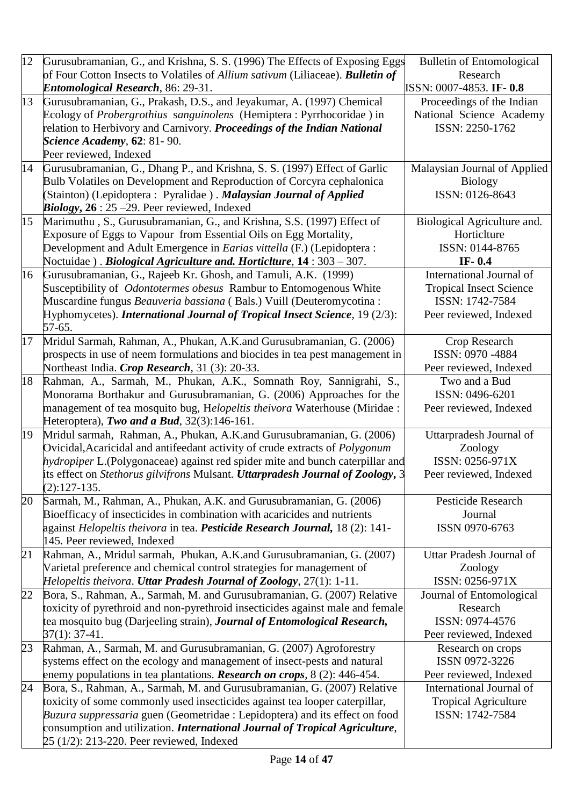| 12 |                                                                                                                         |                                  |
|----|-------------------------------------------------------------------------------------------------------------------------|----------------------------------|
|    | Gurusubramanian, G., and Krishna, S. S. (1996) The Effects of Exposing Eggs                                             | <b>Bulletin of Entomological</b> |
|    | of Four Cotton Insects to Volatiles of Allium sativum (Liliaceae). <b>Bulletin of</b>                                   | Research                         |
|    | <b>Entomological Research</b> , 86: 29-31.                                                                              | ISSN: 0007-4853. IF-0.8          |
| 13 | Gurusubramanian, G., Prakash, D.S., and Jeyakumar, A. (1997) Chemical                                                   | Proceedings of the Indian        |
|    | Ecology of Probergrothius sanguinolens (Hemiptera: Pyrrhocoridae) in                                                    | National Science Academy         |
|    | relation to Herbivory and Carnivory. Proceedings of the Indian National                                                 | ISSN: 2250-1762                  |
|    | <b>Science Academy, 62: 81-90.</b>                                                                                      |                                  |
|    | Peer reviewed, Indexed                                                                                                  |                                  |
| 14 | Gurusubramanian, G., Dhang P., and Krishna, S. S. (1997) Effect of Garlic                                               | Malaysian Journal of Applied     |
|    | Bulb Volatiles on Development and Reproduction of Corcyra cephalonica                                                   | <b>Biology</b>                   |
|    | (Stainton) (Lepidoptera: Pyralidae). Malaysian Journal of Applied                                                       | ISSN: 0126-8643                  |
|    | <i>Biology</i> , $26:25-29$ . Peer reviewed, Indexed                                                                    |                                  |
| 15 | Marimuthu, S., Gurusubramanian, G., and Krishna, S.S. (1997) Effect of                                                  | Biological Agriculture and.      |
|    | Exposure of Eggs to Vapour from Essential Oils on Egg Mortality,                                                        | Horticlture                      |
|    | Development and Adult Emergence in <i>Earias vittella</i> (F.) (Lepidoptera :                                           | ISSN: 0144-8765                  |
|    | Noctuidae). <i>Biological Agriculture and. Horticlture</i> , 14: 303 - 307.                                             | IF- $0.4$                        |
| 16 | Gurusubramanian, G., Rajeeb Kr. Ghosh, and Tamuli, A.K. (1999)                                                          | <b>International Journal of</b>  |
|    | Susceptibility of <i>Odontotermes obesus</i> Rambur to Entomogenous White                                               | <b>Tropical Insect Science</b>   |
|    | Muscardine fungus Beauveria bassiana (Bals.) Vuill (Deuteromycotina :                                                   | ISSN: 1742-7584                  |
|    | Hyphomycetes). International Journal of Tropical Insect Science, 19 (2/3):                                              | Peer reviewed, Indexed           |
|    | 57-65.                                                                                                                  |                                  |
| 17 | Mridul Sarmah, Rahman, A., Phukan, A.K.and Gurusubramanian, G. (2006)                                                   | Crop Research                    |
|    | prospects in use of neem formulations and biocides in tea pest management in                                            | ISSN: 0970 -4884                 |
|    | Northeast India. Crop Research, 31 (3): 20-33.                                                                          | Peer reviewed, Indexed           |
| 18 | Rahman, A., Sarmah, M., Phukan, A.K., Somnath Roy, Sannigrahi, S.,                                                      | Two and a Bud                    |
|    | Monorama Borthakur and Gurusubramanian, G. (2006) Approaches for the                                                    | ISSN: 0496-6201                  |
|    | management of tea mosquito bug, Helopeltis theivora Waterhouse (Miridae :                                               |                                  |
|    |                                                                                                                         | Peer reviewed, Indexed           |
| 19 | Heteroptera), Two and a Bud, $32(3):146-161$ .<br>Mridul sarmah, Rahman, A., Phukan, A.K.and Gurusubramanian, G. (2006) | Uttarpradesh Journal of          |
|    |                                                                                                                         |                                  |
|    | Ovicidal, Acaricidal and antifeedant activity of crude extracts of <i>Polygonum</i>                                     | Zoology                          |
|    | hydropiper L. (Polygonaceae) against red spider mite and bunch caterpillar and                                          | ISSN: 0256-971X                  |
|    | its effect on Stethorus gilvifrons Mulsant. Uttarpradesh Journal of Zoology, 3                                          | Peer reviewed, Indexed           |
|    | $(2): 127 - 135.$                                                                                                       |                                  |
| 20 | Sarmah, M., Rahman, A., Phukan, A.K. and Gurusubramanian, G. (2006)                                                     | <b>Pesticide Research</b>        |
|    | Bioefficacy of insecticides in combination with acaricides and nutrients                                                | Journal                          |
|    | against <i>Helopeltis theivora</i> in tea. <i>Pesticide Research Journal</i> , 18 (2): 141-                             | ISSN 0970-6763                   |
|    | 145. Peer reviewed, Indexed                                                                                             |                                  |
| 21 | Rahman, A., Mridul sarmah, Phukan, A.K.and Gurusubramanian, G. (2007)                                                   | Uttar Pradesh Journal of         |
|    | Varietal preference and chemical control strategies for management of                                                   | Zoology                          |
|    | Helopeltis theivora. Uttar Pradesh Journal of Zoology, 27(1): 1-11.                                                     | ISSN: 0256-971X                  |
| 22 | Bora, S., Rahman, A., Sarmah, M. and Gurusubramanian, G. (2007) Relative                                                | Journal of Entomological         |
|    | toxicity of pyrethroid and non-pyrethroid insecticides against male and female                                          | Research                         |
|    | tea mosquito bug (Darjeeling strain), Journal of Entomological Research,                                                | ISSN: 0974-4576                  |
|    | $37(1): 37-41.$                                                                                                         | Peer reviewed, Indexed           |
| 23 | Rahman, A., Sarmah, M. and Gurusubramanian, G. (2007) Agroforestry                                                      | Research on crops                |
|    | systems effect on the ecology and management of insect-pests and natural                                                | ISSN 0972-3226                   |
|    | enemy populations in tea plantations. <b>Research on crops</b> , 8 (2): 446-454.                                        | Peer reviewed, Indexed           |
| 24 | Bora, S., Rahman, A., Sarmah, M. and Gurusubramanian, G. (2007) Relative                                                | International Journal of         |
|    | toxicity of some commonly used insecticides against tea looper caterpillar,                                             | <b>Tropical Agriculture</b>      |
|    | Buzura suppressaria guen (Geometridae : Lepidoptera) and its effect on food                                             | ISSN: 1742-7584                  |
|    | consumption and utilization. International Journal of Tropical Agriculture,                                             |                                  |
|    | 25 (1/2): 213-220. Peer reviewed, Indexed                                                                               |                                  |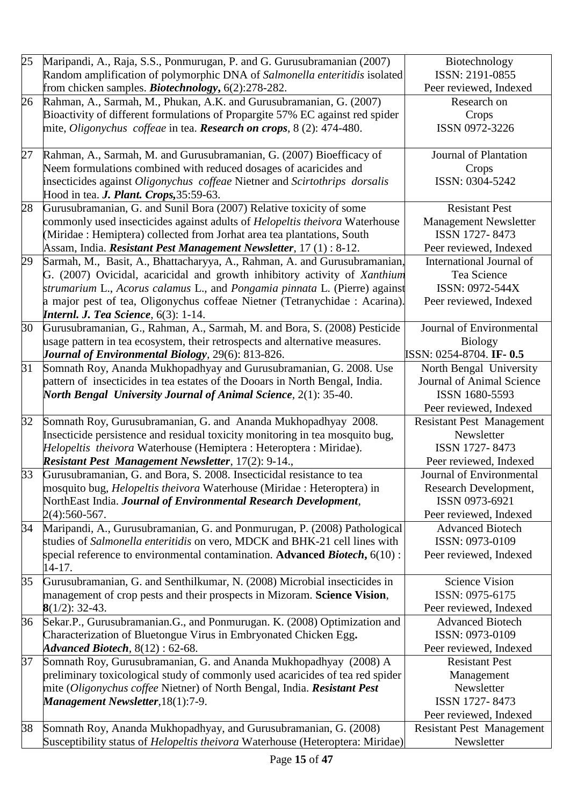| 25 | Maripandi, A., Raja, S.S., Ponmurugan, P. and G. Gurusubramanian (2007)<br>Random amplification of polymorphic DNA of Salmonella enteritidis isolated | Biotechnology<br>ISSN: 2191-0855                     |
|----|-------------------------------------------------------------------------------------------------------------------------------------------------------|------------------------------------------------------|
|    | from chicken samples. <b>Biotechnology</b> , 6(2):278-282.                                                                                            | Peer reviewed, Indexed                               |
| 26 | Rahman, A., Sarmah, M., Phukan, A.K. and Gurusubramanian, G. (2007)                                                                                   | Research on                                          |
|    | Bioactivity of different formulations of Propargite 57% EC against red spider                                                                         | Crops                                                |
|    | mite, <i>Oligonychus coffeae</i> in tea. <b>Research on crops</b> , 8 (2): 474-480.                                                                   | ISSN 0972-3226                                       |
|    |                                                                                                                                                       |                                                      |
| 27 | Rahman, A., Sarmah, M. and Gurusubramanian, G. (2007) Bioefficacy of                                                                                  | Journal of Plantation                                |
|    | Neem formulations combined with reduced dosages of acaricides and                                                                                     | Crops                                                |
|    | insecticides against Oligonychus coffeae Nietner and Scirtothrips dorsalis                                                                            | ISSN: 0304-5242                                      |
|    | Hood in tea. J. Plant. Crops, 35:59-63.                                                                                                               |                                                      |
| 28 | Gurusubramanian, G. and Sunil Bora (2007) Relative toxicity of some                                                                                   | <b>Resistant Pest</b>                                |
|    | commonly used insecticides against adults of <i>Helopeltis theivora</i> Waterhouse                                                                    | <b>Management Newsletter</b>                         |
|    | (Miridae : Hemiptera) collected from Jorhat area tea plantations, South                                                                               | ISSN 1727-8473                                       |
|    | Assam, India. Resistant Pest Management Newsletter, 17(1): 8-12.                                                                                      | Peer reviewed, Indexed                               |
| 29 | Sarmah, M., Basit, A., Bhattacharyya, A., Rahman, A. and Gurusubramanian,                                                                             | International Journal of                             |
|    | G. (2007) Ovicidal, acaricidal and growth inhibitory activity of Xanthium                                                                             | Tea Science                                          |
|    | strumarium L., Acorus calamus L., and Pongamia pinnata L. (Pierre) against                                                                            | ISSN: 0972-544X                                      |
|    | a major pest of tea, Oligonychus coffeae Nietner (Tetranychidae : Acarina).                                                                           | Peer reviewed, Indexed                               |
|    | <b>Internl. J. Tea Science</b> , $6(3)$ : 1-14.                                                                                                       |                                                      |
| 30 | Gurusubramanian, G., Rahman, A., Sarmah, M. and Bora, S. (2008) Pesticide                                                                             | Journal of Environmental                             |
|    | usage pattern in tea ecosystem, their retrospects and alternative measures.                                                                           | <b>Biology</b>                                       |
| 31 | Journal of Environmental Biology, 29(6): 813-826.                                                                                                     | ISSN: 0254-8704. IF- 0.5                             |
|    | Somnath Roy, Ananda Mukhopadhyay and Gurusubramanian, G. 2008. Use                                                                                    | North Bengal University<br>Journal of Animal Science |
|    | pattern of insecticides in tea estates of the Dooars in North Bengal, India.                                                                          | ISSN 1680-5593                                       |
|    | North Bengal University Journal of Animal Science, 2(1): 35-40.                                                                                       | Peer reviewed, Indexed                               |
| 32 | Somnath Roy, Gurusubramanian, G. and Ananda Mukhopadhyay 2008.                                                                                        | <b>Resistant Pest Management</b>                     |
|    | Insecticide persistence and residual toxicity monitoring in tea mosquito bug,                                                                         | Newsletter                                           |
|    | Helopeltis theivora Waterhouse (Hemiptera : Heteroptera : Miridae).                                                                                   | ISSN 1727-8473                                       |
|    | <b>Resistant Pest Management Newsletter</b> , 17(2): 9-14.,                                                                                           | Peer reviewed, Indexed                               |
| 33 | Gurusubramanian, G. and Bora, S. 2008. Insecticidal resistance to tea                                                                                 | Journal of Environmental                             |
|    | mosquito bug, <i>Helopeltis theivora</i> Waterhouse (Miridae : Heteroptera) in                                                                        | Research Development,                                |
|    | NorthEast India. Journal of Environmental Research Development,                                                                                       | ISSN 0973-6921                                       |
|    | 2(4):560-567.                                                                                                                                         | Peer reviewed, Indexed                               |
| 34 | Maripandi, A., Gurusubramanian, G. and Ponmurugan, P. (2008) Pathological                                                                             | <b>Advanced Biotech</b>                              |
|    | studies of Salmonella enteritidis on vero, MDCK and BHK-21 cell lines with                                                                            | ISSN: 0973-0109                                      |
|    | special reference to environmental contamination. Advanced <i>Biotech</i> , $6(10)$ :                                                                 | Peer reviewed, Indexed                               |
|    | 14-17.                                                                                                                                                |                                                      |
| 35 | Gurusubramanian, G. and Senthilkumar, N. (2008) Microbial insecticides in                                                                             | <b>Science Vision</b>                                |
|    | management of crop pests and their prospects in Mizoram. Science Vision,                                                                              | ISSN: 0975-6175                                      |
|    | $8(1/2)$ : 32-43.                                                                                                                                     | Peer reviewed, Indexed                               |
| 36 | Sekar.P., Gurusubramanian.G., and Ponmurugan. K. (2008) Optimization and                                                                              | <b>Advanced Biotech</b>                              |
|    | Characterization of Bluetongue Virus in Embryonated Chicken Egg.                                                                                      | ISSN: 0973-0109                                      |
|    | <i>Advanced Biotech</i> , $8(12): 62-68$ .                                                                                                            | Peer reviewed, Indexed                               |
| 37 | Somnath Roy, Gurusubramanian, G. and Ananda Mukhopadhyay (2008) A                                                                                     | <b>Resistant Pest</b>                                |
|    | preliminary toxicological study of commonly used acaricides of tea red spider                                                                         | Management                                           |
|    | mite (Oligonychus coffee Nietner) of North Bengal, India. Resistant Pest                                                                              | Newsletter                                           |
|    | <b>Management Newsletter, 18(1):7-9.</b>                                                                                                              | ISSN 1727-8473                                       |
|    |                                                                                                                                                       | Peer reviewed, Indexed                               |
| 38 | Somnath Roy, Ananda Mukhopadhyay, and Gurusubramanian, G. (2008)                                                                                      | <b>Resistant Pest Management</b>                     |
|    | Susceptibility status of <i>Helopeltis theivora</i> Waterhouse (Heteroptera: Miridae)                                                                 | Newsletter                                           |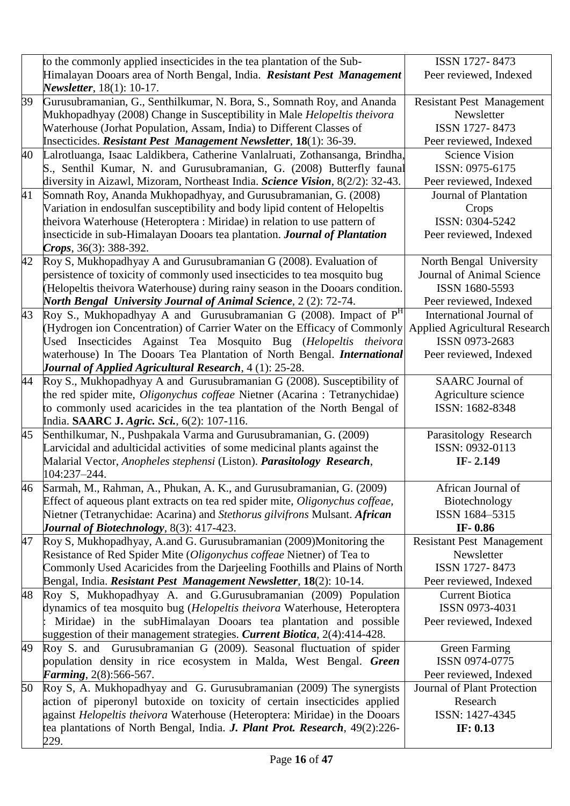|    | to the commonly applied insecticides in the tea plantation of the Sub-             | ISSN 1727-8473                       |
|----|------------------------------------------------------------------------------------|--------------------------------------|
|    | Himalayan Dooars area of North Bengal, India. Resistant Pest Management            | Peer reviewed, Indexed               |
|    | Newsletter, 18(1): 10-17.                                                          |                                      |
| 39 | Gurusubramanian, G., Senthilkumar, N. Bora, S., Somnath Roy, and Ananda            | <b>Resistant Pest Management</b>     |
|    | Mukhopadhyay (2008) Change in Susceptibility in Male Helopeltis theivora           | Newsletter                           |
|    | Waterhouse (Jorhat Population, Assam, India) to Different Classes of               | ISSN 1727-8473                       |
|    | Insecticides. Resistant Pest Management Newsletter, 18(1): 36-39.                  | Peer reviewed, Indexed               |
| 40 | Lalrotluanga, Isaac Laldikbera, Catherine Vanlalruati, Zothansanga, Brindha,       | <b>Science Vision</b>                |
|    | S., Senthil Kumar, N. and Gurusubramanian, G. (2008) Butterfly faunal              | ISSN: 0975-6175                      |
|    | diversity in Aizawl, Mizoram, Northeast India. Science Vision, 8(2/2): 32-43.      | Peer reviewed, Indexed               |
| 41 | Somnath Roy, Ananda Mukhopadhyay, and Gurusubramanian, G. (2008)                   | Journal of Plantation                |
|    | Variation in endosulfan susceptibility and body lipid content of Helopeltis        | Crops                                |
|    | theivora Waterhouse (Heteroptera: Miridae) in relation to use pattern of           | ISSN: 0304-5242                      |
|    | insecticide in sub-Himalayan Dooars tea plantation. Journal of Plantation          | Peer reviewed, Indexed               |
|    | Crops, $36(3)$ : 388-392.                                                          |                                      |
| 42 | Roy S, Mukhopadhyay A and Gurusubramanian G (2008). Evaluation of                  | North Bengal University              |
|    | persistence of toxicity of commonly used insecticides to tea mosquito bug          | Journal of Animal Science            |
|    | (Helopeltis theivora Waterhouse) during rainy season in the Dooars condition.      | ISSN 1680-5593                       |
|    | <b>North Bengal University Journal of Animal Science</b> , 2 (2): 72-74.           | Peer reviewed, Indexed               |
| 43 | Roy S., Mukhopadhyay A and Gurusubramanian G (2008). Impact of P <sup>H</sup>      | International Journal of             |
|    | (Hydrogen ion Concentration) of Carrier Water on the Efficacy of Commonly          | <b>Applied Agricultural Research</b> |
|    | Used Insecticides Against Tea Mosquito Bug (Helopeltis theivora                    | ISSN 0973-2683                       |
|    | waterhouse) In The Dooars Tea Plantation of North Bengal. International            | Peer reviewed, Indexed               |
|    | <b>Journal of Applied Agricultural Research, 4 (1): 25-28.</b>                     |                                      |
| 44 | Roy S., Mukhopadhyay A and Gurusubramanian G (2008). Susceptibility of             | <b>SAARC</b> Journal of              |
|    | the red spider mite, Oligonychus coffeae Nietner (Acarina : Tetranychidae)         | Agriculture science                  |
|    | to commonly used acaricides in the tea plantation of the North Bengal of           | ISSN: 1682-8348                      |
|    | India. SAARC J. Agric. Sci., 6(2): 107-116.                                        |                                      |
| 45 | Senthilkumar, N., Pushpakala Varma and Gurusubramanian, G. (2009)                  | Parasitology Research                |
|    | Larvicidal and adulticidal activities of some medicinal plants against the         | ISSN: 0932-0113                      |
|    | Malarial Vector, Anopheles stephensi (Liston). Parasitology Research,              | IF-2.149                             |
|    | 104:237-244.                                                                       |                                      |
| 46 | Sarmah, M., Rahman, A., Phukan, A. K., and Gurusubramanian, G. (2009)              | African Journal of                   |
|    | Effect of aqueous plant extracts on tea red spider mite, Oligonychus coffeae,      | Biotechnology                        |
|    | Nietner (Tetranychidae: Acarina) and Stethorus gilvifrons Mulsant. African         | ISSN 1684-5315                       |
|    | Journal of Biotechnology, 8(3): 417-423.                                           | IF-0.86                              |
| 47 | Roy S, Mukhopadhyay, A.and G. Gurusubramanian (2009)Monitoring the                 | <b>Resistant Pest Management</b>     |
|    | Resistance of Red Spider Mite (Oligonychus coffeae Nietner) of Tea to              | Newsletter                           |
|    | Commonly Used Acaricides from the Darjeeling Foothills and Plains of North         | ISSN 1727-8473                       |
|    | Bengal, India. Resistant Pest Management Newsletter, 18(2): 10-14.                 | Peer reviewed, Indexed               |
| 48 | Roy S, Mukhopadhyay A. and G.Gurusubramanian (2009) Population                     | <b>Current Biotica</b>               |
|    | dynamics of tea mosquito bug (Helopeltis theivora Waterhouse, Heteroptera          | ISSN 0973-4031                       |
|    | Miridae) in the subHimalayan Dooars tea plantation and possible                    | Peer reviewed, Indexed               |
|    | suggestion of their management strategies. Current Biotica, 2(4):414-428.          |                                      |
| 49 | Roy S. and Gurusubramanian G (2009). Seasonal fluctuation of spider                | <b>Green Farming</b>                 |
|    | population density in rice ecosystem in Malda, West Bengal. Green                  | ISSN 0974-0775                       |
|    | <i>Farming</i> , $2(8):566-567$ .                                                  | Peer reviewed, Indexed               |
| 50 | Roy S, A. Mukhopadhyay and G. Gurusubramanian (2009) The synergists                | Journal of Plant Protection          |
|    | action of piperonyl butoxide on toxicity of certain insecticides applied           | Research                             |
|    | against <i>Helopeltis theivora</i> Waterhouse (Heteroptera: Miridae) in the Dooars | ISSN: 1427-4345                      |
|    | tea plantations of North Bengal, India. J. Plant Prot. Research, 49(2):226-        | IF: 0.13                             |
|    |                                                                                    |                                      |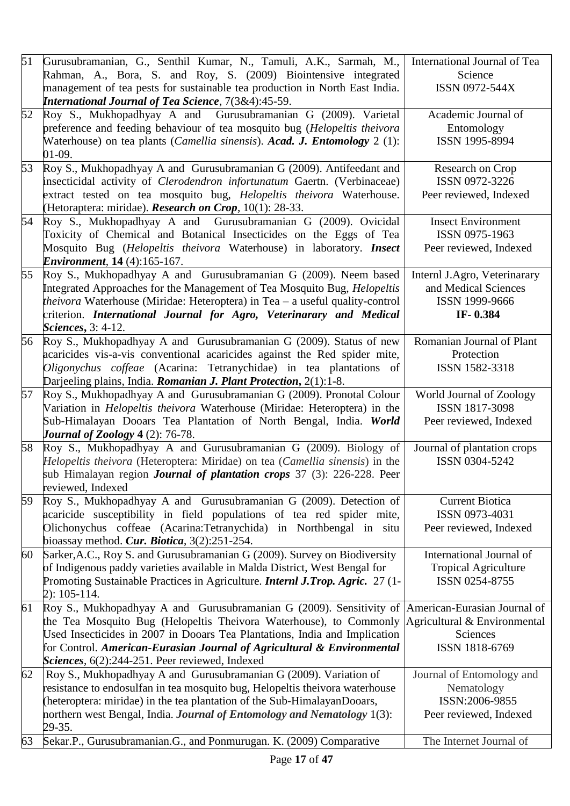| 51 | Gurusubramanian, G., Senthil Kumar, N., Tamuli, A.K., Sarmah, M.,<br>Rahman, A., Bora, S. and Roy, S. (2009) Biointensive integrated<br>management of tea pests for sustainable tea production in North East India.<br><b>International Journal of Tea Science</b> , 7(3&4):45-59.                                                                  | International Journal of Tea<br>Science<br>ISSN 0972-544X                                  |
|----|-----------------------------------------------------------------------------------------------------------------------------------------------------------------------------------------------------------------------------------------------------------------------------------------------------------------------------------------------------|--------------------------------------------------------------------------------------------|
| 52 | Roy S., Mukhopadhyay A and Gurusubramanian G (2009). Varietal<br>preference and feeding behaviour of tea mosquito bug (Helopeltis theivora<br>Waterhouse) on tea plants ( <i>Camellia sinensis</i> ). Acad. J. Entomology 2 (1):<br>$01-09.$                                                                                                        | Academic Journal of<br>Entomology<br>ISSN 1995-8994                                        |
| 53 | Roy S., Mukhopadhyay A and Gurusubramanian G (2009). Antifeedant and<br>insecticidal activity of Clerodendron infortunatum Gaertn. (Verbinaceae)<br>extract tested on tea mosquito bug, Helopeltis theivora Waterhouse.<br>(Hetoraptera: miridae). Research on Crop, 10(1): 28-33.                                                                  | Research on Crop<br>ISSN 0972-3226<br>Peer reviewed, Indexed                               |
| 54 | Roy S., Mukhopadhyay A and Gurusubramanian G (2009). Ovicidal<br>Toxicity of Chemical and Botanical Insecticides on the Eggs of Tea<br>Mosquito Bug (Helopeltis theivora Waterhouse) in laboratory. Insect<br><i>Environment</i> , 14 (4):165-167.                                                                                                  | <b>Insect Environment</b><br>ISSN 0975-1963<br>Peer reviewed, Indexed                      |
| 55 | Roy S., Mukhopadhyay A and Gurusubramanian G (2009). Neem based<br>Integrated Approaches for the Management of Tea Mosquito Bug, <i>Helopeltis</i><br><i>theivora</i> Waterhouse (Miridae: Heteroptera) in Tea – a useful quality-control<br>criterion. International Journal for Agro, Veterinarary and Medical<br>Sciences, 3: 4-12.              | Internl J.Agro, Veterinarary<br>and Medical Sciences<br>ISSN 1999-9666<br>IF-0.384         |
| 56 | Roy S., Mukhopadhyay A and Gurusubramanian G (2009). Status of new<br>acaricides vis-a-vis conventional acaricides against the Red spider mite,<br>Oligonychus coffeae (Acarina: Tetranychidae) in tea plantations of<br>Darjeeling plains, India. Romanian J. Plant Protection, 2(1):1-8.                                                          | Romanian Journal of Plant<br>Protection<br>ISSN 1582-3318                                  |
| 57 | Roy S., Mukhopadhyay A and Gurusubramanian G (2009). Pronotal Colour<br>Variation in <i>Helopeltis theivora</i> Waterhouse (Miridae: Heteroptera) in the<br>Sub-Himalayan Dooars Tea Plantation of North Bengal, India. World<br>Journal of Zoology $4(2)$ : 76-78.                                                                                 | World Journal of Zoology<br>ISSN 1817-3098<br>Peer reviewed, Indexed                       |
| 58 | Roy S., Mukhopadhyay A and Gurusubramanian G (2009). Biology of<br>Helopeltis theivora (Heteroptera: Miridae) on tea (Camellia sinensis) in the<br>sub Himalayan region <i>Journal of plantation crops</i> 37 (3): 226-228. Peer<br>reviewed, Indexed                                                                                               | Journal of plantation crops<br>ISSN 0304-5242                                              |
| 59 | Roy S., Mukhopadhyay A and Gurusubramanian G (2009). Detection of<br>acaricide susceptibility in field populations of tea red spider mite,<br>Olichonychus coffeae (Acarina:Tetranychida) in Northbengal in situ<br>bioassay method. Cur. Biotica, $3(2):251-254$ .                                                                                 | <b>Current Biotica</b><br>ISSN 0973-4031<br>Peer reviewed, Indexed                         |
| 60 | Sarker, A.C., Roy S. and Gurusubramanian G (2009). Survey on Biodiversity<br>of Indigenous paddy varieties available in Malda District, West Bengal for<br>Promoting Sustainable Practices in Agriculture. Internl J.Trop. Agric. 27 (1-<br>$2): 105 - 114.$                                                                                        | International Journal of<br><b>Tropical Agriculture</b><br>ISSN 0254-8755                  |
| 61 | Roy S., Mukhopadhyay A and Gurusubramanian G (2009). Sensitivity of<br>the Tea Mosquito Bug (Helopeltis Theivora Waterhouse), to Commonly<br>Used Insecticides in 2007 in Dooars Tea Plantations, India and Implication<br>for Control. American-Eurasian Journal of Agricultural & Environmental<br>Sciences, 6(2):244-251. Peer reviewed, Indexed | American-Eurasian Journal of<br>Agricultural & Environmental<br>Sciences<br>ISSN 1818-6769 |
| 62 | Roy S., Mukhopadhyay A and Gurusubramanian G (2009). Variation of<br>resistance to endosulfan in tea mosquito bug, Helopeltis theivora waterhouse<br>(heteroptera: miridae) in the tea plantation of the Sub-HimalayanDooars,<br>northern west Bengal, India. Journal of Entomology and Nematology 1(3):<br>29-35.                                  | Journal of Entomology and<br>Nematology<br>ISSN:2006-9855<br>Peer reviewed, Indexed        |
| 63 | Sekar.P., Gurusubramanian.G., and Ponmurugan. K. (2009) Comparative                                                                                                                                                                                                                                                                                 | The Internet Journal of                                                                    |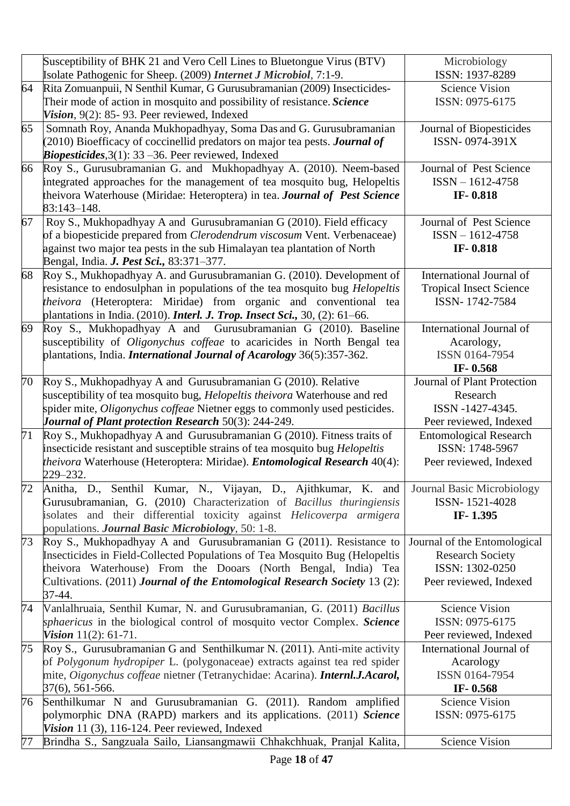|    | Susceptibility of BHK 21 and Vero Cell Lines to Bluetongue Virus (BTV)<br>Isolate Pathogenic for Sheep. (2009) Internet J Microbiol, 7:1-9. | Microbiology<br>ISSN: 1937-8289   |
|----|---------------------------------------------------------------------------------------------------------------------------------------------|-----------------------------------|
| 64 | Rita Zomuanpuii, N Senthil Kumar, G Gurusubramanian (2009) Insecticides-                                                                    | <b>Science Vision</b>             |
|    | Their mode of action in mosquito and possibility of resistance. Science                                                                     | ISSN: 0975-6175                   |
|    | Vision, 9(2): 85-93. Peer reviewed, Indexed                                                                                                 |                                   |
| 65 | Somnath Roy, Ananda Mukhopadhyay, Soma Das and G. Gurusubramanian                                                                           | Journal of Biopesticides          |
|    | (2010) Bioefficacy of coccinellid predators on major tea pests. <b>Journal of</b>                                                           | ISSN-0974-391X                    |
|    | <i>Biopesticides</i> , $3(1)$ : $33 - 36$ . Peer reviewed, Indexed                                                                          |                                   |
| 66 | Roy S., Gurusubramanian G. and Mukhopadhyay A. (2010). Neem-based                                                                           | Journal of Pest Science           |
|    | integrated approaches for the management of tea mosquito bug, Helopeltis                                                                    | $ISSN - 1612 - 4758$              |
|    | theivora Waterhouse (Miridae: Heteroptera) in tea. Journal of Pest Science                                                                  | IF-0.818                          |
|    | 83:143-148.                                                                                                                                 |                                   |
| 67 | Roy S., Mukhopadhyay A and Gurusubramanian G (2010). Field efficacy                                                                         | Journal of Pest Science           |
|    | of a biopesticide prepared from Clerodendrum viscosum Vent. Verbenaceae)                                                                    | $ISSN - 1612 - 4758$              |
|    | against two major tea pests in the sub Himalayan tea plantation of North                                                                    | IF-0.818                          |
|    | Bengal, India. J. Pest Sci., 83:371-377.                                                                                                    |                                   |
| 68 | Roy S., Mukhopadhyay A. and Gurusubramanian G. (2010). Development of                                                                       | International Journal of          |
|    | resistance to endosulphan in populations of the tea mosquito bug <i>Helopeltis</i>                                                          | <b>Tropical Insect Science</b>    |
|    | theivora (Heteroptera: Miridae) from organic and conventional tea                                                                           | ISSN-1742-7584                    |
|    | plantations in India. $(2010)$ . <i>Interl. J. Trop. Insect Sci.</i> , 30, $(2)$ : 61–66.                                                   |                                   |
| 69 | Roy S., Mukhopadhyay A and Gurusubramanian G (2010). Baseline                                                                               | International Journal of          |
|    | susceptibility of Oligonychus coffeae to acaricides in North Bengal tea                                                                     | Acarology,                        |
|    | plantations, India. <i>International Journal of Acarology</i> 36(5):357-362.                                                                | ISSN 0164-7954                    |
|    |                                                                                                                                             | IF-0.568                          |
| 70 | Roy S., Mukhopadhyay A and Gurusubramanian G (2010). Relative                                                                               | Journal of Plant Protection       |
|    | susceptibility of tea mosquito bug, <i>Helopeltis theivora</i> Waterhouse and red                                                           | Research                          |
|    | spider mite, <i>Oligonychus coffeae</i> Nietner eggs to commonly used pesticides.                                                           | ISSN -1427-4345.                  |
|    | <b>Journal of Plant protection Research 50(3): 244-249.</b>                                                                                 | Peer reviewed, Indexed            |
| 71 | Roy S., Mukhopadhyay A and Gurusubramanian G (2010). Fitness traits of                                                                      | <b>Entomological Research</b>     |
|    | insecticide resistant and susceptible strains of tea mosquito bug Helopeltis                                                                | ISSN: 1748-5967                   |
|    | <i>theivora</i> Waterhouse (Heteroptera: Miridae). <i>Entomological Research</i> 40(4):                                                     | Peer reviewed, Indexed            |
|    | 229-232.                                                                                                                                    |                                   |
|    | Anitha, D., Senthil Kumar, N., Vijayan, D., Ajithkumar, K. and                                                                              | <b>Journal Basic Microbiology</b> |
|    | Gurusubramanian, G. (2010) Characterization of Bacillus thuringiensis                                                                       | ISSN-1521-4028                    |
|    | isolates and their differential toxicity against Helicoverpa armigera                                                                       | IF-1.395                          |
|    | populations. Journal Basic Microbiology, 50: 1-8.                                                                                           |                                   |
| 73 | Roy S., Mukhopadhyay A and Gurusubramanian G (2011). Resistance to                                                                          | Journal of the Entomological      |
|    | Insecticides in Field-Collected Populations of Tea Mosquito Bug (Helopeltis                                                                 | <b>Research Society</b>           |
|    | theivora Waterhouse) From the Dooars (North Bengal, India) Tea                                                                              | ISSN: 1302-0250                   |
|    | Cultivations. (2011) Journal of the Entomological Research Society 13 (2):                                                                  | Peer reviewed, Indexed            |
|    | 37-44.                                                                                                                                      |                                   |
| 74 | Vanlalhruaia, Senthil Kumar, N. and Gurusubramanian, G. (2011) Bacillus                                                                     | <b>Science Vision</b>             |
|    | sphaericus in the biological control of mosquito vector Complex. Science                                                                    | ISSN: 0975-6175                   |
|    | Vision $11(2)$ : 61-71.                                                                                                                     | Peer reviewed, Indexed            |
| 75 | Roy S., Gurusubramanian G and Senthilkumar N. (2011). Anti-mite activity                                                                    | International Journal of          |
|    | of Polygonum hydropiper L. (polygonaceae) extracts against tea red spider                                                                   | Acarology                         |
|    | mite, Oigonychus coffeae nietner (Tetranychidae: Acarina). <b>Internl.J.Acarol</b> ,                                                        | ISSN 0164-7954                    |
|    | 37(6), 561-566.                                                                                                                             | IF-0.568                          |
| 76 | Senthilkumar N and Gurusubramanian G. (2011). Random amplified                                                                              | <b>Science Vision</b>             |
|    | polymorphic DNA (RAPD) markers and its applications. (2011) Science                                                                         | ISSN: 0975-6175                   |
|    | Vision 11 (3), 116-124. Peer reviewed, Indexed                                                                                              |                                   |
| 77 | Brindha S., Sangzuala Sailo, Liansangmawii Chhakchhuak, Pranjal Kalita,                                                                     | <b>Science Vision</b>             |
|    |                                                                                                                                             |                                   |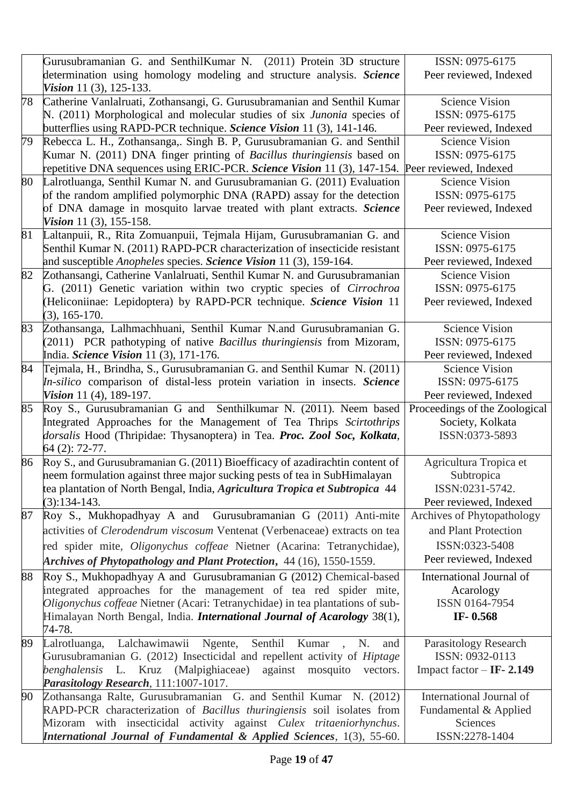|    | Gurusubramanian G. and SenthilKumar N. (2011) Protein 3D structure                              | ISSN: 0975-6175               |
|----|-------------------------------------------------------------------------------------------------|-------------------------------|
|    | determination using homology modeling and structure analysis. Science                           | Peer reviewed, Indexed        |
|    | Vision 11 $(3)$ , 125-133.                                                                      |                               |
| 78 | Catherine Vanlalruati, Zothansangi, G. Gurusubramanian and Senthil Kumar                        | <b>Science Vision</b>         |
|    | N. (2011) Morphological and molecular studies of six Junonia species of                         | ISSN: 0975-6175               |
|    | butterflies using RAPD-PCR technique. Science Vision 11 (3), 141-146.                           | Peer reviewed, Indexed        |
| 79 | Rebecca L. H., Zothansanga,. Singh B. P, Gurusubramanian G. and Senthil                         | <b>Science Vision</b>         |
|    | Kumar N. (2011) DNA finger printing of Bacillus thuringiensis based on                          | ISSN: 0975-6175               |
|    | repetitive DNA sequences using ERIC-PCR. Science Vision 11 (3), 147-154. Peer reviewed, Indexed |                               |
| 80 | Lalrotluanga, Senthil Kumar N. and Gurusubramanian G. (2011) Evaluation                         | <b>Science Vision</b>         |
|    | of the random amplified polymorphic DNA (RAPD) assay for the detection                          | ISSN: 0975-6175               |
|    | of DNA damage in mosquito larvae treated with plant extracts. Science                           | Peer reviewed, Indexed        |
|    | <i>Vision</i> 11 $(3)$ , 155-158.                                                               |                               |
| 81 | Laltanpuii, R., Rita Zomuanpuii, Tejmala Hijam, Gurusubramanian G. and                          | <b>Science Vision</b>         |
|    | Senthil Kumar N. (2011) RAPD-PCR characterization of insecticide resistant                      | ISSN: 0975-6175               |
|    | and susceptible <i>Anopheles</i> species. Science Vision 11 (3), 159-164.                       | Peer reviewed, Indexed        |
| 82 | Zothansangi, Catherine Vanlalruati, Senthil Kumar N. and Gurusubramanian                        | <b>Science Vision</b>         |
|    | G. (2011) Genetic variation within two cryptic species of Cirrochroa                            | ISSN: 0975-6175               |
|    | (Heliconiinae: Lepidoptera) by RAPD-PCR technique. Science Vision 11                            | Peer reviewed, Indexed        |
|    | $(3), 165-170.$                                                                                 |                               |
| 83 | Zothansanga, Lalhmachhuani, Senthil Kumar N.and Gurusubramanian G.                              | <b>Science Vision</b>         |
|    | (2011) PCR pathotyping of native Bacillus thuringiensis from Mizoram,                           | ISSN: 0975-6175               |
|    | India. Science Vision 11 (3), 171-176.                                                          | Peer reviewed, Indexed        |
| 84 | Tejmala, H., Brindha, S., Gurusubramanian G. and Senthil Kumar N. (2011)                        | <b>Science Vision</b>         |
|    | In-silico comparison of distal-less protein variation in insects. Science                       | ISSN: 0975-6175               |
|    | Vision 11 (4), 189-197.                                                                         | Peer reviewed, Indexed        |
| 85 | Roy S., Gurusubramanian G and Senthilkumar N. (2011). Neem based                                | Proceedings of the Zoological |
|    | Integrated Approaches for the Management of Tea Thrips Scirtothrips                             | Society, Kolkata              |
|    |                                                                                                 |                               |
|    | dorsalis Hood (Thripidae: Thysanoptera) in Tea. Proc. Zool Soc, Kolkata,                        | ISSN:0373-5893                |
|    | 64 (2): 72-77.                                                                                  |                               |
| 86 | Roy S., and Gurusubramanian G. (2011) Bioefficacy of azadirachtin content of                    | Agricultura Tropica et        |
|    | neem formulation against three major sucking pests of tea in SubHimalayan                       | Subtropica                    |
|    | tea plantation of North Bengal, India, Agricultura Tropica et Subtropica 44                     | ISSN:0231-5742.               |
|    | $(3):134-143.$                                                                                  | Peer reviewed, Indexed        |
| 87 | Roy S., Mukhopadhyay A and Gurusubramanian G (2011) Anti-mite                                   | Archives of Phytopathology    |
|    | activities of <i>Clerodendrum viscosum</i> Ventenat (Verbenaceae) extracts on tea               | and Plant Protection          |
|    | red spider mite, Oligonychus coffeae Nietner (Acarina: Tetranychidae),                          | ISSN:0323-5408                |
|    | Archives of Phytopathology and Plant Protection, 44 (16), 1550-1559.                            | Peer reviewed, Indexed        |
|    |                                                                                                 | International Journal of      |
| 88 | Roy S., Mukhopadhyay A and Gurusubramanian G (2012) Chemical-based                              |                               |
|    | integrated approaches for the management of tea red spider mite,                                | Acarology<br>ISSN 0164-7954   |
|    | Oligonychus coffeae Nietner (Acari: Tetranychidae) in tea plantations of sub-                   | IF-0.568                      |
|    | Himalayan North Bengal, India. <i>International Journal of Acarology</i> 38(1),<br>74-78.       |                               |
| 89 | Lalrotluanga, Lalchawimawii Ngente,<br>Senthil Kumar, N.<br>and                                 | Parasitology Research         |
|    | Gurusubramanian G. (2012) Insecticidal and repellent activity of <i>Hiptage</i>                 | ISSN: 0932-0113               |
|    | benghalensis<br>L. Kruz (Malpighiaceae)<br>against<br>mosquito<br>vectors.                      | Impact factor $-$ IF- 2.149   |
|    | Parasitology Research, 111:1007-1017.                                                           |                               |
| 90 | Zothansanga Ralte, Gurusubramanian G. and Senthil Kumar N. (2012)                               | International Journal of      |
|    | RAPD-PCR characterization of Bacillus thuringiensis soil isolates from                          | Fundamental & Applied         |
|    | Mizoram with insecticidal activity against Culex tritaeniorhynchus.                             | Sciences                      |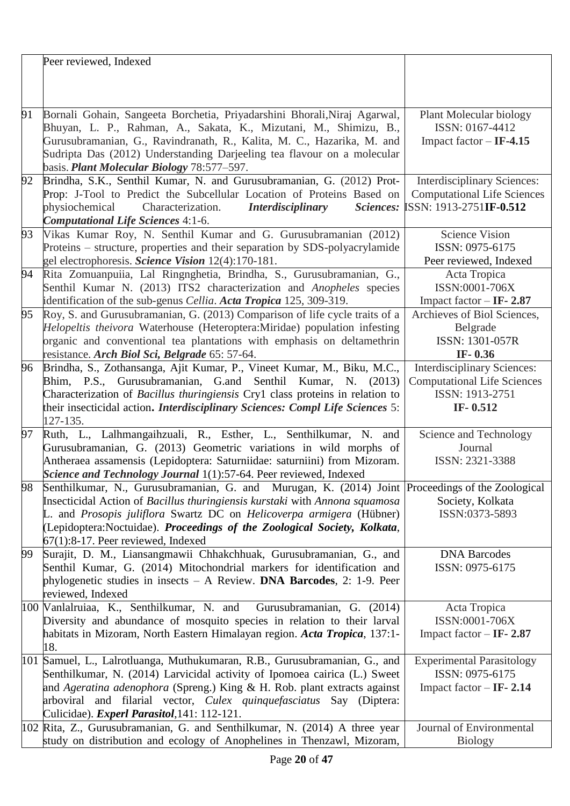|    | Peer reviewed, Indexed                                                                                                                      |                                                     |
|----|---------------------------------------------------------------------------------------------------------------------------------------------|-----------------------------------------------------|
|    |                                                                                                                                             |                                                     |
|    |                                                                                                                                             |                                                     |
|    |                                                                                                                                             |                                                     |
| 91 | Bornali Gohain, Sangeeta Borchetia, Priyadarshini Bhorali, Niraj Agarwal,                                                                   | Plant Molecular biology<br>ISSN: 0167-4412          |
|    | Bhuyan, L. P., Rahman, A., Sakata, K., Mizutani, M., Shimizu, B.,<br>Gurusubramanian, G., Ravindranath, R., Kalita, M. C., Hazarika, M. and | Impact factor $-$ IF-4.15                           |
|    | Sudripta Das (2012) Understanding Darjeeling tea flavour on a molecular                                                                     |                                                     |
|    | basis. Plant Molecular Biology 78:577-597.                                                                                                  |                                                     |
| 92 | Brindha, S.K., Senthil Kumar, N. and Gurusubramanian, G. (2012) Prot-                                                                       | <b>Interdisciplinary Sciences:</b>                  |
|    | Prop: J-Tool to Predict the Subcellular Location of Proteins Based on                                                                       | <b>Computational Life Sciences</b>                  |
|    | physiochemical<br>Characterization.<br><i>Interdisciplinary</i><br>Sciences:                                                                | SSN: 1913-2751IF-0.512                              |
|    | <b>Computational Life Sciences 4:1-6.</b>                                                                                                   |                                                     |
| 93 | Vikas Kumar Roy, N. Senthil Kumar and G. Gurusubramanian (2012)                                                                             | <b>Science Vision</b>                               |
|    | Proteins – structure, properties and their separation by SDS-polyacrylamide                                                                 | ISSN: 0975-6175                                     |
|    | gel electrophoresis. Science Vision 12(4):170-181.                                                                                          | Peer reviewed, Indexed                              |
| 94 | Rita Zomuanpuiia, Lal Ringnghetia, Brindha, S., Gurusubramanian, G.,                                                                        | Acta Tropica                                        |
|    | Senthil Kumar N. (2013) ITS2 characterization and Anopheles species                                                                         | ISSN:0001-706X                                      |
|    | identification of the sub-genus Cellia. Acta Tropica 125, 309-319.                                                                          | Impact factor $-$ IF- 2.87                          |
| 95 | Roy, S. and Gurusubramanian, G. (2013) Comparison of life cycle traits of a                                                                 | Archieves of Biol Sciences,                         |
|    | Helopeltis theivora Waterhouse (Heteroptera:Miridae) population infesting                                                                   | Belgrade                                            |
|    | organic and conventional tea plantations with emphasis on deltamethrin                                                                      | ISSN: 1301-057R                                     |
|    | resistance. Arch Biol Sci, Belgrade 65: 57-64.                                                                                              | IF- $0.36$                                          |
| 96 | Brindha, S., Zothansanga, Ajit Kumar, P., Vineet Kumar, M., Biku, M.C.,                                                                     | <b>Interdisciplinary Sciences:</b>                  |
|    | Bhim, P.S., Gurusubramanian, G.and Senthil Kumar, N. (2013)                                                                                 | <b>Computational Life Sciences</b>                  |
|    | Characterization of Bacillus thuringiensis Cry1 class proteins in relation to                                                               | ISSN: 1913-2751                                     |
|    | their insecticidal action. Interdisciplinary Sciences: Compl Life Sciences 5:<br>127-135.                                                   | IF- $0.512$                                         |
| 97 | Ruth, L., Lalhmangaihzuali, R., Esther, L., Senthilkumar, N. and                                                                            | Science and Technology                              |
|    | Gurusubramanian, G. (2013) Geometric variations in wild morphs of                                                                           | Journal                                             |
|    | Antheraea assamensis (Lepidoptera: Saturniidae: saturniini) from Mizoram.                                                                   | ISSN: 2321-3388                                     |
|    | Science and Technology Journal 1(1):57-64. Peer reviewed, Indexed                                                                           |                                                     |
| 98 | Senthilkumar, N., Gurusubramanian, G. and Murugan, K. (2014) Joint Proceedings of the Zoological                                            |                                                     |
|    |                                                                                                                                             |                                                     |
|    | Insecticidal Action of Bacillus thuringiensis kurstaki with Annona squamosa                                                                 | Society, Kolkata                                    |
|    | L. and Prosopis juliflora Swartz DC on Helicoverpa armigera (Hübner)                                                                        | ISSN:0373-5893                                      |
|    | (Lepidoptera:Noctuidae). Proceedings of the Zoological Society, Kolkata,                                                                    |                                                     |
|    | $67(1)$ : 8-17. Peer reviewed, Indexed                                                                                                      |                                                     |
| 99 | Surajit, D. M., Liansangmawii Chhakchhuak, Gurusubramanian, G., and                                                                         | <b>DNA Barcodes</b>                                 |
|    | Senthil Kumar, G. (2014) Mitochondrial markers for identification and                                                                       | ISSN: 0975-6175                                     |
|    | phylogenetic studies in insects - A Review. DNA Barcodes, 2: 1-9. Peer                                                                      |                                                     |
|    | reviewed, Indexed                                                                                                                           |                                                     |
|    | 100 Vanlalruiaa, K., Senthilkumar, N. and Gurusubramanian, G. (2014)                                                                        | Acta Tropica                                        |
|    | Diversity and abundance of mosquito species in relation to their larval                                                                     | ISSN:0001-706X                                      |
|    | habitats in Mizoram, North Eastern Himalayan region. Acta Tropica, 137:1-                                                                   | Impact factor $-$ IF- 2.87                          |
|    | 18.                                                                                                                                         |                                                     |
|    | 101 Samuel, L., Lalrotluanga, Muthukumaran, R.B., Gurusubramanian, G., and                                                                  | <b>Experimental Parasitology</b><br>ISSN: 0975-6175 |
|    | Senthilkumar, N. (2014) Larvicidal activity of Ipomoea cairica (L.) Sweet                                                                   |                                                     |
|    | and Ageratina adenophora (Spreng.) King & H. Rob. plant extracts against                                                                    | Impact factor $-$ IF- 2.14                          |
|    | arboviral and filarial vector, <i>Culex quinquefasciatus</i> Say (Diptera:<br>Culicidae). <i>Experl Parasitol</i> , 141: 112-121.           |                                                     |
|    | 102 Rita, Z., Gurusubramanian, G. and Senthilkumar, N. (2014) A three year                                                                  | Journal of Environmental                            |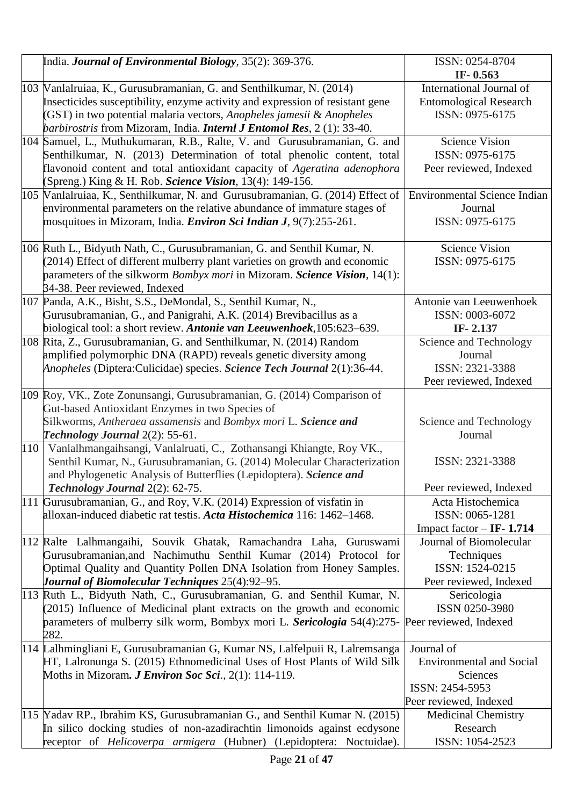|     | India. Journal of Environmental Biology, 35(2): 369-376.                                                                                                                                                                                                                                                         | ISSN: 0254-8704<br>IF-0.563                                                                            |
|-----|------------------------------------------------------------------------------------------------------------------------------------------------------------------------------------------------------------------------------------------------------------------------------------------------------------------|--------------------------------------------------------------------------------------------------------|
|     | 103 Wanlalruiaa, K., Gurusubramanian, G. and Senthilkumar, N. (2014)<br>Insecticides susceptibility, enzyme activity and expression of resistant gene<br>(GST) in two potential malaria vectors, Anopheles jamesii & Anopheles<br>barbirostris from Mizoram, India. <i>Internl J Entomol Res</i> , 2 (1): 33-40. | International Journal of<br><b>Entomological Research</b><br>ISSN: 0975-6175                           |
|     | 104 Samuel, L., Muthukumaran, R.B., Ralte, V. and Gurusubramanian, G. and<br>Senthilkumar, N. (2013) Determination of total phenolic content, total<br>flavonoid content and total antioxidant capacity of Ageratina adenophora<br>(Spreng.) King & H. Rob. Science Vision, 13(4): 149-156.                      | <b>Science Vision</b><br>ISSN: 0975-6175<br>Peer reviewed, Indexed                                     |
|     | 105   Vanlalruiaa, K., Senthilkumar, N. and Gurusubramanian, G. (2014) Effect of<br>environmental parameters on the relative abundance of immature stages of<br>mosquitoes in Mizoram, India. <i>Environ Sci Indian J</i> , 9(7):255-261.                                                                        | <b>Environmental Science Indian</b><br>Journal<br>ISSN: 0975-6175                                      |
|     | 106 Ruth L., Bidyuth Nath, C., Gurusubramanian, G. and Senthil Kumar, N.<br>(2014) Effect of different mulberry plant varieties on growth and economic<br>parameters of the silkworm <i>Bombyx mori</i> in Mizoram. <i>Science Vision</i> , 14(1):<br>34-38. Peer reviewed, Indexed                              | <b>Science Vision</b><br>ISSN: 0975-6175                                                               |
|     | 107 Panda, A.K., Bisht, S.S., DeMondal, S., Senthil Kumar, N.,<br>Gurusubramanian, G., and Panigrahi, A.K. (2014) Brevibacillus as a<br>biological tool: a short review. Antonie van Leeuwenhoek, 105:623–639.                                                                                                   | Antonie van Leeuwenhoek<br>ISSN: 0003-6072<br>IF-2.137                                                 |
|     | 108 Rita, Z., Gurusubramanian, G. and Senthilkumar, N. (2014) Random<br>amplified polymorphic DNA (RAPD) reveals genetic diversity among<br>Anopheles (Diptera:Culicidae) species. Science Tech Journal 2(1):36-44.                                                                                              | Science and Technology<br>Journal<br>ISSN: 2321-3388<br>Peer reviewed, Indexed                         |
|     | 109 Roy, VK., Zote Zonunsangi, Gurusubramanian, G. (2014) Comparison of<br>Gut-based Antioxidant Enzymes in two Species of<br>Silkworms, Antheraea assamensis and Bombyx mori L. Science and<br>Technology Journal 2(2): 55-61.                                                                                  | Science and Technology<br>Journal                                                                      |
| 110 | Vanlalhmangaihsangi, Vanlalruati, C., Zothansangi Khiangte, Roy VK.,<br>Senthil Kumar, N., Gurusubramanian, G. (2014) Molecular Characterization<br>and Phylogenetic Analysis of Butterflies (Lepidoptera). Science and<br>Technology Journal 2(2): 62-75.                                                       | ISSN: 2321-3388<br>Peer reviewed, Indexed                                                              |
|     | 111 Gurusubramanian, G., and Roy, V.K. (2014) Expression of visfatin in<br>alloxan-induced diabetic rat testis. Acta Histochemica 116: 1462-1468.                                                                                                                                                                | Acta Histochemica<br>ISSN: 0065-1281<br>Impact factor $-$ IF- 1.714                                    |
|     | 112 Ralte Lalhmangaihi, Souvik Ghatak, Ramachandra Laha, Guruswami<br>Gurusubramanian, and Nachimuthu Senthil Kumar (2014) Protocol for<br>Optimal Quality and Quantity Pollen DNA Isolation from Honey Samples.<br>Journal of Biomolecular Techniques 25(4):92-95.                                              | Journal of Biomolecular<br>Techniques<br>ISSN: 1524-0215<br>Peer reviewed, Indexed                     |
|     | 113 Ruth L., Bidyuth Nath, C., Gurusubramanian, G. and Senthil Kumar, N.<br>(2015) Influence of Medicinal plant extracts on the growth and economic<br>parameters of mulberry silk worm, Bombyx mori L. Sericologia 54(4):275-<br>282.                                                                           | Sericologia<br>ISSN 0250-3980<br>Peer reviewed, Indexed                                                |
|     | 114 Lalhmingliani E, Gurusubramanian G, Kumar NS, Lalfelpuii R, Lalremsanga<br>HT, Lalronunga S. (2015) Ethnomedicinal Uses of Host Plants of Wild Silk<br>Moths in Mizoram. <i>J Environ Soc Sci.</i> , $2(1)$ : 114-119.                                                                                       | Journal of<br><b>Environmental and Social</b><br>Sciences<br>ISSN: 2454-5953<br>Peer reviewed, Indexed |
|     | 115 Yadav RP., Ibrahim KS, Gurusubramanian G., and Senthil Kumar N. (2015)<br>In silico docking studies of non-azadirachtin limonoids against ecdysone<br>receptor of Helicoverpa armigera (Hubner) (Lepidoptera: Noctuidae).                                                                                    | <b>Medicinal Chemistry</b><br>Research<br>ISSN: 1054-2523                                              |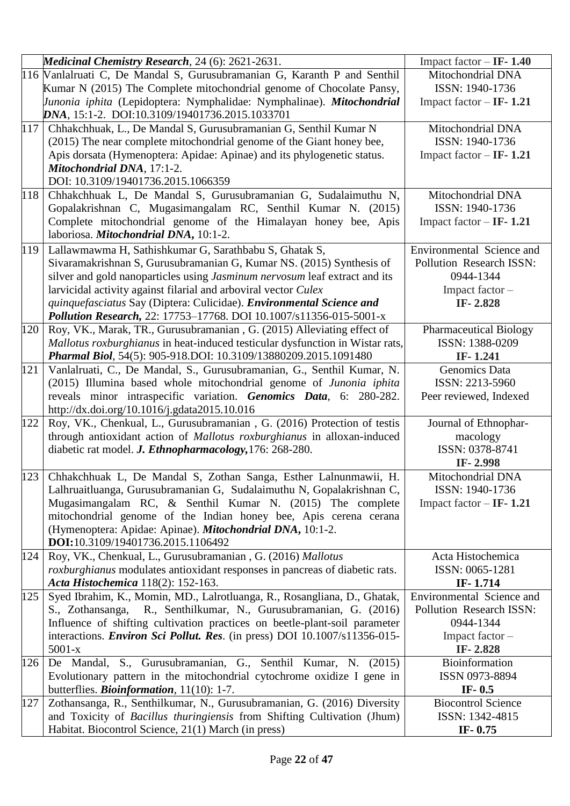|     | Medicinal Chemistry Research, 24 (6): 2621-2631.                                                                                                   | Impact factor $-$ IF- 1.40    |
|-----|----------------------------------------------------------------------------------------------------------------------------------------------------|-------------------------------|
|     | 116 Vanlalruati C, De Mandal S, Gurusubramanian G, Karanth P and Senthil                                                                           | Mitochondrial DNA             |
|     | Kumar N (2015) The Complete mitochondrial genome of Chocolate Pansy,                                                                               | ISSN: 1940-1736               |
|     | <i>Junonia iphita</i> (Lepidoptera: Nymphalidae: Nymphalinae). Mitochondrial                                                                       | Impact factor $-$ IF- 1.21    |
|     | DNA, 15:1-2. DOI:10.3109/19401736.2015.1033701                                                                                                     |                               |
| 117 | Chhakchhuak, L., De Mandal S, Gurusubramanian G, Senthil Kumar N                                                                                   | Mitochondrial DNA             |
|     | (2015) The near complete mitochondrial genome of the Giant honey bee,                                                                              | ISSN: 1940-1736               |
|     | Apis dorsata (Hymenoptera: Apidae: Apinae) and its phylogenetic status.                                                                            | Impact factor $-$ IF- 1.21    |
|     | Mitochondrial DNA, 17:1-2.                                                                                                                         |                               |
|     | DOI: 10.3109/19401736.2015.1066359                                                                                                                 |                               |
| 118 | Chhakchhuak L, De Mandal S, Gurusubramanian G, Sudalaimuthu N,                                                                                     | Mitochondrial DNA             |
|     | Gopalakrishnan C, Mugasimangalam RC, Senthil Kumar N. (2015)                                                                                       | ISSN: 1940-1736               |
|     | Complete mitochondrial genome of the Himalayan honey bee, Apis                                                                                     | Impact factor $-$ IF- 1.21    |
|     | laboriosa. Mitochondrial DNA, 10:1-2.                                                                                                              |                               |
| 119 | Lallawmawma H, Sathishkumar G, Sarathbabu S, Ghatak S,                                                                                             | Environmental Science and     |
|     | Sivaramakrishnan S, Gurusubramanian G, Kumar NS. (2015) Synthesis of                                                                               | Pollution Research ISSN:      |
|     | silver and gold nanoparticles using Jasminum nervosum leaf extract and its                                                                         | 0944-1344                     |
|     | larvicidal activity against filarial and arboviral vector Culex                                                                                    | Impact factor-                |
|     | quinquefasciatus Say (Diptera: Culicidae). Environmental Science and                                                                               | IF-2.828                      |
|     | Pollution Research, 22: 17753-17768. DOI 10.1007/s11356-015-5001-x                                                                                 |                               |
| 120 | Roy, VK., Marak, TR., Gurusubramanian, G. (2015) Alleviating effect of                                                                             | <b>Pharmaceutical Biology</b> |
|     | Mallotus roxburghianus in heat-induced testicular dysfunction in Wistar rats,                                                                      | ISSN: 1388-0209               |
|     | Pharmal Biol, 54(5): 905-918.DOI: 10.3109/13880209.2015.1091480                                                                                    | IF-1.241                      |
| 121 | Vanlalruati, C., De Mandal, S., Gurusubramanian, G., Senthil Kumar, N.                                                                             | Genomics Data                 |
|     | (2015) Illumina based whole mitochondrial genome of Junonia iphita                                                                                 | ISSN: 2213-5960               |
|     | reveals minor intraspecific variation. Genomics Data, 6: 280-282.                                                                                  | Peer reviewed, Indexed        |
|     | http://dx.doi.org/10.1016/j.gdata2015.10.016                                                                                                       |                               |
| 122 | Roy, VK., Chenkual, L., Gurusubramanian, G. (2016) Protection of testis<br>through antioxidant action of Mallotus roxburghianus in alloxan-induced | Journal of Ethnophar-         |
|     | diabetic rat model. J. Ethnopharmacology, 176: 268-280.                                                                                            | macology<br>ISSN: 0378-8741   |
|     |                                                                                                                                                    | IF-2.998                      |
| 123 | Chhakchhuak L, De Mandal S, Zothan Sanga, Esther Lalnunmawii, H.                                                                                   | Mitochondrial DNA             |
|     | Lalhruaitluanga, Gurusubramanian G, Sudalaimuthu N, Gopalakrishnan C,                                                                              | ISSN: 1940-1736               |
|     | Mugasimangalam RC, & Senthil Kumar N. (2015) The complete                                                                                          | Impact factor $-$ IF- 1.21    |
|     | mitochondrial genome of the Indian honey bee, Apis cerena cerana                                                                                   |                               |
|     | (Hymenoptera: Apidae: Apinae). Mitochondrial DNA, 10:1-2.                                                                                          |                               |
|     | DOI:10.3109/19401736.2015.1106492                                                                                                                  |                               |
| 124 | Roy, VK., Chenkual, L., Gurusubramanian, G. (2016) Mallotus                                                                                        | Acta Histochemica             |
|     | <i>roxburghianus</i> modulates antioxidant responses in pancreas of diabetic rats.                                                                 | ISSN: 0065-1281               |
|     | Acta Histochemica 118(2): 152-163.                                                                                                                 | IF-1.714                      |
| 125 | Syed Ibrahim, K., Momin, MD., Lalrotluanga, R., Rosangliana, D., Ghatak,                                                                           | Environmental Science and     |
|     | R., Senthilkumar, N., Gurusubramanian, G. (2016)<br>S., Zothansanga,                                                                               | Pollution Research ISSN:      |
|     | Influence of shifting cultivation practices on beetle-plant-soil parameter                                                                         | 0944-1344                     |
|     | interactions. <i>Environ Sci Pollut. Res.</i> (in press) DOI 10.1007/s11356-015-                                                                   | Impact factor -               |
|     | $5001 - x$                                                                                                                                         | IF-2.828                      |
| 126 | Mandal, S., Gurusubramanian, G., Senthil Kumar, N. (2015)<br>De                                                                                    | Bioinformation                |
|     | Evolutionary pattern in the mitochondrial cytochrome oxidize I gene in                                                                             | ISSN 0973-8894                |
|     | butterflies. <i>Bioinformation</i> , 11(10): 1-7.                                                                                                  | IF- $0.5$                     |
| 127 | Zothansanga, R., Senthilkumar, N., Gurusubramanian, G. (2016) Diversity                                                                            | <b>Biocontrol Science</b>     |
|     | and Toxicity of Bacillus thuringiensis from Shifting Cultivation (Jhum)                                                                            | ISSN: 1342-4815               |
|     | Habitat. Biocontrol Science, 21(1) March (in press)                                                                                                | IF-0.75                       |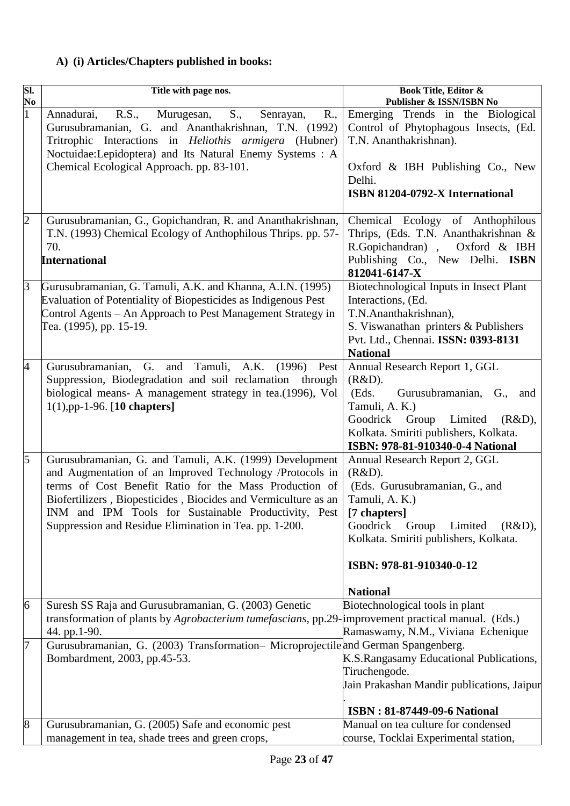# **A) (i) Articles/Chapters published in books:**

| SI.            | Title with page nos.                                                                                                                                                                                                                                                                                                                                              | <b>Book Title, Editor &amp;</b>                                                                                                                                                                                                               |
|----------------|-------------------------------------------------------------------------------------------------------------------------------------------------------------------------------------------------------------------------------------------------------------------------------------------------------------------------------------------------------------------|-----------------------------------------------------------------------------------------------------------------------------------------------------------------------------------------------------------------------------------------------|
| No             |                                                                                                                                                                                                                                                                                                                                                                   | Publisher & ISSN/ISBN No                                                                                                                                                                                                                      |
| $\mathbf{1}$   | S.,<br>R.,<br>R.S.,<br>Murugesan,<br>Senrayan,<br>Annadurai,<br>Gurusubramanian, G. and Ananthakrishnan, T.N. (1992)<br>Tritrophic Interactions in <i>Heliothis armigera</i> (Hubner)<br>Noctuidae: Lepidoptera) and Its Natural Enemy Systems : A                                                                                                                | Emerging Trends in the Biological<br>Control of Phytophagous Insects, (Ed.<br>T.N. Ananthakrishnan).                                                                                                                                          |
|                | Chemical Ecological Approach. pp. 83-101.                                                                                                                                                                                                                                                                                                                         | Oxford & IBH Publishing Co., New<br>Delhi.<br>ISBN 81204-0792-X International                                                                                                                                                                 |
| $\overline{2}$ | Gurusubramanian, G., Gopichandran, R. and Ananthakrishnan,<br>T.N. (1993) Chemical Ecology of Anthophilous Thrips. pp. 57-<br>70.<br><b>International</b>                                                                                                                                                                                                         | Chemical Ecology of Anthophilous<br>Thrips, (Eds. T.N. Ananthakrishnan &<br>R.Gopichandran), Oxford & IBH<br>Publishing Co., New Delhi. ISBN<br>812041-6147-X                                                                                 |
| 3              | Gurusubramanian, G. Tamuli, A.K. and Khanna, A.I.N. (1995)<br>Evaluation of Potentiality of Biopesticides as Indigenous Pest<br>Control Agents - An Approach to Pest Management Strategy in<br>Tea. (1995), pp. 15-19.                                                                                                                                            | Biotechnological Inputs in Insect Plant<br>Interactions, (Ed.<br>T.N.Ananthakrishnan),<br>S. Viswanathan printers & Publishers<br>Pvt. Ltd., Chennai. ISSN: 0393-8131<br><b>National</b>                                                      |
| $\overline{4}$ | Gurusubramanian, G. and Tamuli, A.K. (1996) Pest<br>Suppression, Biodegradation and soil reclamation through<br>biological means- A management strategy in tea.(1996), Vol<br>$1(1), pp-1-96.$ [10 chapters]                                                                                                                                                      | Annual Research Report 1, GGL<br>(R&D).<br>Gurusubramanian, G.,<br>(Eds.<br>and<br>Tamuli, A. K.)<br>Goodrick Group Limited (R&D),<br>Kolkata. Smiriti publishers, Kolkata.<br>ISBN: 978-81-910340-0-4 National                               |
| $\overline{5}$ | Gurusubramanian, G. and Tamuli, A.K. (1999) Development<br>and Augmentation of an Improved Technology /Protocols in<br>terms of Cost Benefit Ratio for the Mass Production of<br>Biofertilizers, Biopesticides, Biocides and Vermiculture as an<br>INM and IPM Tools for Sustainable Productivity, Pest<br>Suppression and Residue Elimination in Tea. pp. 1-200. | Annual Research Report 2, GGL<br>(R&D).<br>(Eds. Gurusubramanian, G., and<br>Tamuli, A. K.)<br>[7 chapters]<br>Goodrick<br>Limited<br>(R&D),<br>Group<br>Kolkata. Smiriti publishers, Kolkata.<br>ISBN: 978-81-910340-0-12<br><b>National</b> |
| 6              | Suresh SS Raja and Gurusubramanian, G. (2003) Genetic<br>transformation of plants by Agrobacterium tumefascians, pp.29-improvement practical manual. (Eds.)<br>44. pp.1-90.                                                                                                                                                                                       | Biotechnological tools in plant<br>Ramaswamy, N.M., Viviana Echenique                                                                                                                                                                         |
| 7              | Gurusubramanian, G. (2003) Transformation-Microprojectile and German Spangenberg.<br>Bombardment, 2003, pp.45-53.                                                                                                                                                                                                                                                 | K.S.Rangasamy Educational Publications,<br>Tiruchengode.<br>Jain Prakashan Mandir publications, Jaipur<br><b>ISBN: 81-87449-09-6 National</b>                                                                                                 |
| $\vert 8$      | Gurusubramanian, G. (2005) Safe and economic pest<br>management in tea, shade trees and green crops,                                                                                                                                                                                                                                                              | Manual on tea culture for condensed<br>course, Tocklai Experimental station,                                                                                                                                                                  |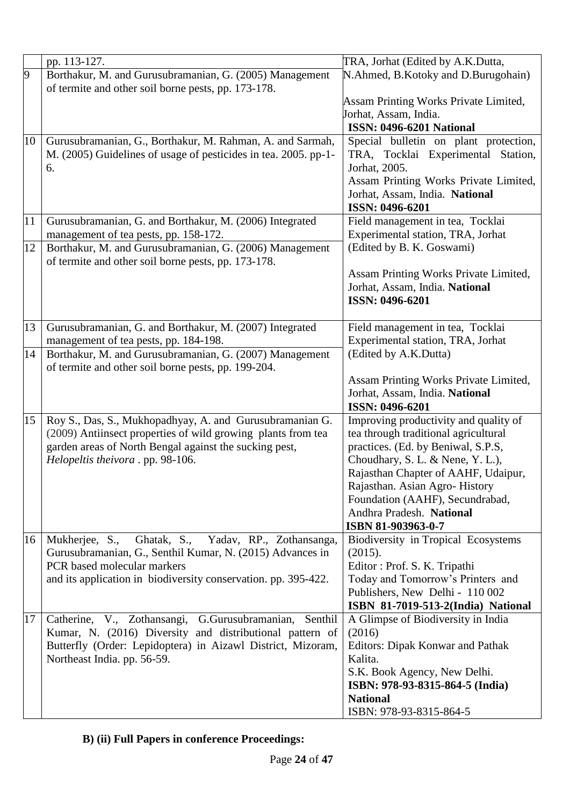|                | pp. 113-127.                                                    | TRA, Jorhat (Edited by A.K.Dutta,                           |
|----------------|-----------------------------------------------------------------|-------------------------------------------------------------|
| $\overline{9}$ | Borthakur, M. and Gurusubramanian, G. (2005) Management         | N.Ahmed, B.Kotoky and D.Burugohain)                         |
|                | of termite and other soil borne pests, pp. 173-178.             |                                                             |
|                |                                                                 | Assam Printing Works Private Limited,                       |
|                |                                                                 | Jorhat, Assam, India.                                       |
|                |                                                                 | <b>ISSN: 0496-6201 National</b>                             |
| 10             | Gurusubramanian, G., Borthakur, M. Rahman, A. and Sarmah,       | Special bulletin on plant protection,                       |
|                | M. (2005) Guidelines of usage of pesticides in tea. 2005. pp-1- | TRA, Tocklai Experimental Station,                          |
|                | 6.                                                              | Jorhat, 2005.                                               |
|                |                                                                 | Assam Printing Works Private Limited,                       |
|                |                                                                 | Jorhat, Assam, India. National                              |
|                |                                                                 | ISSN: 0496-6201                                             |
| 11             | Gurusubramanian, G. and Borthakur, M. (2006) Integrated         | Field management in tea, Tocklai                            |
|                | management of tea pests, pp. 158-172.                           | Experimental station, TRA, Jorhat                           |
| 12             | Borthakur, M. and Gurusubramanian, G. (2006) Management         | (Edited by B. K. Goswami)                                   |
|                | of termite and other soil borne pests, pp. 173-178.             |                                                             |
|                |                                                                 | Assam Printing Works Private Limited,                       |
|                |                                                                 | Jorhat, Assam, India. National                              |
|                |                                                                 | ISSN: 0496-6201                                             |
|                |                                                                 |                                                             |
| 13             | Gurusubramanian, G. and Borthakur, M. (2007) Integrated         | Field management in tea, Tocklai                            |
|                | management of tea pests, pp. 184-198.                           | Experimental station, TRA, Jorhat                           |
| 14             | Borthakur, M. and Gurusubramanian, G. (2007) Management         | (Edited by A.K.Dutta)                                       |
|                | of termite and other soil borne pests, pp. 199-204.             |                                                             |
|                |                                                                 | Assam Printing Works Private Limited,                       |
|                |                                                                 | Jorhat, Assam, India. National                              |
|                |                                                                 | ISSN: 0496-6201                                             |
| 15             | Roy S., Das, S., Mukhopadhyay, A. and Gurusubramanian G.        | Improving productivity and quality of                       |
|                | (2009) Antiinsect properties of wild growing plants from tea    | tea through traditional agricultural                        |
|                | garden areas of North Bengal against the sucking pest,          | practices. (Ed. by Beniwal, S.P.S,                          |
|                | Helopeltis theivora . pp. 98-106.                               | Choudhary, S. L. & Nene, Y. L.),                            |
|                |                                                                 | Rajasthan Chapter of AAHF, Udaipur,                         |
|                |                                                                 | Rajasthan. Asian Agro-History                               |
|                |                                                                 | Foundation (AAHF), Secundrabad,<br>Andhra Pradesh. National |
|                |                                                                 |                                                             |
| 16             | Ghatak, S., Yadav, RP., Zothansanga,<br>Mukherjee, S.,          | ISBN 81-903963-0-7<br>Biodiversity in Tropical Ecosystems   |
|                | Gurusubramanian, G., Senthil Kumar, N. (2015) Advances in       | (2015).                                                     |
|                | PCR based molecular markers                                     | Editor: Prof. S. K. Tripathi                                |
|                | and its application in biodiversity conservation. pp. 395-422.  | Today and Tomorrow's Printers and                           |
|                |                                                                 | Publishers, New Delhi - 110 002                             |
|                |                                                                 | ISBN 81-7019-513-2(India) National                          |
| 17             | Catherine, V., Zothansangi, G.Gurusubramanian, Senthil          | A Glimpse of Biodiversity in India                          |
|                | Kumar, N. (2016) Diversity and distributional pattern of        | (2016)                                                      |
|                | Butterfly (Order: Lepidoptera) in Aizawl District, Mizoram,     | Editors: Dipak Konwar and Pathak                            |
|                | Northeast India. pp. 56-59.                                     | Kalita.                                                     |
|                |                                                                 | S.K. Book Agency, New Delhi.                                |
|                |                                                                 | ISBN: 978-93-8315-864-5 (India)                             |
|                |                                                                 | <b>National</b>                                             |
|                |                                                                 | ISBN: 978-93-8315-864-5                                     |

# **B) (ii) Full Papers in conference Proceedings:**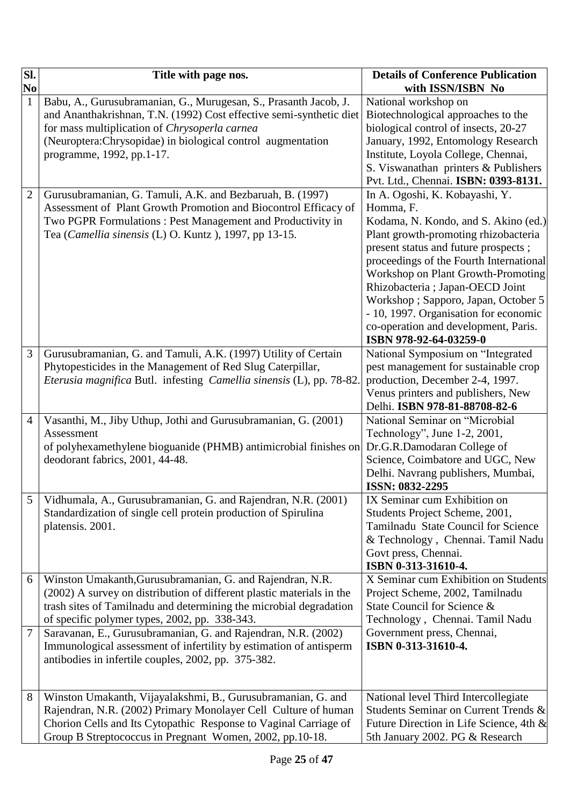| $\overline{\mathbf{S}}$ l. | Title with page nos.                                                                                                                                                                                                                                                                 | <b>Details of Conference Publication</b>                                                                                                                                                                                                                                                                                                                                                                                                   |
|----------------------------|--------------------------------------------------------------------------------------------------------------------------------------------------------------------------------------------------------------------------------------------------------------------------------------|--------------------------------------------------------------------------------------------------------------------------------------------------------------------------------------------------------------------------------------------------------------------------------------------------------------------------------------------------------------------------------------------------------------------------------------------|
| N <sub>0</sub>             |                                                                                                                                                                                                                                                                                      | with ISSN/ISBN No                                                                                                                                                                                                                                                                                                                                                                                                                          |
| $\mathbf{1}$               | Babu, A., Gurusubramanian, G., Murugesan, S., Prasanth Jacob, J.<br>and Ananthakrishnan, T.N. (1992) Cost effective semi-synthetic diet<br>for mass multiplication of Chrysoperla carnea<br>(Neuroptera:Chrysopidae) in biological control augmentation<br>programme, 1992, pp.1-17. | National workshop on<br>Biotechnological approaches to the<br>biological control of insects, 20-27<br>January, 1992, Entomology Research<br>Institute, Loyola College, Chennai,<br>S. Viswanathan printers & Publishers<br>Pvt. Ltd., Chennai. ISBN: 0393-8131.                                                                                                                                                                            |
| $\overline{2}$             | Gurusubramanian, G. Tamuli, A.K. and Bezbaruah, B. (1997).<br>Assessment of Plant Growth Promotion and Biocontrol Efficacy of<br>Two PGPR Formulations: Pest Management and Productivity in<br>Tea (Camellia sinensis (L) O. Kuntz ), 1997, pp 13-15.                                | In A. Ogoshi, K. Kobayashi, Y.<br>Homma, F.<br>Kodama, N. Kondo, and S. Akino (ed.)<br>Plant growth-promoting rhizobacteria<br>present status and future prospects;<br>proceedings of the Fourth International<br>Workshop on Plant Growth-Promoting<br>Rhizobacteria ; Japan-OECD Joint<br>Workshop; Sapporo, Japan, October 5<br>- 10, 1997. Organisation for economic<br>co-operation and development, Paris.<br>ISBN 978-92-64-03259-0 |
| 3                          | Gurusubramanian, G. and Tamuli, A.K. (1997) Utility of Certain<br>Phytopesticides in the Management of Red Slug Caterpillar,<br>Eterusia magnifica Butl. infesting Camellia sinensis (L), pp. 78-82.                                                                                 | National Symposium on "Integrated<br>pest management for sustainable crop<br>production, December 2-4, 1997.<br>Venus printers and publishers, New<br>Delhi. ISBN 978-81-88708-82-6                                                                                                                                                                                                                                                        |
| 4                          | Vasanthi, M., Jiby Uthup, Jothi and Gurusubramanian, G. (2001)<br>Assessment<br>of polyhexamethylene bioguanide (PHMB) antimicrobial finishes on<br>deodorant fabrics, 2001, 44-48.                                                                                                  | National Seminar on "Microbial<br>Technology", June 1-2, 2001,<br>Dr.G.R.Damodaran College of<br>Science, Coimbatore and UGC, New<br>Delhi. Navrang publishers, Mumbai,<br>ISSN: 0832-2295                                                                                                                                                                                                                                                 |
| 5                          | Vidhumala, A., Gurusubramanian, G. and Rajendran, N.R. (2001)<br>Standardization of single cell protein production of Spirulina<br>platensis. 2001.                                                                                                                                  | IX Seminar cum Exhibition on<br>Students Project Scheme, 2001,<br>Tamilnadu State Council for Science<br>& Technology, Chennai. Tamil Nadu<br>Govt press, Chennai.<br>ISBN 0-313-31610-4.                                                                                                                                                                                                                                                  |
| 6                          | Winston Umakanth, Gurusubramanian, G. and Rajendran, N.R.<br>(2002) A survey on distribution of different plastic materials in the<br>trash sites of Tamilnadu and determining the microbial degradation<br>of specific polymer types, 2002, pp. 338-343.                            | X Seminar cum Exhibition on Students<br>Project Scheme, 2002, Tamilnadu<br>State Council for Science &<br>Technology, Chennai. Tamil Nadu                                                                                                                                                                                                                                                                                                  |
| 7                          | Saravanan, E., Gurusubramanian, G. and Rajendran, N.R. (2002)<br>Immunological assessment of infertility by estimation of antisperm<br>antibodies in infertile couples, 2002, pp. 375-382.                                                                                           | Government press, Chennai,<br>ISBN 0-313-31610-4.                                                                                                                                                                                                                                                                                                                                                                                          |
| 8                          | Winston Umakanth, Vijayalakshmi, B., Gurusubramanian, G. and<br>Rajendran, N.R. (2002) Primary Monolayer Cell Culture of human<br>Chorion Cells and Its Cytopathic Response to Vaginal Carriage of<br>Group B Streptococcus in Pregnant Women, 2002, pp.10-18.                       | National level Third Intercollegiate<br>Students Seminar on Current Trends &<br>Future Direction in Life Science, 4th $\&$<br>5th January 2002. PG & Research                                                                                                                                                                                                                                                                              |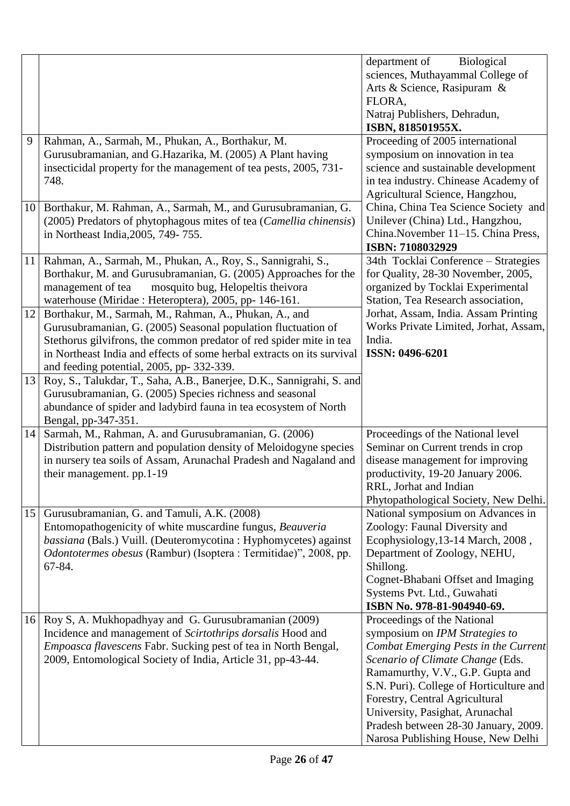|    |                                                                                                                                                                                                                                                                                                                       | department of<br><b>Biological</b><br>sciences, Muthayammal College of<br>Arts & Science, Rasipuram &                                                                                                                                                                                                                                                                       |
|----|-----------------------------------------------------------------------------------------------------------------------------------------------------------------------------------------------------------------------------------------------------------------------------------------------------------------------|-----------------------------------------------------------------------------------------------------------------------------------------------------------------------------------------------------------------------------------------------------------------------------------------------------------------------------------------------------------------------------|
|    |                                                                                                                                                                                                                                                                                                                       | FLORA,<br>Natraj Publishers, Dehradun,<br>ISBN, 818501955X.                                                                                                                                                                                                                                                                                                                 |
| 9  | Rahman, A., Sarmah, M., Phukan, A., Borthakur, M.<br>Gurusubramanian, and G.Hazarika, M. (2005) A Plant having<br>insecticidal property for the management of tea pests, 2005, 731-<br>748.                                                                                                                           | Proceeding of 2005 international<br>symposium on innovation in tea<br>science and sustainable development<br>in tea industry. Chinease Academy of<br>Agricultural Science, Hangzhou,                                                                                                                                                                                        |
| 10 | Borthakur, M. Rahman, A., Sarmah, M., and Gurusubramanian, G.<br>(2005) Predators of phytophagous mites of tea (Camellia chinensis)<br>in Northeast India, 2005, 749-755.                                                                                                                                             | China, China Tea Science Society and<br>Unilever (China) Ltd., Hangzhou,<br>China.November 11-15. China Press,<br>ISBN: 7108032929                                                                                                                                                                                                                                          |
| 11 | Rahman, A., Sarmah, M., Phukan, A., Roy, S., Sannigrahi, S.,<br>Borthakur, M. and Gurusubramanian, G. (2005) Approaches for the<br>mosquito bug, Helopeltis theivora<br>management of tea<br>waterhouse (Miridae: Heteroptera), 2005, pp- 146-161.                                                                    | 34th Tocklai Conference - Strategies<br>for Quality, 28-30 November, 2005,<br>organized by Tocklai Experimental<br>Station, Tea Research association,                                                                                                                                                                                                                       |
| 12 | Borthakur, M., Sarmah, M., Rahman, A., Phukan, A., and<br>Gurusubramanian, G. (2005) Seasonal population fluctuation of<br>Stethorus gilvifrons, the common predator of red spider mite in tea<br>in Northeast India and effects of some herbal extracts on its survival<br>and feeding potential, 2005, pp- 332-339. | Jorhat, Assam, India. Assam Printing<br>Works Private Limited, Jorhat, Assam,<br>India.<br>ISSN: 0496-6201                                                                                                                                                                                                                                                                  |
| 13 | Roy, S., Talukdar, T., Saha, A.B., Banerjee, D.K., Sannigrahi, S. and<br>Gurusubramanian, G. (2005) Species richness and seasonal<br>abundance of spider and ladybird fauna in tea ecosystem of North<br>Bengal, pp-347-351.                                                                                          |                                                                                                                                                                                                                                                                                                                                                                             |
| 14 | Sarmah, M., Rahman, A. and Gurusubramanian, G. (2006)<br>Distribution pattern and population density of Meloidogyne species<br>in nursery tea soils of Assam, Arunachal Pradesh and Nagaland and<br>their management. pp.1-19                                                                                         | Proceedings of the National level<br>Seminar on Current trends in crop<br>disease management for improving<br>productivity, 19-20 January 2006.<br>RRL, Jorhat and Indian<br>Phytopathological Society, New Delhi.                                                                                                                                                          |
| 15 | Gurusubramanian, G. and Tamuli, A.K. (2008)<br>Entomopathogenicity of white muscardine fungus, Beauveria<br>bassiana (Bals.) Vuill. (Deuteromycotina : Hyphomycetes) against<br>Odontotermes obesus (Rambur) (Isoptera : Termitidae)", 2008, pp.<br>67-84.                                                            | National symposium on Advances in<br>Zoology: Faunal Diversity and<br>Ecophysiology, 13-14 March, 2008,<br>Department of Zoology, NEHU,<br>Shillong.<br>Cognet-Bhabani Offset and Imaging<br>Systems Pvt. Ltd., Guwahati<br>ISBN No. 978-81-904940-69.                                                                                                                      |
| 16 | Roy S, A. Mukhopadhyay and G. Gurusubramanian (2009)<br>Incidence and management of Scirtothrips dorsalis Hood and<br>Empoasca flavescens Fabr. Sucking pest of tea in North Bengal,<br>2009, Entomological Society of India, Article 31, pp-43-44.                                                                   | Proceedings of the National<br>symposium on IPM Strategies to<br>Combat Emerging Pests in the Current<br>Scenario of Climate Change (Eds.<br>Ramamurthy, V.V., G.P. Gupta and<br>S.N. Puri). College of Horticulture and<br>Forestry, Central Agricultural<br>University, Pasighat, Arunachal<br>Pradesh between 28-30 January, 2009.<br>Narosa Publishing House, New Delhi |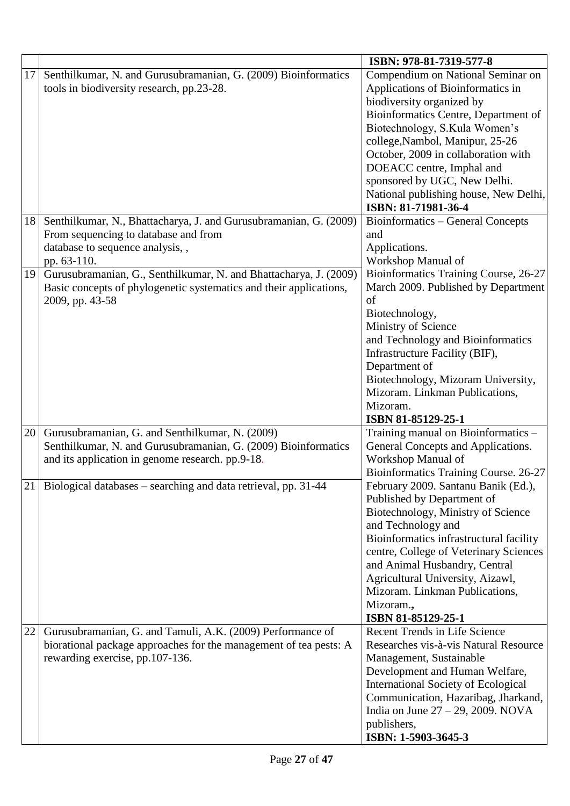|    |                                                                    | ISBN: 978-81-7319-577-8                    |
|----|--------------------------------------------------------------------|--------------------------------------------|
| 17 | Senthilkumar, N. and Gurusubramanian, G. (2009) Bioinformatics     | Compendium on National Seminar on          |
|    | tools in biodiversity research, pp.23-28.                          | Applications of Bioinformatics in          |
|    |                                                                    | biodiversity organized by                  |
|    |                                                                    | Bioinformatics Centre, Department of       |
|    |                                                                    | Biotechnology, S.Kula Women's              |
|    |                                                                    | college, Nambol, Manipur, 25-26            |
|    |                                                                    | October, 2009 in collaboration with        |
|    |                                                                    | DOEACC centre, Imphal and                  |
|    |                                                                    | sponsored by UGC, New Delhi.               |
|    |                                                                    | National publishing house, New Delhi,      |
|    |                                                                    | ISBN: 81-71981-36-4                        |
| 18 | Senthilkumar, N., Bhattacharya, J. and Gurusubramanian, G. (2009)  | Bioinformatics - General Concepts          |
|    | From sequencing to database and from                               | and                                        |
|    | database to sequence analysis, ,                                   | Applications.                              |
|    | pp. 63-110.                                                        | Workshop Manual of                         |
| 19 | Gurusubramanian, G., Senthilkumar, N. and Bhattacharya, J. (2009)  | Bioinformatics Training Course, 26-27      |
|    | Basic concepts of phylogenetic systematics and their applications, | March 2009. Published by Department        |
|    | 2009, pp. 43-58                                                    | of                                         |
|    |                                                                    | Biotechnology,                             |
|    |                                                                    | Ministry of Science                        |
|    |                                                                    | and Technology and Bioinformatics          |
|    |                                                                    | Infrastructure Facility (BIF),             |
|    |                                                                    | Department of                              |
|    |                                                                    | Biotechnology, Mizoram University,         |
|    |                                                                    | Mizoram. Linkman Publications,             |
|    |                                                                    | Mizoram.                                   |
|    |                                                                    | ISBN 81-85129-25-1                         |
|    | 20 Gurusubramanian, G. and Senthilkumar, N. (2009)                 | Training manual on Bioinformatics -        |
|    | Senthilkumar, N. and Gurusubramanian, G. (2009) Bioinformatics     | General Concepts and Applications.         |
|    | and its application in genome research. pp.9-18.                   | Workshop Manual of                         |
|    |                                                                    | Bioinformatics Training Course. 26-27      |
|    | 21 Biological databases - searching and data retrieval, pp. 31-44  | February 2009. Santanu Banik (Ed.),        |
|    |                                                                    | Published by Department of                 |
|    |                                                                    | Biotechnology, Ministry of Science         |
|    |                                                                    | and Technology and                         |
|    |                                                                    | Bioinformatics infrastructural facility    |
|    |                                                                    | centre, College of Veterinary Sciences     |
|    |                                                                    | and Animal Husbandry, Central              |
|    |                                                                    | Agricultural University, Aizawl,           |
|    |                                                                    | Mizoram. Linkman Publications,             |
|    |                                                                    | Mizoram.,                                  |
|    |                                                                    | ISBN 81-85129-25-1                         |
| 22 | Gurusubramanian, G. and Tamuli, A.K. (2009) Performance of         | Recent Trends in Life Science              |
|    | biorational package approaches for the management of tea pests: A  | Researches vis-à-vis Natural Resource      |
|    | rewarding exercise, pp.107-136.                                    | Management, Sustainable                    |
|    |                                                                    | Development and Human Welfare,             |
|    |                                                                    | <b>International Society of Ecological</b> |
|    |                                                                    | Communication, Hazaribag, Jharkand,        |
|    |                                                                    | India on June $27 - 29$ , 2009. NOVA       |
|    |                                                                    | publishers,                                |
|    |                                                                    | ISBN: 1-5903-3645-3                        |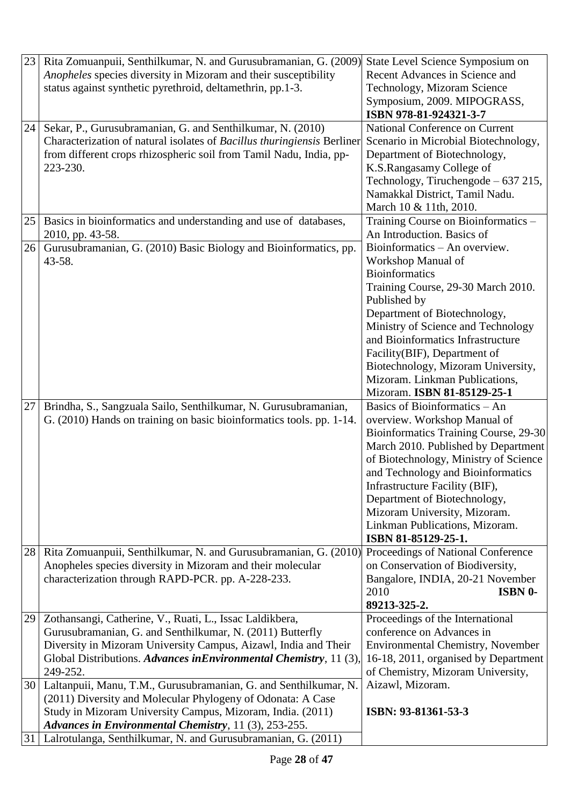| 23 | Rita Zomuanpuii, Senthilkumar, N. and Gurusubramanian, G. (2009)<br>Anopheles species diversity in Mizoram and their susceptibility<br>status against synthetic pyrethroid, deltamethrin, pp.1-3.                                                                         | State Level Science Symposium on<br>Recent Advances in Science and<br>Technology, Mizoram Science                                                                                                                                                                                                                                                                                      |
|----|---------------------------------------------------------------------------------------------------------------------------------------------------------------------------------------------------------------------------------------------------------------------------|----------------------------------------------------------------------------------------------------------------------------------------------------------------------------------------------------------------------------------------------------------------------------------------------------------------------------------------------------------------------------------------|
|    |                                                                                                                                                                                                                                                                           | Symposium, 2009. MIPOGRASS,<br>ISBN 978-81-924321-3-7                                                                                                                                                                                                                                                                                                                                  |
| 24 | Sekar, P., Gurusubramanian, G. and Senthilkumar, N. (2010)<br>Characterization of natural isolates of Bacillus thuringiensis Berliner<br>from different crops rhizospheric soil from Tamil Nadu, India, pp-<br>223-230.                                                   | National Conference on Current<br>Scenario in Microbial Biotechnology,<br>Department of Biotechnology,<br>K.S.Rangasamy College of<br>Technology, Tiruchengode – 637 215,<br>Namakkal District, Tamil Nadu.<br>March 10 & 11th, 2010.                                                                                                                                                  |
| 25 | Basics in bioinformatics and understanding and use of databases,<br>2010, pp. 43-58.                                                                                                                                                                                      | Training Course on Bioinformatics -<br>An Introduction. Basics of                                                                                                                                                                                                                                                                                                                      |
| 26 | Gurusubramanian, G. (2010) Basic Biology and Bioinformatics, pp.<br>43-58.                                                                                                                                                                                                | Bioinformatics - An overview.<br>Workshop Manual of<br><b>Bioinformatics</b><br>Training Course, 29-30 March 2010.<br>Published by<br>Department of Biotechnology,<br>Ministry of Science and Technology<br>and Bioinformatics Infrastructure<br>Facility(BIF), Department of<br>Biotechnology, Mizoram University,<br>Mizoram. Linkman Publications,<br>Mizoram. ISBN 81-85129-25-1   |
| 27 | Brindha, S., Sangzuala Sailo, Senthilkumar, N. Gurusubramanian,<br>G. (2010) Hands on training on basic bioinformatics tools. pp. 1-14.                                                                                                                                   | Basics of Bioinformatics - An<br>overview. Workshop Manual of<br>Bioinformatics Training Course, 29-30<br>March 2010. Published by Department<br>of Biotechnology, Ministry of Science<br>and Technology and Bioinformatics<br>Infrastructure Facility (BIF),<br>Department of Biotechnology,<br>Mizoram University, Mizoram.<br>Linkman Publications, Mizoram.<br>ISBN 81-85129-25-1. |
| 28 | Rita Zomuanpuii, Senthilkumar, N. and Gurusubramanian, G. (2010)<br>Anopheles species diversity in Mizoram and their molecular<br>characterization through RAPD-PCR. pp. A-228-233.                                                                                       | Proceedings of National Conference<br>on Conservation of Biodiversity,<br>Bangalore, INDIA, 20-21 November<br>2010<br><b>ISBN 0-</b><br>89213-325-2.                                                                                                                                                                                                                                   |
| 29 | Zothansangi, Catherine, V., Ruati, L., Issac Laldikbera,<br>Gurusubramanian, G. and Senthilkumar, N. (2011) Butterfly<br>Diversity in Mizoram University Campus, Aizawl, India and Their<br>Global Distributions. Advances inEnvironmental Chemistry, 11 (3),<br>249-252. | Proceedings of the International<br>conference on Advances in<br><b>Environmental Chemistry, November</b><br>16-18, 2011, organised by Department<br>of Chemistry, Mizoram University,                                                                                                                                                                                                 |
| 30 | Laltanpuii, Manu, T.M., Gurusubramanian, G. and Senthilkumar, N.<br>(2011) Diversity and Molecular Phylogeny of Odonata: A Case<br>Study in Mizoram University Campus, Mizoram, India. (2011)<br>Advances in Environmental Chemistry, 11 (3), 253-255.                    | Aizawl, Mizoram.<br>ISBN: 93-81361-53-3                                                                                                                                                                                                                                                                                                                                                |
| 31 | Lalrotulanga, Senthilkumar, N. and Gurusubramanian, G. (2011)                                                                                                                                                                                                             |                                                                                                                                                                                                                                                                                                                                                                                        |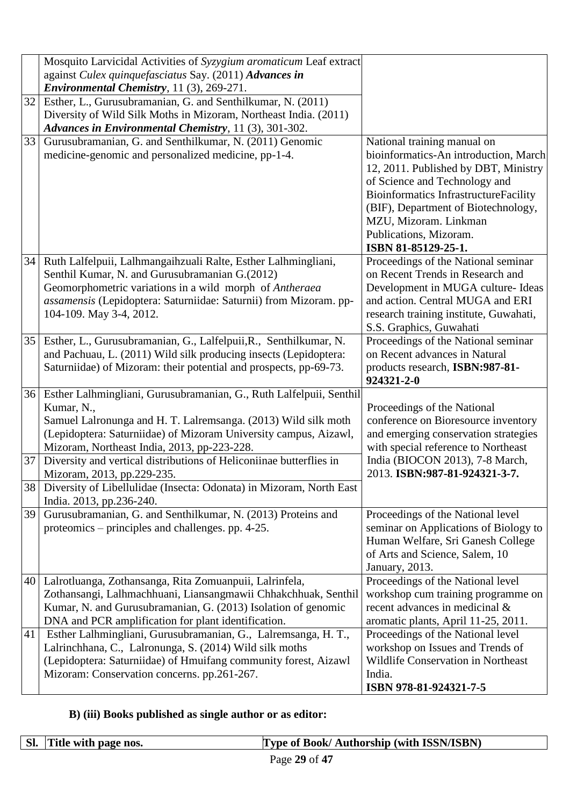|          | Mosquito Larvicidal Activities of Syzygium aromaticum Leaf extract<br>against Culex quinquefasciatus Say. (2011) Advances in                                                                                                                                                |                                                                                                                                                                                                                                                                                                                |
|----------|-----------------------------------------------------------------------------------------------------------------------------------------------------------------------------------------------------------------------------------------------------------------------------|----------------------------------------------------------------------------------------------------------------------------------------------------------------------------------------------------------------------------------------------------------------------------------------------------------------|
|          | Environmental Chemistry, 11 (3), 269-271.                                                                                                                                                                                                                                   |                                                                                                                                                                                                                                                                                                                |
| 32       | Esther, L., Gurusubramanian, G. and Senthilkumar, N. (2011)<br>Diversity of Wild Silk Moths in Mizoram, Northeast India. (2011)<br>Advances in Environmental Chemistry, 11 (3), 301-302.                                                                                    |                                                                                                                                                                                                                                                                                                                |
| 33       | Gurusubramanian, G. and Senthilkumar, N. (2011) Genomic<br>medicine-genomic and personalized medicine, pp-1-4.                                                                                                                                                              | National training manual on<br>bioinformatics-An introduction, March<br>12, 2011. Published by DBT, Ministry<br>of Science and Technology and<br><b>Bioinformatics InfrastructureFacility</b><br>(BIF), Department of Biotechnology,<br>MZU, Mizoram. Linkman<br>Publications, Mizoram.<br>ISBN 81-85129-25-1. |
| 34       | Ruth Lalfelpuii, Lalhmangaihzuali Ralte, Esther Lalhmingliani,<br>Senthil Kumar, N. and Gurusubramanian G.(2012)<br>Geomorphometric variations in a wild morph of Antheraea<br>assamensis (Lepidoptera: Saturniidae: Saturnii) from Mizoram. pp-<br>104-109. May 3-4, 2012. | Proceedings of the National seminar<br>on Recent Trends in Research and<br>Development in MUGA culture- Ideas<br>and action. Central MUGA and ERI<br>research training institute, Guwahati,<br>S.S. Graphics, Guwahati                                                                                         |
| 35       | Esther, L., Gurusubramanian, G., Lalfelpuii, R., Senthilkumar, N.<br>and Pachuau, L. (2011) Wild silk producing insects (Lepidoptera:<br>Saturniidae) of Mizoram: their potential and prospects, pp-69-73.                                                                  | Proceedings of the National seminar<br>on Recent advances in Natural<br>products research, ISBN:987-81-<br>924321-2-0                                                                                                                                                                                          |
|          | 36 Esther Lalhmingliani, Gurusubramanian, G., Ruth Lalfelpuii, Senthil<br>Kumar, N.,<br>Samuel Lalronunga and H. T. Lalremsanga. (2013) Wild silk moth<br>(Lepidoptera: Saturniidae) of Mizoram University campus, Aizawl,<br>Mizoram, Northeast India, 2013, pp-223-228.   | Proceedings of the National<br>conference on Bioresource inventory<br>and emerging conservation strategies<br>with special reference to Northeast                                                                                                                                                              |
| 37<br>38 | Diversity and vertical distributions of Heliconiinae butterflies in<br>Mizoram, 2013, pp.229-235.<br>Diversity of Libellulidae (Insecta: Odonata) in Mizoram, North East                                                                                                    | India (BIOCON 2013), 7-8 March,<br>2013. ISBN:987-81-924321-3-7.                                                                                                                                                                                                                                               |
| 39       | India. 2013, pp.236-240.<br>Gurusubramanian, G. and Senthilkumar, N. (2013) Proteins and<br>proteomics – principles and challenges. pp. 4-25.                                                                                                                               | Proceedings of the National level<br>seminar on Applications of Biology to<br>Human Welfare, Sri Ganesh College<br>of Arts and Science, Salem, 10<br>January, 2013.                                                                                                                                            |
|          | 40   Lalrotluanga, Zothansanga, Rita Zomuanpuii, Lalrinfela,<br>Zothansangi, Lalhmachhuani, Liansangmawii Chhakchhuak, Senthil<br>Kumar, N. and Gurusubramanian, G. (2013) Isolation of genomic<br>DNA and PCR amplification for plant identification.                      | Proceedings of the National level<br>workshop cum training programme on<br>recent advances in medicinal &<br>aromatic plants, April 11-25, 2011.                                                                                                                                                               |
| 41       | Esther Lalhmingliani, Gurusubramanian, G., Lalremsanga, H. T.,<br>Lalrinchhana, C., Lalronunga, S. (2014) Wild silk moths<br>(Lepidoptera: Saturniidae) of Hmuifang community forest, Aizawl<br>Mizoram: Conservation concerns. pp.261-267.                                 | Proceedings of the National level<br>workshop on Issues and Trends of<br>Wildlife Conservation in Northeast<br>India.<br>ISBN 978-81-924321-7-5                                                                                                                                                                |

# **B) (iii) Books published as single author or as editor:**

| SI.   Title with page nos. | <b>Type of Book/ Authorship (with ISSN/ISBN)</b> |
|----------------------------|--------------------------------------------------|
|                            |                                                  |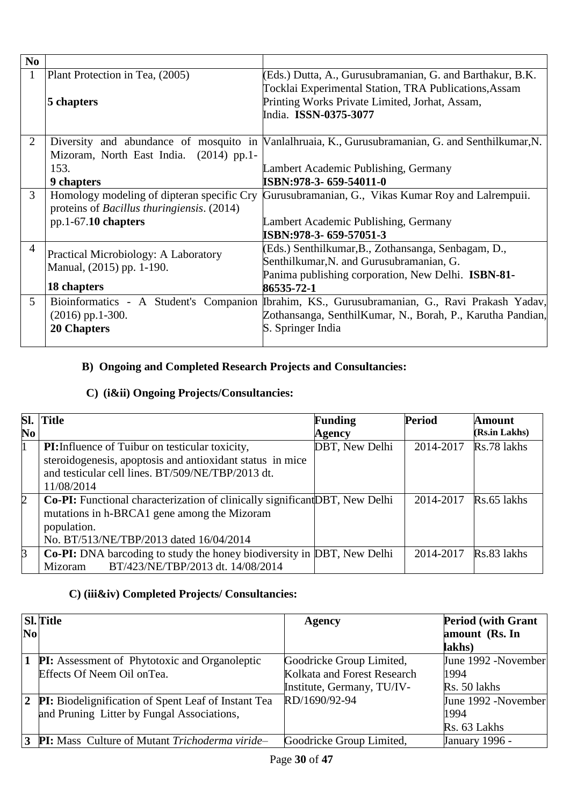| N <sub>0</sub> |                                                    |                                                                                                   |
|----------------|----------------------------------------------------|---------------------------------------------------------------------------------------------------|
|                | Plant Protection in Tea, (2005)                    | (Eds.) Dutta, A., Gurusubramanian, G. and Barthakur, B.K.                                         |
|                |                                                    | Tocklai Experimental Station, TRA Publications, Assam                                             |
|                | 5 chapters                                         | Printing Works Private Limited, Jorhat, Assam,                                                    |
|                |                                                    | India. ISSN-0375-3077                                                                             |
|                |                                                    |                                                                                                   |
| 2              |                                                    | Diversity and abundance of mosquito in Wanlalhruaia, K., Gurusubramanian, G. and Senthilkumar, N. |
|                | Mizoram, North East India. (2014) pp.1-            |                                                                                                   |
|                | 153.                                               | Lambert Academic Publishing, Germany                                                              |
|                | <b>9 chapters</b>                                  | ISBN:978-3- 659-54011-0                                                                           |
| $\mathfrak{Z}$ | Homology modeling of dipteran specific Cry         | Gurusubramanian, G., Vikas Kumar Roy and Lalrempuii.                                              |
|                | proteins of <i>Bacillus thuringiensis</i> . (2014) |                                                                                                   |
|                | $pp.1-67.10$ chapters                              | Lambert Academic Publishing, Germany                                                              |
|                |                                                    | ISBN:978-3- 659-57051-3                                                                           |
| 4              | <b>Practical Microbiology: A Laboratory</b>        | (Eds.) Senthilkumar, B., Zothansanga, Senbagam, D.,                                               |
|                | Manual, (2015) pp. 1-190.                          | Senthilkumar, N. and Gurusubramanian, G.                                                          |
|                |                                                    | Panima publishing corporation, New Delhi. <b>ISBN-81-</b>                                         |
|                | 18 chapters                                        | 86535-72-1                                                                                        |
| 5              |                                                    | Bioinformatics - A Student's Companion Ibrahim, KS., Gurusubramanian, G., Ravi Prakash Yadav,     |
|                | $(2016)$ pp.1-300.                                 | Zothansanga, SenthilKumar, N., Borah, P., Karutha Pandian,                                        |
|                | <b>20 Chapters</b>                                 | S. Springer India                                                                                 |
|                |                                                    |                                                                                                   |

# **B) Ongoing and Completed Research Projects and Consultancies:**

## **C) (i&ii) Ongoing Projects/Consultancies:**

|                | <b>Sl.</b> Title                                                            | <b>Funding</b> | <b>Period</b> | <b>Amount</b> |
|----------------|-----------------------------------------------------------------------------|----------------|---------------|---------------|
| N <sub>0</sub> |                                                                             | Agency         |               | (Rs.in Lakhs) |
| $\mathbf 1$    | <b>PI:</b> Influence of Tuibur on testicular toxicity,                      | DBT, New Delhi | 2014-2017     | Rs.78 lakhs   |
|                | steroidogenesis, apoptosis and antioxidant status in mice                   |                |               |               |
|                | and testicular cell lines. BT/509/NE/TBP/2013 dt.                           |                |               |               |
|                | 11/08/2014                                                                  |                |               |               |
| $\overline{2}$ | Co-PI: Functional characterization of clinically significant DBT, New Delhi |                | 2014-2017     | Rs.65 lakhs   |
|                | mutations in h-BRCA1 gene among the Mizoram                                 |                |               |               |
|                | population.                                                                 |                |               |               |
|                | No. BT/513/NE/TBP/2013 dated 16/04/2014                                     |                |               |               |
| $\beta$        | Co-PI: DNA barcoding to study the honey biodiversity in DBT, New Delhi      |                | 2014-2017     | Rs.83 lakhs   |
|                | BT/423/NE/TBP/2013 dt. 14/08/2014<br>Mizoram                                |                |               |               |

# **C) (iii&iv) Completed Projects/ Consultancies:**

|                | <b>Sl.</b> Title                                             | <b>Agency</b>               | <b>Period (with Grant</b> |
|----------------|--------------------------------------------------------------|-----------------------------|---------------------------|
| N <sub>0</sub> |                                                              |                             | amount (Rs. In            |
|                |                                                              |                             | lakhs)                    |
|                | <b>1 PI:</b> Assessment of Phytotoxic and Organoleptic       | Goodricke Group Limited,    | June 1992 -November       |
|                | Effects Of Neem Oil on Tea.                                  | Kolkata and Forest Research | 1994                      |
|                |                                                              | Institute, Germany, TU/IV-  | Rs. 50 lakhs              |
|                | <b>2</b> PI: Biodelignification of Spent Leaf of Instant Tea | RD/1690/92-94               | June 1992 -November       |
|                | and Pruning Litter by Fungal Associations,                   |                             | 1994                      |
|                |                                                              |                             | Rs. 63 Lakhs              |
|                | <b>3 PI:</b> Mass Culture of Mutant Trichoderma viride-      | Goodricke Group Limited,    | January 1996 -            |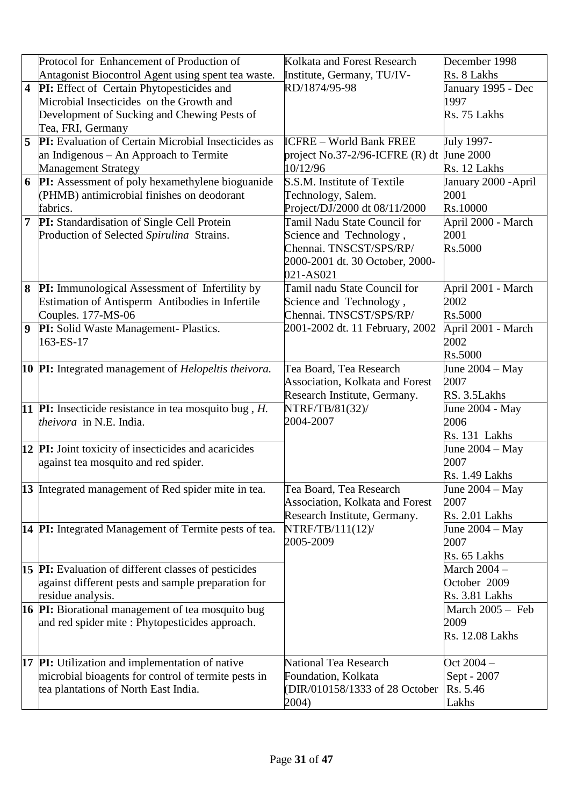|                         | Protocol for Enhancement of Production of                                                  | Kolkata and Forest Research                 | December 1998           |
|-------------------------|--------------------------------------------------------------------------------------------|---------------------------------------------|-------------------------|
|                         | Antagonist Biocontrol Agent using spent tea waste.                                         | Institute, Germany, TU/IV-                  | Rs. 8 Lakhs             |
| $\overline{\mathbf{4}}$ | PI: Effect of Certain Phytopesticides and                                                  | RD/1874/95-98                               | January 1995 - Dec      |
|                         | Microbial Insecticides on the Growth and                                                   |                                             | 1997                    |
|                         | Development of Sucking and Chewing Pests of                                                |                                             | Rs. 75 Lakhs            |
|                         | Tea, FRI, Germany                                                                          |                                             |                         |
| 5                       | PI: Evaluation of Certain Microbial Insecticides as                                        | <b>ICFRE</b> – World Bank FREE              | July 1997-              |
|                         | an Indigenous - An Approach to Termite                                                     | project No.37-2/96-ICFRE $(R)$ dt June 2000 |                         |
|                         | <b>Management Strategy</b>                                                                 | 10/12/96                                    | Rs. 12 Lakhs            |
| 6                       | PI: Assessment of poly hexamethylene bioguanide                                            | S.S.M. Institute of Textile                 | January 2000 - April    |
|                         | (PHMB) antimicrobial finishes on deodorant                                                 | Technology, Salem.                          | 2001                    |
|                         | fabrics.                                                                                   | Project/DJ/2000 dt 08/11/2000               | Rs.10000                |
| $\overline{7}$          | PI: Standardisation of Single Cell Protein                                                 | Tamil Nadu State Council for                | April 2000 - March      |
|                         | Production of Selected Spirulina Strains.                                                  | Science and Technology,                     | 2001                    |
|                         |                                                                                            | Chennai. TNSCST/SPS/RP/                     | Rs.5000                 |
|                         |                                                                                            | 2000-2001 dt. 30 October, 2000-             |                         |
|                         |                                                                                            | 021-AS021                                   |                         |
| 8                       | <b>PI:</b> Immunological Assessment of Infertility by                                      | Tamil nadu State Council for                | April 2001 - March      |
|                         | Estimation of Antisperm Antibodies in Infertile                                            | Science and Technology,                     | 2002                    |
|                         | Couples. 177-MS-06                                                                         | Chennai. TNSCST/SPS/RP/                     | Rs.5000                 |
| $\boldsymbol{9}$        | PI: Solid Waste Management- Plastics.                                                      | 2001-2002 dt. 11 February, 2002             | April 2001 - March      |
|                         | 163-ES-17                                                                                  |                                             | 2002                    |
|                         |                                                                                            |                                             | Rs.5000                 |
|                         | 10 PI: Integrated management of <i>Helopeltis theivora</i> .                               | Tea Board, Tea Research                     | June $2004 - May$       |
|                         |                                                                                            | Association, Kolkata and Forest             | 2007                    |
|                         |                                                                                            | Research Institute, Germany.                | RS. 3.5Lakhs            |
|                         | 11 PI: Insecticide resistance in tea mosquito bug, $H$ .<br><i>theivora</i> in N.E. India. | NTRF/TB/81(32)/<br>2004-2007                | June 2004 - May<br>2006 |
|                         |                                                                                            |                                             | Rs. 131 Lakhs           |
|                         | 12 PI: Joint toxicity of insecticides and acaricides                                       |                                             | June $2004 - May$       |
|                         | against tea mosquito and red spider.                                                       |                                             | 2007                    |
|                         |                                                                                            |                                             | <b>Rs. 1.49 Lakhs</b>   |
|                         | 13 Integrated management of Red spider mite in tea.                                        | Tea Board, Tea Research                     | June $2004 - May$       |
|                         |                                                                                            | Association, Kolkata and Forest             | 2007                    |
|                         |                                                                                            | Research Institute, Germany.                | <b>Rs. 2.01 Lakhs</b>   |
|                         | 14 PI: Integrated Management of Termite pests of tea.                                      | NTRF/TB/111(12)/                            | June $2004 - May$       |
|                         |                                                                                            | 2005-2009                                   | 2007                    |
|                         |                                                                                            |                                             | Rs. 65 Lakhs            |
|                         | <b>15 PI:</b> Evaluation of different classes of pesticides                                |                                             | March 2004 -            |
|                         | against different pests and sample preparation for                                         |                                             | October 2009            |
|                         | residue analysis.                                                                          |                                             | <b>Rs. 3.81 Lakhs</b>   |
|                         | 16 PI: Biorational management of tea mosquito bug                                          |                                             | March $2005 -$ Feb      |
|                         | and red spider mite: Phytopesticides approach.                                             |                                             | 2009                    |
|                         |                                                                                            |                                             | <b>Rs. 12.08 Lakhs</b>  |
|                         |                                                                                            |                                             |                         |
|                         | <b>17 PI:</b> Utilization and implementation of native                                     | National Tea Research                       | Oct $2004 -$            |
|                         | microbial bioagents for control of termite pests in                                        | Foundation, Kolkata                         | Sept - 2007             |
|                         | tea plantations of North East India.                                                       | (DIR/010158/1333 of 28 October              | Rs. 5.46                |
|                         |                                                                                            | 2004)                                       | Lakhs                   |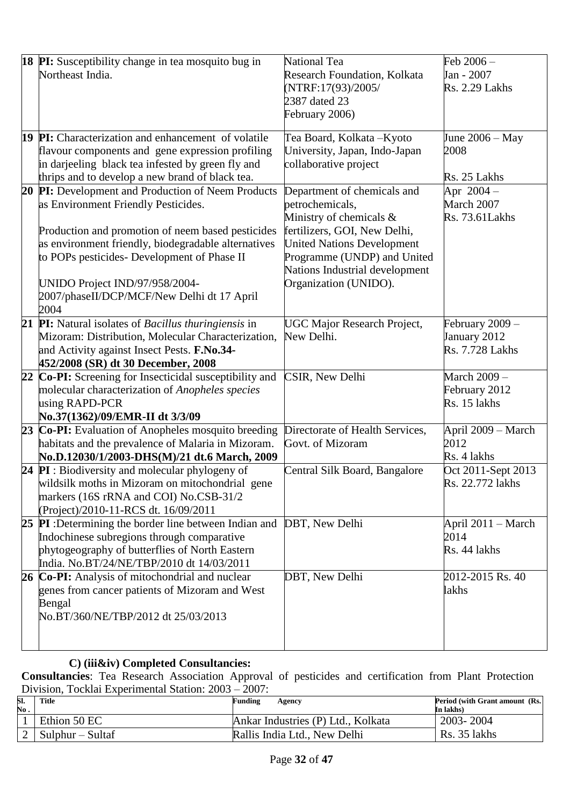|    | <b>18 PI:</b> Susceptibility change in tea mosquito bug in           | National Tea                       | Feb 2006-              |
|----|----------------------------------------------------------------------|------------------------------------|------------------------|
|    | Northeast India.                                                     | Research Foundation, Kolkata       | Jan - 2007             |
|    |                                                                      | (NTRF:17(93)/2005/                 | <b>Rs. 2.29 Lakhs</b>  |
|    |                                                                      | 2387 dated 23                      |                        |
|    |                                                                      | February 2006)                     |                        |
|    |                                                                      |                                    |                        |
|    | <b>19 PI:</b> Characterization and enhancement of volatile           | Tea Board, Kolkata - Kyoto         | June $2006 - May$      |
|    | flavour components and gene expression profiling                     | University, Japan, Indo-Japan      | 2008                   |
|    | in darjeeling black tea infested by green fly and                    | collaborative project              |                        |
|    | thrips and to develop a new brand of black tea.                      |                                    | Rs. 25 Lakhs           |
| 20 | PI: Development and Production of Neem Products                      | Department of chemicals and        | Apr $2004 -$           |
|    | as Environment Friendly Pesticides.                                  | petrochemicals,                    | March 2007             |
|    |                                                                      | Ministry of chemicals &            | Rs. 73.61 Lakhs        |
|    | Production and promotion of neem based pesticides                    | fertilizers, GOI, New Delhi,       |                        |
|    | as environment friendly, biodegradable alternatives                  | <b>United Nations Development</b>  |                        |
|    | to POPs pesticides- Development of Phase II                          | Programme (UNDP) and United        |                        |
|    |                                                                      | Nations Industrial development     |                        |
|    | UNIDO Project IND/97/958/2004-                                       | Organization (UNIDO).              |                        |
|    | 2007/phaseII/DCP/MCF/New Delhi dt 17 April                           |                                    |                        |
|    | 2004                                                                 |                                    |                        |
| 21 | <b>PI:</b> Natural isolates of <i>Bacillus thuringiensis</i> in      | <b>UGC Major Research Project,</b> | February 2009 -        |
|    | Mizoram: Distribution, Molecular Characterization,                   | New Delhi.                         | January 2012           |
|    | and Activity against Insect Pests. F.No.34-                          |                                    | <b>Rs. 7.728 Lakhs</b> |
|    | 452/2008 (SR) dt 30 December, 2008                                   |                                    |                        |
| 22 | Co-PI: Screening for Insecticidal susceptibility and                 | CSIR, New Delhi                    | March 2009 -           |
|    | molecular characterization of Anopheles species                      |                                    | February 2012          |
|    | using RAPD-PCR                                                       |                                    | Rs. 15 lakhs           |
|    | No.37(1362)/09/EMR-II dt 3/3/09                                      |                                    |                        |
|    | 23 Co-PI: Evaluation of Anopheles mosquito breeding                  | Directorate of Health Services,    | April 2009 - March     |
|    | habitats and the prevalence of Malaria in Mizoram.                   | Govt. of Mizoram                   | 2012                   |
|    | No.D.12030/1/2003-DHS(M)/21 dt.6 March, 2009                         |                                    | Rs. 4 lakhs            |
|    | 24 $PI:$ Biodiversity and molecular phylogeny of                     | Central Silk Board, Bangalore      | Oct 2011-Sept 2013     |
|    | wildsilk moths in Mizoram on mitochondrial gene                      |                                    | Rs. 22.772 lakhs       |
|    | markers (16S rRNA and COI) No.CSB-31/2                               |                                    |                        |
|    | (Project)/2010-11-RCS dt. 16/09/2011                                 |                                    |                        |
|    | 25 PI: Determining the border line between Indian and DBT, New Delhi |                                    | April 2011 – March     |
|    | Indochinese subregions through comparative                           |                                    | 2014                   |
|    | phytogeography of butterflies of North Eastern                       |                                    | Rs. 44 lakhs           |
|    | India. No.BT/24/NE/TBP/2010 dt 14/03/2011                            |                                    |                        |
|    | 26 Co-PI: Analysis of mitochondrial and nuclear                      | DBT, New Delhi                     | 2012-2015 Rs. 40       |
|    | genes from cancer patients of Mizoram and West                       |                                    | lakhs                  |
|    | Bengal                                                               |                                    |                        |
|    | No.BT/360/NE/TBP/2012 dt 25/03/2013                                  |                                    |                        |
|    |                                                                      |                                    |                        |
|    |                                                                      |                                    |                        |

### **C) (iii&iv) Completed Consultancies:**

**Consultancies**: Tea Research Association Approval of pesticides and certification from Plant Protection Division, Tocklai Experimental Station: 2003 – 2007:

| SI.        | Title            | Funding<br>Agency                  | Period (with Grant amount (Rs. |
|------------|------------------|------------------------------------|--------------------------------|
| $\bf No$ . |                  |                                    | In lakhs)                      |
|            | Ethion 50 EC     | Ankar Industries (P) Ltd., Kolkata | 2003-2004                      |
|            | Sulphur – Sultaf | Rallis India Ltd., New Delhi       | Rs. 35 lakhs                   |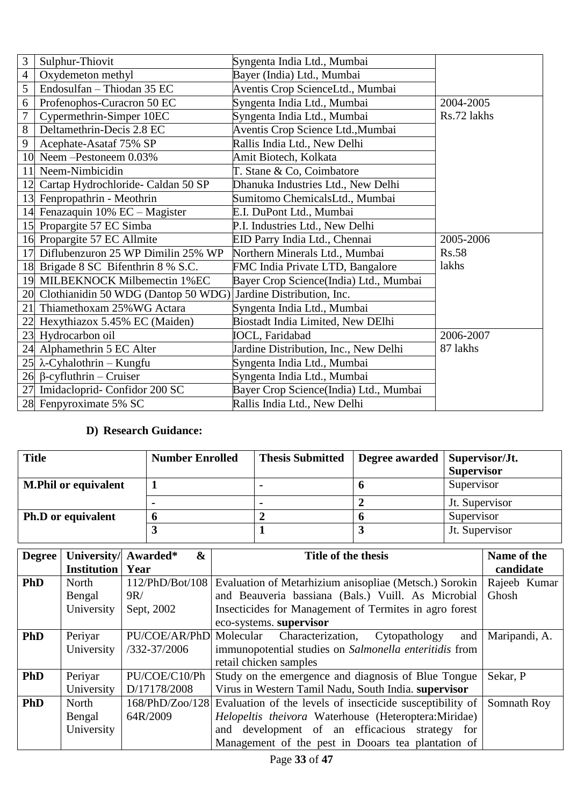| 3  | Sulphur-Thiovit                        | Syngenta India Ltd., Mumbai            |              |
|----|----------------------------------------|----------------------------------------|--------------|
| 4  | Oxydemeton methyl                      | Bayer (India) Ltd., Mumbai             |              |
| 5  | Endosulfan - Thiodan 35 EC             | Aventis Crop ScienceLtd., Mumbai       |              |
| 6  | Profenophos-Curacron 50 EC             | Syngenta India Ltd., Mumbai            | 2004-2005    |
| 7  | Cypermethrin-Simper 10EC               | Syngenta India Ltd., Mumbai            | Rs.72 lakhs  |
| 8  | Deltamethrin-Decis 2.8 EC              | Aventis Crop Science Ltd., Mumbai      |              |
| 9  | Acephate-Asataf 75% SP                 | Rallis India Ltd., New Delhi           |              |
| 10 | Neem - Pestoneem 0.03%                 | Amit Biotech, Kolkata                  |              |
| 11 | Neem-Nimbicidin                        | T. Stane & Co, Coimbatore              |              |
| 12 | Cartap Hydrochloride- Caldan 50 SP     | Dhanuka Industries Ltd., New Delhi     |              |
|    | 13 Fenpropathrin - Meothrin            | Sumitomo ChemicalsLtd., Mumbai         |              |
|    | 14 Fenazaquin 10% EC - Magister        | E.I. DuPont Ltd., Mumbai               |              |
| 15 | Propargite 57 EC Simba                 | P.I. Industries Ltd., New Delhi        |              |
| 16 | Propargite 57 EC Allmite               | EID Parry India Ltd., Chennai          | 2005-2006    |
| 17 | Diflubenzuron 25 WP Dimilin 25% WP     | Northern Minerals Ltd., Mumbai         | <b>Rs.58</b> |
|    | 18 Brigade 8 SC Bifenthrin 8 % S.C.    | FMC India Private LTD, Bangalore       | lakhs        |
| 19 | MILBEKNOCK Milbemectin 1%EC            | Bayer Crop Science(India) Ltd., Mumbai |              |
|    | 20 Clothianidin 50 WDG (Dantop 50 WDG) | Jardine Distribution, Inc.             |              |
| 21 | Thiamethoxam 25% WG Actara             | Syngenta India Ltd., Mumbai            |              |
| 22 | Hexythiazox 5.45% EC (Maiden)          | Biostadt India Limited, New DElhi      |              |
| 23 | Hydrocarbon oil                        | <b>IOCL, Faridabad</b>                 | 2006-2007    |
| 24 | Alphamethrin 5 EC Alter                | Jardine Distribution, Inc., New Delhi  | 87 lakhs     |
| 25 | $\lambda$ -Cyhalothrin – Kungfu        | Syngenta India Ltd., Mumbai            |              |
|    | $26$ β-cyfluthrin – Cruiser            | Syngenta India Ltd., Mumbai            |              |
| 27 | Imidacloprid-Confidor 200 SC           | Bayer Crop Science(India) Ltd., Mumbai |              |
|    | 28 Fenpyroximate 5% SC                 | Rallis India Ltd., New Delhi           |              |

### **D) Research Guidance:**

| <b>Title</b>                | <b>Number Enrolled</b> | <b>Thesis Submitted</b> | Degree awarded   Supervisor/Jt. | <b>Supervisor</b> |
|-----------------------------|------------------------|-------------------------|---------------------------------|-------------------|
| <b>M.Phil or equivalent</b> |                        |                         |                                 | Supervisor        |
|                             |                        |                         |                                 | Jt. Supervisor    |
| <b>Ph.D</b> or equivalent   |                        |                         |                                 | Supervisor        |
|                             |                        |                         |                                 | Jt. Supervisor    |

| <b>Degree</b> | University/ Awarded* | $\boldsymbol{\&}$       | Title of the thesis                                       | Name of the   |
|---------------|----------------------|-------------------------|-----------------------------------------------------------|---------------|
|               | <b>Institution</b>   | Year                    |                                                           | candidate     |
| <b>PhD</b>    | North                | 112/PhD/Bot/108         | Evaluation of Metarhizium anisopliae (Metsch.) Sorokin    | Rajeeb Kumar  |
|               | Bengal               | 9R/                     | and Beauveria bassiana (Bals.) Vuill. As Microbial        | Ghosh         |
|               | University           | Sept, 2002              | Insecticides for Management of Termites in agro forest    |               |
|               |                      |                         | eco-systems. supervisor                                   |               |
| <b>PhD</b>    | Periyar              | PU/COE/AR/PhD Molecular | Characterization,<br>Cytopathology<br>and                 | Maripandi, A. |
|               | University           | $/332 - 37/2006$        | immunopotential studies on Salmonella enteritidis from    |               |
|               |                      |                         | retail chicken samples                                    |               |
| <b>PhD</b>    | Periyar              | PU/COE/C10/Ph           | Study on the emergence and diagnosis of Blue Tongue       | Sekar, P      |
|               | University           | D/17178/2008            | Virus in Western Tamil Nadu, South India. supervisor      |               |
| <b>PhD</b>    | North                | 168/PhD/Zoo/128         | Evaluation of the levels of insecticide susceptibility of | Somnath Roy   |
|               | Bengal               | 64R/2009                | Helopeltis theivora Waterhouse (Heteroptera:Miridae)      |               |
|               | University           |                         | and development of an efficacious strategy<br>for         |               |
|               |                      |                         | Management of the pest in Dooars tea plantation of        |               |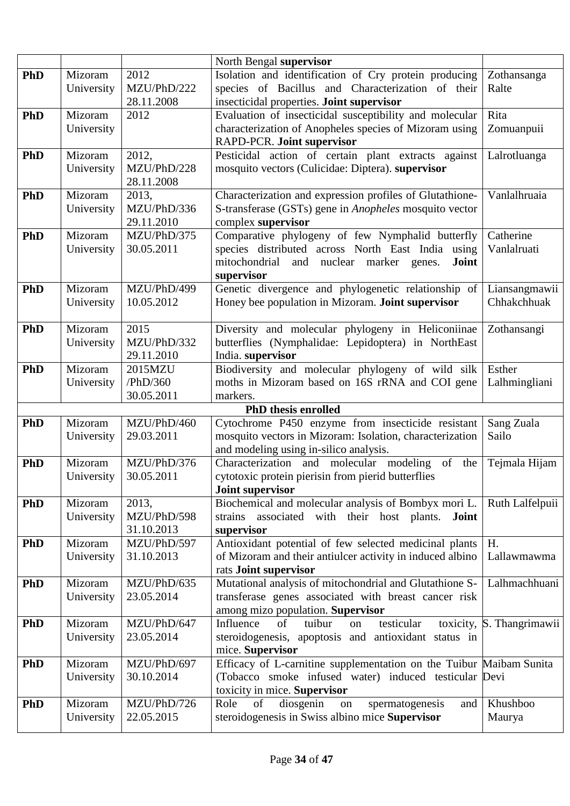|            |            |                           | North Bengal supervisor                                                                      |                           |
|------------|------------|---------------------------|----------------------------------------------------------------------------------------------|---------------------------|
| <b>PhD</b> | Mizoram    | 2012                      | Isolation and identification of Cry protein producing                                        | Zothansanga               |
|            | University | MZU/PhD/222               | species of Bacillus and Characterization of their                                            | Ralte                     |
|            |            | 28.11.2008                | insecticidal properties. Joint supervisor                                                    |                           |
| PhD        | Mizoram    | 2012                      | Evaluation of insecticidal susceptibility and molecular                                      | Rita                      |
|            | University |                           | characterization of Anopheles species of Mizoram using                                       | Zomuanpuii                |
|            |            |                           | RAPD-PCR. Joint supervisor                                                                   |                           |
| <b>PhD</b> | Mizoram    | 2012,                     | Pesticidal action of certain plant extracts against                                          | Lalrotluanga              |
|            | University | MZU/PhD/228               | mosquito vectors (Culicidae: Diptera). supervisor                                            |                           |
|            |            | 28.11.2008                |                                                                                              |                           |
| <b>PhD</b> | Mizoram    | 2013,                     | Characterization and expression profiles of Glutathione-                                     | Vanlalhruaia              |
|            | University | MZU/PhD/336               | S-transferase (GSTs) gene in <i>Anopheles</i> mosquito vector                                |                           |
|            |            | 29.11.2010                | complex supervisor                                                                           |                           |
| PhD        | Mizoram    | MZU/PhD/375               | Comparative phylogeny of few Nymphalid butterfly                                             | Catherine                 |
|            | University | 30.05.2011                | species distributed across North East India using                                            | Vanlalruati               |
|            |            |                           | mitochondrial<br>nuclear<br>marker genes.<br>and<br>Joint                                    |                           |
|            |            |                           | supervisor                                                                                   |                           |
| PhD        | Mizoram    | MZU/PhD/499               | Genetic divergence and phylogenetic relationship of                                          | Liansangmawii             |
|            | University | 10.05.2012                | Honey bee population in Mizoram. Joint supervisor                                            | Chhakchhuak               |
|            |            |                           |                                                                                              |                           |
| <b>PhD</b> | Mizoram    | 2015                      | Diversity and molecular phylogeny in Heliconiinae                                            | Zothansangi               |
|            | University | MZU/PhD/332<br>29.11.2010 | butterflies (Nymphalidae: Lepidoptera) in NorthEast                                          |                           |
| PhD        | Mizoram    | 2015MZU                   | India. supervisor<br>Biodiversity and molecular phylogeny of wild silk                       | Esther                    |
|            | University | /PhD/360                  | moths in Mizoram based on 16S rRNA and COI gene                                              | Lalhmingliani             |
|            |            | 30.05.2011                | markers.                                                                                     |                           |
|            |            |                           | <b>PhD</b> thesis enrolled                                                                   |                           |
| <b>PhD</b> | Mizoram    | MZU/PhD/460               | Cytochrome P450 enzyme from insecticide resistant                                            | Sang Zuala                |
|            | University | 29.03.2011                | mosquito vectors in Mizoram: Isolation, characterization                                     | Sailo                     |
|            |            |                           | and modeling using in-silico analysis.                                                       |                           |
| <b>PhD</b> | Mizoram    | MZU/PhD/376               | Characterization and molecular modeling<br>of<br>the                                         | Tejmala Hijam             |
|            | University | 30.05.2011                | cytotoxic protein pierisin from pierid butterflies                                           |                           |
|            |            |                           | Joint supervisor                                                                             |                           |
| <b>PhD</b> | Mizoram    | 2013.                     | Biochemical and molecular analysis of Bombyx mori L.                                         | Ruth Lalfelpuii           |
|            | University | MZU/PhD/598               | associated with their host plants.<br>Joint<br>strains                                       |                           |
|            |            | 31.10.2013                | supervisor                                                                                   |                           |
| PhD        | Mizoram    | MZU/PhD/597               | Antioxidant potential of few selected medicinal plants                                       | H.                        |
|            | University | 31.10.2013                | of Mizoram and their antiulcer activity in induced albino                                    | Lallawmawma               |
|            |            |                           | rats Joint supervisor                                                                        |                           |
| <b>PhD</b> | Mizoram    | MZU/PhD/635               | Mutational analysis of mitochondrial and Glutathione S-                                      | Lalhmachhuani             |
|            | University | 23.05.2014                | transferase genes associated with breast cancer risk                                         |                           |
|            |            |                           | among mizo population. Supervisor                                                            |                           |
| <b>PhD</b> | Mizoram    | MZU/PhD/647               | Influence<br>testicular<br>of<br>tuibur<br>on                                                | toxicity, S. Thangrimawii |
|            | University | 23.05.2014                | steroidogenesis, apoptosis and antioxidant status in                                         |                           |
|            |            |                           | mice. Supervisor                                                                             |                           |
| <b>PhD</b> | Mizoram    | MZU/PhD/697               | Efficacy of L-carnitine supplementation on the Tuibur Maibam Sunita                          |                           |
|            | University | 30.10.2014                | (Tobacco smoke infused water) induced testicular Devi                                        |                           |
|            | Mizoram    | MZU/PhD/726               | toxicity in mice. Supervisor<br>Role<br>of                                                   | Khushboo                  |
| <b>PhD</b> |            | 22.05.2015                | diosgenin<br>spermatogenesis<br>and<br>on<br>steroidogenesis in Swiss albino mice Supervisor |                           |
|            | University |                           |                                                                                              | Maurya                    |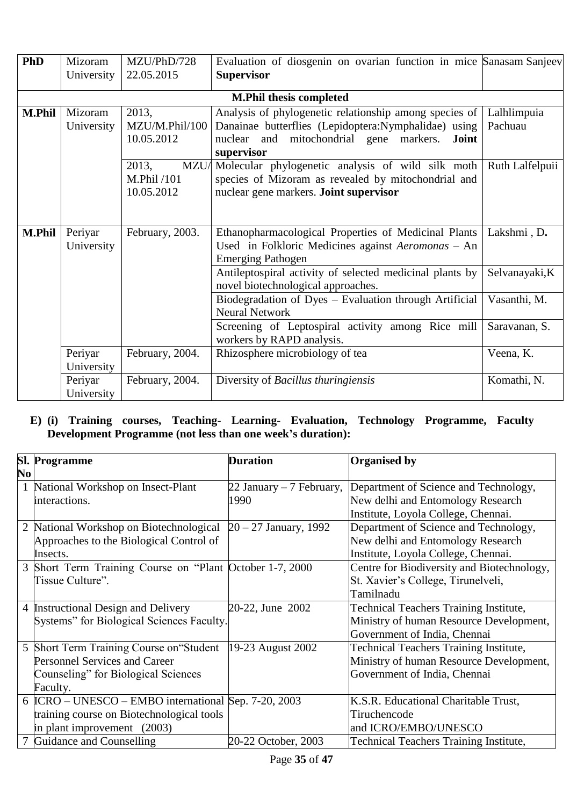| <b>PhD</b>                                           | Mizoram<br>University | MZU/PhD/728<br>22.05.2015 | Evaluation of diosgenin on ovarian function in mice Sanasam Sanjeev<br><b>Supervisor</b> |                 |
|------------------------------------------------------|-----------------------|---------------------------|------------------------------------------------------------------------------------------|-----------------|
|                                                      |                       |                           |                                                                                          |                 |
|                                                      |                       |                           | <b>M.Phil thesis completed</b>                                                           |                 |
| <b>M.Phil</b>                                        | Mizoram               | 2013,                     | Analysis of phylogenetic relationship among species of                                   | Lalhlimpuia     |
|                                                      | University            | MZU/M.Phil/100            | Danainae butterflies (Lepidoptera:Nymphalidae) using                                     | Pachuau         |
|                                                      |                       | 10.05.2012                | nuclear and mitochondrial gene markers.<br>Joint                                         |                 |
|                                                      |                       |                           | supervisor                                                                               |                 |
|                                                      |                       | 2013,<br>MZU/             | Molecular phylogenetic analysis of wild silk moth                                        | Ruth Lalfelpuii |
|                                                      |                       | M.Phil /101               | species of Mizoram as revealed by mitochondrial and                                      |                 |
| nuclear gene markers. Joint supervisor<br>10.05.2012 |                       |                           |                                                                                          |                 |
|                                                      |                       |                           |                                                                                          |                 |
|                                                      |                       |                           |                                                                                          |                 |
| <b>M.Phil</b>                                        | Periyar               | February, 2003.           | Ethanopharmacological Properties of Medicinal Plants                                     | Lakshmi, D.     |
|                                                      | University            |                           | Used in Folkloric Medicines against Aeromonas - An                                       |                 |
|                                                      |                       |                           | <b>Emerging Pathogen</b>                                                                 |                 |
|                                                      |                       |                           | Antileptospiral activity of selected medicinal plants by                                 | Selvanayaki, K  |
|                                                      |                       |                           | novel biotechnological approaches.                                                       |                 |
|                                                      |                       |                           | Biodegradation of Dyes - Evaluation through Artificial                                   | Vasanthi, M.    |
|                                                      |                       |                           | <b>Neural Network</b>                                                                    |                 |
|                                                      |                       |                           | Screening of Leptospiral activity among Rice mill                                        | Saravanan, S.   |
|                                                      |                       |                           | workers by RAPD analysis.                                                                |                 |
|                                                      | Periyar               | February, 2004.           | Rhizosphere microbiology of tea                                                          | Veena, K.       |
|                                                      | University            |                           |                                                                                          |                 |
|                                                      | Periyar               | February, 2004.           | Diversity of Bacillus thuringiensis                                                      | Komathi, N.     |
|                                                      | University            |                           |                                                                                          |                 |

## **E) (i) Training courses, Teaching- Learning- Evaluation, Technology Programme, Faculty Development Programme (not less than one week's duration):**

| No             | <b>Sl. Programme</b>                                   | <b>Duration</b>          | <b>Organised by</b>                           |
|----------------|--------------------------------------------------------|--------------------------|-----------------------------------------------|
|                | 1 National Workshop on Insect-Plant                    | 22 January – 7 February, | Department of Science and Technology,         |
|                | interactions.                                          | 1990                     | New delhi and Entomology Research             |
|                |                                                        |                          | Institute, Loyola College, Chennai.           |
| $\overline{2}$ | National Workshop on Biotechnological                  | $20 - 27$ January, 1992  | Department of Science and Technology,         |
|                | Approaches to the Biological Control of                |                          | New delhi and Entomology Research             |
|                | Insects.                                               |                          | Institute, Loyola College, Chennai.           |
| 3              | Short Term Training Course on "Plant October 1-7, 2000 |                          | Centre for Biodiversity and Biotechnology,    |
|                | Tissue Culture".                                       |                          | St. Xavier's College, Tirunelveli,            |
|                |                                                        |                          | Tamilnadu                                     |
|                | 4 Instructional Design and Delivery                    | 20-22, June 2002         | <b>Technical Teachers Training Institute,</b> |
|                | Systems" for Biological Sciences Faculty.              |                          | Ministry of human Resource Development,       |
|                |                                                        |                          | Government of India, Chennai                  |
|                | 5 Short Term Training Course on "Student"              | 19-23 August 2002        | <b>Technical Teachers Training Institute,</b> |
|                | <b>Personnel Services and Career</b>                   |                          | Ministry of human Resource Development,       |
|                | Counseling" for Biological Sciences                    |                          | Government of India, Chennai                  |
|                | Faculty.                                               |                          |                                               |
|                | 6 ICRO – UNESCO – EMBO international Sep. 7-20, 2003   |                          | K.S.R. Educational Charitable Trust,          |
|                | training course on Biotechnological tools              |                          | Tiruchencode                                  |
|                | in plant improvement $(2003)$                          |                          | and ICRO/EMBO/UNESCO                          |
| 7              | Guidance and Counselling                               | 20-22 October, 2003      | <b>Technical Teachers Training Institute,</b> |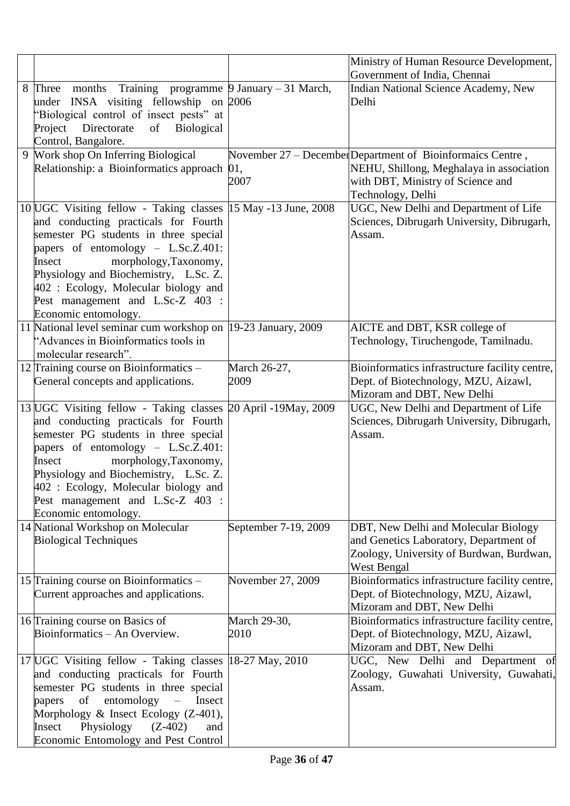|                                                                                                                                                                                                                                                                                                                                                                         |                      | Ministry of Human Resource Development,                                                                                                                          |
|-------------------------------------------------------------------------------------------------------------------------------------------------------------------------------------------------------------------------------------------------------------------------------------------------------------------------------------------------------------------------|----------------------|------------------------------------------------------------------------------------------------------------------------------------------------------------------|
|                                                                                                                                                                                                                                                                                                                                                                         |                      | Government of India, Chennai                                                                                                                                     |
| 8 Three months Training programme 9 January – 31 March,<br>under INSA visiting fellowship on 2006<br>"Biological control of insect pests" at<br>Project<br>Directorate<br><b>Biological</b><br>of<br>Control, Bangalore.                                                                                                                                                |                      | Indian National Science Academy, New<br>Delhi                                                                                                                    |
| 9 Work shop On Inferring Biological<br>Relationship: a Bioinformatics approach                                                                                                                                                                                                                                                                                          | 01,<br>2007          | November 27 – December Department of Bioinformaics Centre,<br>NEHU, Shillong, Meghalaya in association<br>with DBT, Ministry of Science and<br>Technology, Delhi |
| 10 UGC Visiting fellow - Taking classes 15 May -13 June, 2008<br>and conducting practicals for Fourth<br>semester PG students in three special<br>papers of entomology - L.Sc.Z.401:<br>morphology, Taxonomy,<br>Insect<br>Physiology and Biochemistry, L.Sc. Z.<br>402 : Ecology, Molecular biology and<br>Pest management and L.Sc-Z 403 :<br>Economic entomology.    |                      | UGC, New Delhi and Department of Life<br>Sciences, Dibrugarh University, Dibrugarh,<br>Assam.                                                                    |
| 11 National level seminar cum workshop on 19-23 January, 2009<br>"Advances in Bioinformatics tools in<br>molecular research".                                                                                                                                                                                                                                           |                      | AICTE and DBT, KSR college of<br>Technology, Tiruchengode, Tamilnadu.                                                                                            |
| 12 Training course on Bioinformatics -<br>General concepts and applications.                                                                                                                                                                                                                                                                                            | March 26-27,<br>2009 | Bioinformatics infrastructure facility centre,<br>Dept. of Biotechnology, MZU, Aizawl,                                                                           |
|                                                                                                                                                                                                                                                                                                                                                                         |                      | Mizoram and DBT, New Delhi                                                                                                                                       |
| 13 UGC Visiting fellow - Taking classes 20 April -19 May, 2009<br>and conducting practicals for Fourth<br>semester PG students in three special<br>papers of entomology - L.Sc.Z.401:<br>morphology, Taxonomy,<br>Insect<br>Physiology and Biochemistry, L.Sc. Z.<br>$402$ : Ecology, Molecular biology and<br>Pest management and L.Sc-Z 403 :<br>Economic entomology. |                      | UGC, New Delhi and Department of Life<br>Sciences, Dibrugarh University, Dibrugarh,<br>Assam.                                                                    |
| 14 National Workshop on Molecular<br><b>Biological Techniques</b>                                                                                                                                                                                                                                                                                                       | September 7-19, 2009 | DBT, New Delhi and Molecular Biology<br>and Genetics Laboratory, Department of<br>Zoology, University of Burdwan, Burdwan,<br>West Bengal                        |
| 15 Training course on Bioinformatics –<br>Current approaches and applications.                                                                                                                                                                                                                                                                                          | November 27, 2009    | Bioinformatics infrastructure facility centre,<br>Dept. of Biotechnology, MZU, Aizawl,<br>Mizoram and DBT, New Delhi                                             |
| 16 Training course on Basics of<br>Bioinformatics - An Overview.                                                                                                                                                                                                                                                                                                        | March 29-30,<br>2010 | Bioinformatics infrastructure facility centre,<br>Dept. of Biotechnology, MZU, Aizawl,<br>Mizoram and DBT, New Delhi                                             |
| 17 UGC Visiting fellow - Taking classes  18-27 May, 2010<br>and conducting practicals for Fourth<br>semester PG students in three special<br>of<br>entomology<br>Insect<br>papers<br>$\overline{\phantom{0}}$<br>Morphology & Insect Ecology (Z-401),<br>Physiology<br>$(Z-402)$<br>Insect<br>and<br>Economic Entomology and Pest Control                               |                      | UGC, New Delhi and Department of<br>Zoology, Guwahati University, Guwahati,<br>Assam.                                                                            |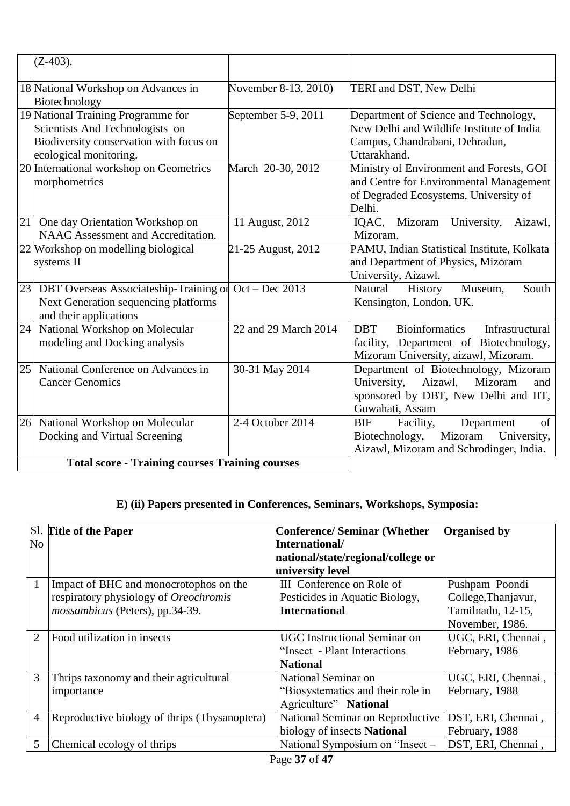|    | $(Z-403)$ .                                                                                                                                |                      |                                                                                                                                             |
|----|--------------------------------------------------------------------------------------------------------------------------------------------|----------------------|---------------------------------------------------------------------------------------------------------------------------------------------|
|    | 18 National Workshop on Advances in<br>Biotechnology                                                                                       | November 8-13, 2010) | TERI and DST, New Delhi                                                                                                                     |
|    | 19 National Training Programme for<br>Scientists And Technologists on<br>Biodiversity conservation with focus on<br>ecological monitoring. | September 5-9, 2011  | Department of Science and Technology,<br>New Delhi and Wildlife Institute of India<br>Campus, Chandrabani, Dehradun,<br>Uttarakhand.        |
|    | 20 International workshop on Geometrics<br>morphometrics                                                                                   | March 20-30, 2012    | Ministry of Environment and Forests, GOI<br>and Centre for Environmental Management<br>of Degraded Ecosystems, University of<br>Delhi.      |
| 21 | One day Orientation Workshop on<br>NAAC Assessment and Accreditation.                                                                      | 11 August, 2012      | Mizoram<br>University,<br>IQAC,<br>Aizawl,<br>Mizoram.                                                                                      |
|    | 22 Workshop on modelling biological<br>systems II                                                                                          | 21-25 August, 2012   | PAMU, Indian Statistical Institute, Kolkata<br>and Department of Physics, Mizoram<br>University, Aizawl.                                    |
| 23 | DBT Overseas Associateship-Training or<br>Next Generation sequencing platforms<br>and their applications                                   | $Oct - Dec 2013$     | South<br>Natural<br>History<br>Museum,<br>Kensington, London, UK.                                                                           |
| 24 | National Workshop on Molecular<br>modeling and Docking analysis                                                                            | 22 and 29 March 2014 | <b>Bioinformatics</b><br><b>DBT</b><br>Infrastructural<br>facility, Department of Biotechnology,<br>Mizoram University, aizawl, Mizoram.    |
| 25 | National Conference on Advances in<br><b>Cancer Genomics</b>                                                                               | 30-31 May 2014       | Department of Biotechnology, Mizoram<br>University,<br>Aizawl,<br>Mizoram<br>and<br>sponsored by DBT, New Delhi and IIT,<br>Guwahati, Assam |
| 26 | National Workshop on Molecular<br>Docking and Virtual Screening                                                                            | 2-4 October 2014     | of<br><b>BIF</b><br>Facility,<br>Department<br>Mizoram<br>University,<br>Biotechnology,<br>Aizawl, Mizoram and Schrodinger, India.          |
|    | <b>Total score - Training courses Training courses</b>                                                                                     |                      |                                                                                                                                             |

# **E) (ii) Papers presented in Conferences, Seminars, Workshops, Symposia:**

|                | Sl. Title of the Paper                        | <b>Conference/ Seminar (Whether)</b> | <b>Organised by</b> |
|----------------|-----------------------------------------------|--------------------------------------|---------------------|
| No.            |                                               | International/                       |                     |
|                |                                               | national/state/regional/college or   |                     |
|                |                                               | university level                     |                     |
|                | Impact of BHC and monocrotophos on the        | III Conference on Role of            | Pushpam Poondi      |
|                | respiratory physiology of Oreochromis         | Pesticides in Aquatic Biology,       | College, Thanjavur, |
|                | mossambicus (Peters), pp.34-39.               | <b>International</b>                 | Tamilnadu, 12-15,   |
|                |                                               |                                      | November, 1986.     |
| 2              | Food utilization in insects                   | <b>UGC</b> Instructional Seminar on  | UGC, ERI, Chennai,  |
|                |                                               | "Insect - Plant Interactions         | February, 1986      |
|                |                                               | <b>National</b>                      |                     |
| $\overline{3}$ | Thrips taxonomy and their agricultural        | National Seminar on                  | UGC, ERI, Chennai,  |
|                | importance                                    | "Biosystematics and their role in    | February, 1988      |
|                |                                               | Agriculture" National                |                     |
| $\overline{4}$ | Reproductive biology of thrips (Thysanoptera) | National Seminar on Reproductive     | DST, ERI, Chennai,  |
|                |                                               | biology of insects National          | February, 1988      |
|                | Chemical ecology of thrips                    | National Symposium on "Insect -      | DST, ERI, Chennai,  |
|                |                                               | 27.647<br>$\mathbf{r}$               |                     |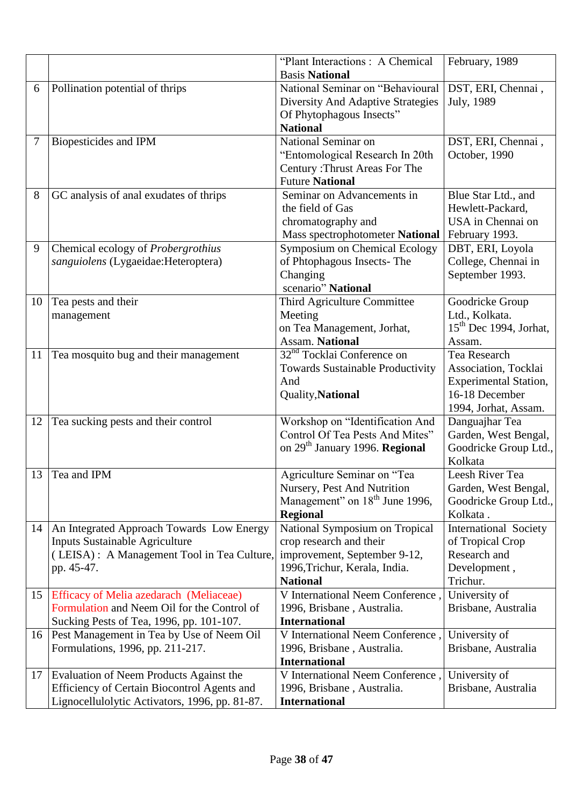|    |                                                | "Plant Interactions: A Chemical                                  | February, 1989                                 |
|----|------------------------------------------------|------------------------------------------------------------------|------------------------------------------------|
|    |                                                | <b>Basis National</b>                                            |                                                |
| 6  | Pollination potential of thrips                | National Seminar on "Behavioural                                 | DST, ERI, Chennai,                             |
|    |                                                | Diversity And Adaptive Strategies                                | July, 1989                                     |
|    |                                                | Of Phytophagous Insects"                                         |                                                |
|    |                                                | <b>National</b>                                                  |                                                |
| 7  | Biopesticides and IPM                          | National Seminar on                                              | DST, ERI, Chennai,                             |
|    |                                                | "Entomological Research In 20th                                  | October, 1990                                  |
|    |                                                | Century: Thrust Areas For The                                    |                                                |
|    |                                                | <b>Future National</b>                                           |                                                |
| 8  | GC analysis of anal exudates of thrips         | Seminar on Advancements in                                       | Blue Star Ltd., and                            |
|    |                                                | the field of Gas                                                 | Hewlett-Packard,                               |
|    |                                                | chromatography and                                               | USA in Chennai on                              |
|    |                                                | Mass spectrophotometer National                                  | February 1993.                                 |
| 9  | Chemical ecology of Probergrothius             | <b>Symposium on Chemical Ecology</b>                             | DBT, ERI, Loyola                               |
|    | sanguiolens (Lygaeidae: Heteroptera)           | of Phtophagous Insects-The                                       | College, Chennai in                            |
|    |                                                | Changing                                                         | September 1993.                                |
|    |                                                | scenario" National                                               |                                                |
| 10 | Tea pests and their                            | Third Agriculture Committee                                      | Goodricke Group                                |
|    | management                                     | Meeting                                                          | Ltd., Kolkata.                                 |
|    |                                                | on Tea Management, Jorhat,                                       | $15th$ Dec 1994, Jorhat,                       |
|    |                                                | <b>Assam. National</b><br>32 <sup>nd</sup> Tocklai Conference on | Assam.<br>Tea Research                         |
| 11 | Tea mosquito bug and their management          |                                                                  |                                                |
|    |                                                | <b>Towards Sustainable Productivity</b>                          | Association, Tocklai                           |
|    |                                                | And                                                              | <b>Experimental Station,</b><br>16-18 December |
|    |                                                | Quality, National                                                |                                                |
| 12 | Tea sucking pests and their control            | Workshop on "Identification And                                  | 1994, Jorhat, Assam.<br>Danguajhar Tea         |
|    |                                                | Control Of Tea Pests And Mites"                                  | Garden, West Bengal,                           |
|    |                                                | on 29 <sup>th</sup> January 1996. Regional                       | Goodricke Group Ltd.,                          |
|    |                                                |                                                                  | Kolkata                                        |
| 13 | Tea and IPM                                    | Agriculture Seminar on "Tea                                      | Leesh River Tea                                |
|    |                                                | Nursery, Pest And Nutrition                                      | Garden, West Bengal,                           |
|    |                                                | Management" on 18 <sup>th</sup> June 1996,                       | Goodricke Group Ltd.,                          |
|    |                                                | <b>Regional</b>                                                  | Kolkata.                                       |
| 14 | An Integrated Approach Towards Low Energy      | National Symposium on Tropical                                   | <b>International Society</b>                   |
|    | <b>Inputs Sustainable Agriculture</b>          | crop research and their                                          | of Tropical Crop                               |
|    | (LEISA): A Management Tool in Tea Culture,     | improvement, September 9-12,                                     | Research and                                   |
|    | pp. 45-47.                                     | 1996, Trichur, Kerala, India.                                    | Development,                                   |
|    |                                                | <b>National</b>                                                  | Trichur.                                       |
| 15 | Efficacy of Melia azedarach (Meliaceae)        | V International Neem Conference,                                 | University of                                  |
|    | Formulation and Neem Oil for the Control of    | 1996, Brisbane, Australia.                                       | Brisbane, Australia                            |
|    | Sucking Pests of Tea, 1996, pp. 101-107.       | <b>International</b>                                             |                                                |
| 16 | Pest Management in Tea by Use of Neem Oil      | V International Neem Conference,                                 | University of                                  |
|    | Formulations, 1996, pp. 211-217.               | 1996, Brisbane, Australia.                                       | Brisbane, Australia                            |
|    |                                                | <b>International</b>                                             |                                                |
| 17 | Evaluation of Neem Products Against the        | V International Neem Conference,                                 | University of                                  |
|    | Efficiency of Certain Biocontrol Agents and    | 1996, Brisbane, Australia.                                       | Brisbane, Australia                            |
|    | Lignocellulolytic Activators, 1996, pp. 81-87. | <b>International</b>                                             |                                                |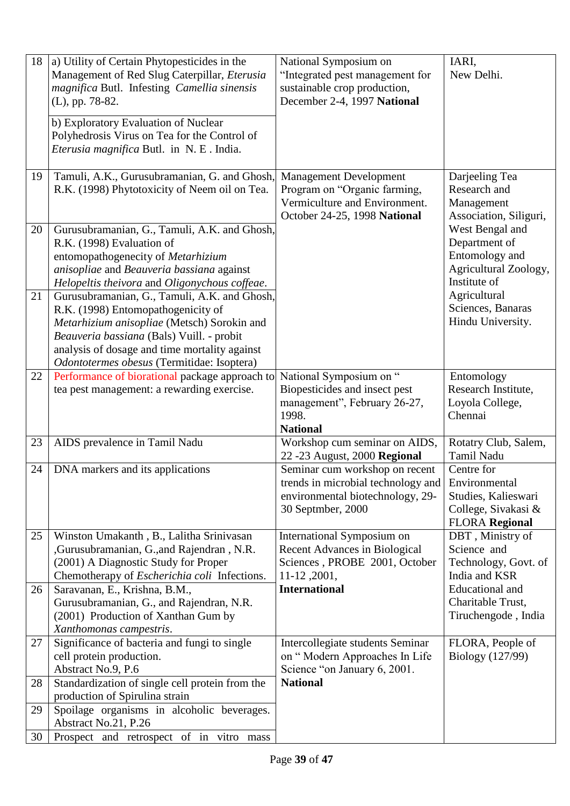| 18       | a) Utility of Certain Phytopesticides in the<br>Management of Red Slug Caterpillar, Eterusia<br>magnifica Butl. Infesting Camellia sinensis<br>(L), pp. 78-82.<br>b) Exploratory Evaluation of Nuclear<br>Polyhedrosis Virus on Tea for the Control of<br>Eterusia magnifica Butl. in N. E. India. | National Symposium on<br>"Integrated pest management for<br>sustainable crop production,<br>December 2-4, 1997 National        | IARI,<br>New Delhi.                                                                                |
|----------|----------------------------------------------------------------------------------------------------------------------------------------------------------------------------------------------------------------------------------------------------------------------------------------------------|--------------------------------------------------------------------------------------------------------------------------------|----------------------------------------------------------------------------------------------------|
| 19       | Tamuli, A.K., Gurusubramanian, G. and Ghosh,<br>R.K. (1998) Phytotoxicity of Neem oil on Tea.                                                                                                                                                                                                      | <b>Management Development</b><br>Program on "Organic farming,<br>Vermiculture and Environment.<br>October 24-25, 1998 National | Darjeeling Tea<br>Research and<br>Management<br>Association, Siliguri,                             |
| 20       | Gurusubramanian, G., Tamuli, A.K. and Ghosh,<br>R.K. (1998) Evaluation of<br>entomopathogenecity of Metarhizium<br>anisopliae and Beauveria bassiana against<br>Helopeltis theivora and Oligonychous coffeae.                                                                                      |                                                                                                                                | West Bengal and<br>Department of<br>Entomology and<br>Agricultural Zoology,<br>Institute of        |
| 21       | Gurusubramanian, G., Tamuli, A.K. and Ghosh,<br>R.K. (1998) Entomopathogenicity of<br>Metarhizium anisopliae (Metsch) Sorokin and<br>Beauveria bassiana (Bals) Vuill. - probit<br>analysis of dosage and time mortality against<br>Odontotermes obesus (Termitidae: Isoptera)                      |                                                                                                                                | Agricultural<br>Sciences, Banaras<br>Hindu University.                                             |
| 22       | Performance of biorational package approach to<br>tea pest management: a rewarding exercise.                                                                                                                                                                                                       | National Symposium on "<br>Biopesticides and insect pest<br>management", February 26-27,<br>1998.<br><b>National</b>           | Entomology<br>Research Institute,<br>Loyola College,<br>Chennai                                    |
| 23       | AIDS prevalence in Tamil Nadu                                                                                                                                                                                                                                                                      | Workshop cum seminar on AIDS,<br>22 - 23 August, 2000 Regional                                                                 | Rotatry Club, Salem,<br><b>Tamil Nadu</b>                                                          |
| 24       | DNA markers and its applications                                                                                                                                                                                                                                                                   | Seminar cum workshop on recent<br>trends in microbial technology and<br>environmental biotechnology, 29-<br>30 Septmber, 2000  | Centre for<br>Environmental<br>Studies, Kalieswari<br>College, Sivakasi &<br><b>FLORA Regional</b> |
| 25       | Winston Umakanth, B., Lalitha Srinivasan<br>,Gurusubramanian, G., and Rajendran, N.R.<br>(2001) A Diagnostic Study for Proper<br>Chemotherapy of <i>Escherichia coli</i> Infections.                                                                                                               | International Symposium on<br><b>Recent Advances in Biological</b><br>Sciences, PROBE 2001, October<br>11-12, 2001,            | DBT, Ministry of<br>Science and<br>Technology, Govt. of<br>India and KSR                           |
| 26       | Saravanan, E., Krishna, B.M.,<br>Gurusubramanian, G., and Rajendran, N.R.<br>(2001) Production of Xanthan Gum by<br>Xanthomonas campestris.                                                                                                                                                        | <b>International</b>                                                                                                           | <b>Educational</b> and<br>Charitable Trust,<br>Tiruchengode, India                                 |
| 27<br>28 | Significance of bacteria and fungi to single<br>cell protein production.<br>Abstract No.9, P.6<br>Standardization of single cell protein from the                                                                                                                                                  | Intercollegiate students Seminar<br>on "Modern Approaches In Life<br>Science "on January 6, 2001.<br><b>National</b>           | FLORA, People of<br>Biology (127/99)                                                               |
| 29       | production of Spirulina strain<br>Spoilage organisms in alcoholic beverages.                                                                                                                                                                                                                       |                                                                                                                                |                                                                                                    |
| 30       | Abstract No.21, P.26<br>Prospect and retrospect of in vitro mass                                                                                                                                                                                                                                   |                                                                                                                                |                                                                                                    |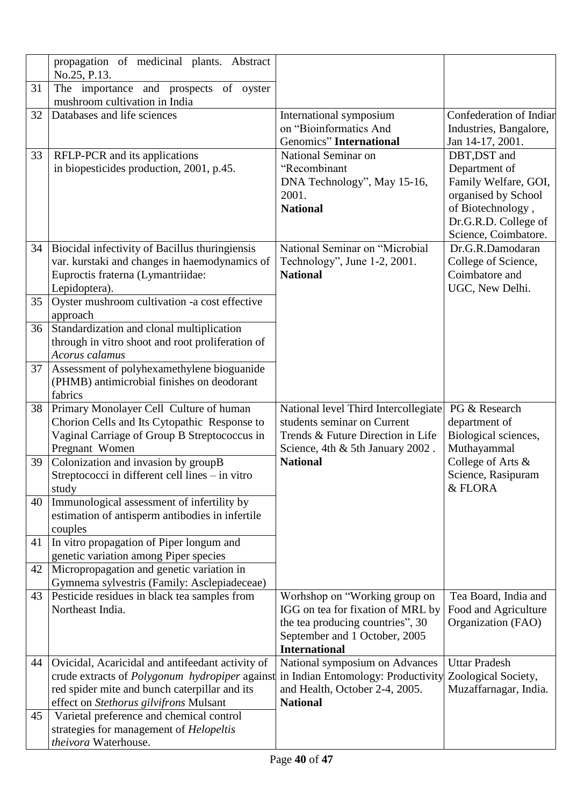|    | propagation of medicinal plants. Abstract<br>No.25, P.13.                                                                                                                                     |                                                                                                                                                                 |                                                                                                                                                   |
|----|-----------------------------------------------------------------------------------------------------------------------------------------------------------------------------------------------|-----------------------------------------------------------------------------------------------------------------------------------------------------------------|---------------------------------------------------------------------------------------------------------------------------------------------------|
| 31 | The importance and prospects of oyster<br>mushroom cultivation in India                                                                                                                       |                                                                                                                                                                 |                                                                                                                                                   |
| 32 | Databases and life sciences                                                                                                                                                                   | International symposium<br>on "Bioinformatics And<br>Genomics" International                                                                                    | Confederation of Indian<br>Industries, Bangalore,<br>Jan 14-17, 2001.                                                                             |
| 33 | RFLP-PCR and its applications<br>in biopesticides production, 2001, p.45.                                                                                                                     | National Seminar on<br>"Recombinant<br>DNA Technology", May 15-16,<br>2001.<br><b>National</b>                                                                  | DBT, DST and<br>Department of<br>Family Welfare, GOI,<br>organised by School<br>of Biotechnology,<br>Dr.G.R.D. College of<br>Science, Coimbatore. |
| 34 | Biocidal infectivity of Bacillus thuringiensis<br>var. kurstaki and changes in haemodynamics of<br>Euproctis fraterna (Lymantriidae:<br>Lepidoptera).                                         | National Seminar on "Microbial<br>Technology", June 1-2, 2001.<br><b>National</b>                                                                               | Dr.G.R.Damodaran<br>College of Science,<br>Coimbatore and<br>UGC, New Delhi.                                                                      |
| 35 | Oyster mushroom cultivation -a cost effective<br>approach                                                                                                                                     |                                                                                                                                                                 |                                                                                                                                                   |
| 36 | Standardization and clonal multiplication<br>through in vitro shoot and root proliferation of<br>Acorus calamus                                                                               |                                                                                                                                                                 |                                                                                                                                                   |
| 37 | Assessment of polyhexamethylene bioguanide<br>(PHMB) antimicrobial finishes on deodorant<br>fabrics                                                                                           |                                                                                                                                                                 |                                                                                                                                                   |
| 38 | Primary Monolayer Cell Culture of human<br>Chorion Cells and Its Cytopathic Response to<br>Vaginal Carriage of Group B Streptococcus in<br>Pregnant Women                                     | National level Third Intercollegiate<br>students seminar on Current<br>Trends & Future Direction in Life<br>Science, 4th & 5th January 2002.                    | PG & Research<br>department of<br>Biological sciences,<br>Muthayammal                                                                             |
| 39 | Colonization and invasion by groupB<br>Streptococci in different cell lines – in vitro<br>study                                                                                               | <b>National</b>                                                                                                                                                 | College of Arts &<br>Science, Rasipuram<br>& FLORA                                                                                                |
| 40 | Immunological assessment of infertility by<br>estimation of antisperm antibodies in infertile<br>couples                                                                                      |                                                                                                                                                                 |                                                                                                                                                   |
| 41 | In vitro propagation of Piper longum and<br>genetic variation among Piper species                                                                                                             |                                                                                                                                                                 |                                                                                                                                                   |
| 42 | Micropropagation and genetic variation in<br>Gymnema sylvestris (Family: Asclepiadeceae)                                                                                                      |                                                                                                                                                                 |                                                                                                                                                   |
| 43 | Pesticide residues in black tea samples from<br>Northeast India.                                                                                                                              | Worhshop on "Working group on<br>IGG on tea for fixation of MRL by<br>the tea producing countries", 30<br>September and 1 October, 2005<br><b>International</b> | Tea Board, India and<br>Food and Agriculture<br>Organization (FAO)                                                                                |
| 44 | Ovicidal, Acaricidal and antifeedant activity of<br>crude extracts of Polygonum hydropiper against<br>red spider mite and bunch caterpillar and its<br>effect on Stethorus gilvifrons Mulsant | National symposium on Advances<br>in Indian Entomology: Productivity<br>and Health, October 2-4, 2005.<br><b>National</b>                                       | <b>Uttar Pradesh</b><br>Zoological Society,<br>Muzaffarnagar, India.                                                                              |
| 45 | Varietal preference and chemical control<br>strategies for management of Helopeltis<br>theivora Waterhouse.                                                                                   |                                                                                                                                                                 |                                                                                                                                                   |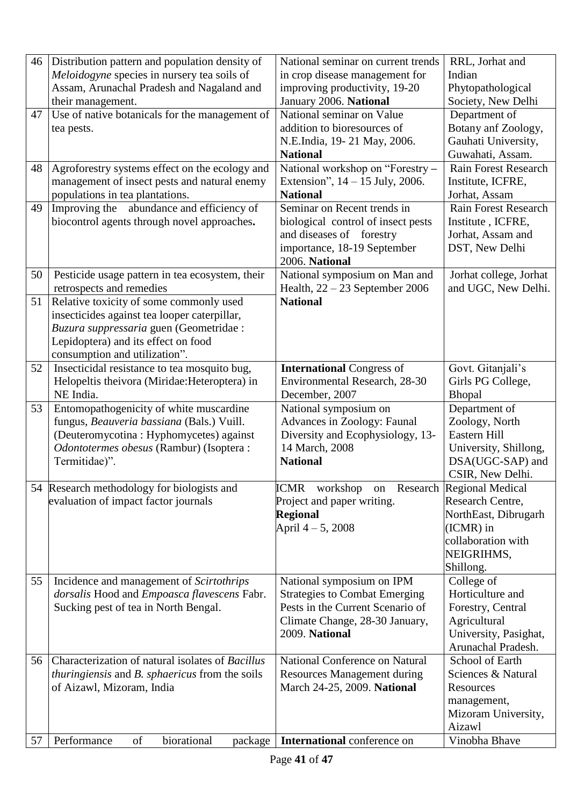| 46 | Distribution pattern and population density of               | National seminar on current trends          | RRL, Jorhat and                                  |
|----|--------------------------------------------------------------|---------------------------------------------|--------------------------------------------------|
|    | Meloidogyne species in nursery tea soils of                  | in crop disease management for              | Indian                                           |
|    | Assam, Arunachal Pradesh and Nagaland and                    | improving productivity, 19-20               | Phytopathological                                |
|    | their management.                                            | January 2006. National                      | Society, New Delhi                               |
| 47 | Use of native botanicals for the management of               | National seminar on Value                   | Department of                                    |
|    | tea pests.                                                   | addition to bioresources of                 | Botany anf Zoology,                              |
|    |                                                              | N.E.India, 19-21 May, 2006.                 | Gauhati University,                              |
|    |                                                              | <b>National</b>                             | Guwahati, Assam.                                 |
| 48 | Agroforestry systems effect on the ecology and               | National workshop on "Forestry -            | Rain Forest Research                             |
|    | management of insect pests and natural enemy                 | Extension", $14 - 15$ July, 2006.           | Institute, ICFRE,                                |
|    | populations in tea plantations.                              | <b>National</b>                             | Jorhat, Assam                                    |
| 49 | Improving the abundance and efficiency of                    | Seminar on Recent trends in                 | <b>Rain Forest Research</b>                      |
|    | biocontrol agents through novel approaches.                  | biological control of insect pests          | Institute, ICFRE,                                |
|    |                                                              | and diseases of forestry                    | Jorhat, Assam and                                |
|    |                                                              | importance, 18-19 September                 | DST, New Delhi                                   |
|    |                                                              | 2006. National                              |                                                  |
| 50 | Pesticide usage pattern in tea ecosystem, their              | National symposium on Man and               | Jorhat college, Jorhat                           |
|    | retrospects and remedies                                     | Health, $22 - 23$ September 2006            | and UGC, New Delhi.                              |
| 51 | Relative toxicity of some commonly used                      | <b>National</b>                             |                                                  |
|    | insecticides against tea looper caterpillar,                 |                                             |                                                  |
|    | Buzura suppressaria guen (Geometridae :                      |                                             |                                                  |
|    | Lepidoptera) and its effect on food                          |                                             |                                                  |
|    | consumption and utilization".                                |                                             |                                                  |
| 52 | Insecticidal resistance to tea mosquito bug,                 | <b>International Congress of</b>            | Govt. Gitanjali's                                |
|    | Helopeltis theivora (Miridae: Heteroptera) in                | Environmental Research, 28-30               | Girls PG College,                                |
|    | NE India.                                                    | December, 2007                              | Bhopal                                           |
| 53 | Entomopathogenicity of white muscardine                      | National symposium on                       | Department of                                    |
|    | fungus, Beauveria bassiana (Bals.) Vuill.                    | Advances in Zoology: Faunal                 | Zoology, North<br>Eastern Hill                   |
|    | (Deuteromycotina: Hyphomycetes) against                      | Diversity and Ecophysiology, 13-            |                                                  |
|    | Odontotermes obesus (Rambur) (Isoptera:                      | 14 March, 2008                              | University, Shillong,                            |
|    | Termitidae)".                                                | <b>National</b>                             | DSA(UGC-SAP) and<br>CSIR, New Delhi.             |
|    |                                                              |                                             |                                                  |
|    | 54 Research methodology for biologists and                   | ICMR workshop<br>Project and paper writing. | on Research Regional Medical<br>Research Centre, |
|    | evaluation of impact factor journals                         | <b>Regional</b>                             | NorthEast, Dibrugarh                             |
|    |                                                              | April $4 - 5$ , 2008                        | (ICMR) in                                        |
|    |                                                              |                                             | collaboration with                               |
|    |                                                              |                                             | NEIGRIHMS,                                       |
|    |                                                              |                                             | Shillong.                                        |
| 55 | Incidence and management of <i>Scirtothrips</i>              | National symposium on IPM                   | College of                                       |
|    | dorsalis Hood and Empoasca flavescens Fabr.                  | <b>Strategies to Combat Emerging</b>        | Horticulture and                                 |
|    | Sucking pest of tea in North Bengal.                         | Pests in the Current Scenario of            | Forestry, Central                                |
|    |                                                              | Climate Change, 28-30 January,              | Agricultural                                     |
|    |                                                              | 2009. National                              | University, Pasighat,                            |
|    |                                                              |                                             | Arunachal Pradesh.                               |
| 56 | Characterization of natural isolates of Bacillus             | National Conference on Natural              | School of Earth                                  |
|    | <i>thuringiensis</i> and <i>B. sphaericus</i> from the soils | <b>Resources Management during</b>          | Sciences & Natural                               |
|    | of Aizawl, Mizoram, India                                    | March 24-25, 2009. National                 | Resources                                        |
|    |                                                              |                                             | management,                                      |
|    |                                                              |                                             | Mizoram University,                              |
|    |                                                              |                                             | Aizawl                                           |
| 57 | of<br>biorational<br>Performance<br>package                  | International conference on                 | Vinobha Bhave                                    |
|    |                                                              |                                             |                                                  |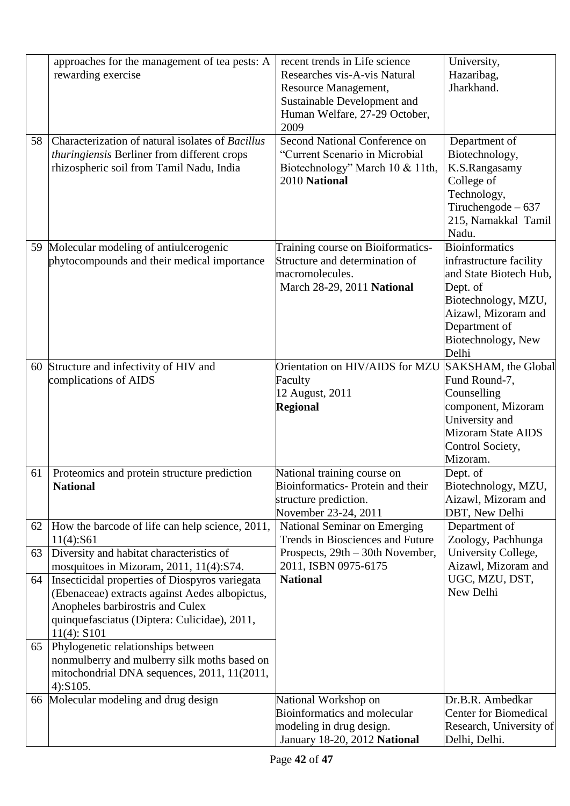|    | approaches for the management of tea pests: A                 | recent trends in Life science                    | University,                          |
|----|---------------------------------------------------------------|--------------------------------------------------|--------------------------------------|
|    | rewarding exercise                                            | Researches vis-A-vis Natural                     | Hazaribag,                           |
|    |                                                               | Resource Management,                             | Jharkhand.                           |
|    |                                                               | Sustainable Development and                      |                                      |
|    |                                                               | Human Welfare, 27-29 October,                    |                                      |
|    |                                                               | 2009                                             |                                      |
| 58 | Characterization of natural isolates of Bacillus              | Second National Conference on                    | Department of                        |
|    | thuringiensis Berliner from different crops                   | "Current Scenario in Microbial                   | Biotechnology,                       |
|    | rhizospheric soil from Tamil Nadu, India                      |                                                  | K.S.Rangasamy                        |
|    |                                                               | Biotechnology" March 10 & 11th,<br>2010 National | College of                           |
|    |                                                               |                                                  |                                      |
|    |                                                               |                                                  | Technology,<br>Tiruchengode $-637$   |
|    |                                                               |                                                  | 215, Namakkal Tamil                  |
|    |                                                               |                                                  |                                      |
|    |                                                               |                                                  | Nadu.<br><b>Bioinformatics</b>       |
| 59 | Molecular modeling of antiulcerogenic                         | Training course on Bioiformatics-                |                                      |
|    | phytocompounds and their medical importance                   | Structure and determination of                   | infrastructure facility              |
|    |                                                               | macromolecules.                                  | and State Biotech Hub,               |
|    |                                                               | March 28-29, 2011 National                       | Dept. of                             |
|    |                                                               |                                                  | Biotechnology, MZU,                  |
|    |                                                               |                                                  | Aizawl, Mizoram and                  |
|    |                                                               |                                                  | Department of                        |
|    |                                                               |                                                  | Biotechnology, New<br>Delhi          |
|    |                                                               | Orientation on HIV/AIDS for MZU                  | SAKSHAM, the Global                  |
| 60 | Structure and infectivity of HIV and<br>complications of AIDS |                                                  | Fund Round-7,                        |
|    |                                                               | Faculty                                          |                                      |
|    |                                                               | 12 August, 2011                                  | Counselling                          |
|    |                                                               | <b>Regional</b>                                  | component, Mizoram<br>University and |
|    |                                                               |                                                  | <b>Mizoram State AIDS</b>            |
|    |                                                               |                                                  | Control Society,                     |
|    |                                                               |                                                  | Mizoram.                             |
| 61 | Proteomics and protein structure prediction                   | National training course on                      | Dept. of                             |
|    | <b>National</b>                                               | Bioinformatics-Protein and their                 | Biotechnology, MZU,                  |
|    |                                                               | structure prediction.                            | Aizawl, Mizoram and                  |
|    |                                                               | November 23-24, 2011                             | DBT, New Delhi                       |
| 62 | How the barcode of life can help science, 2011,               | National Seminar on Emerging                     | Department of                        |
|    | 11(4):S61                                                     | Trends in Biosciences and Future                 | Zoology, Pachhunga                   |
| 63 | Diversity and habitat characteristics of                      | Prospects, 29th - 30th November,                 | University College,                  |
|    | mosquitoes in Mizoram, 2011, 11(4):S74.                       | 2011, ISBN 0975-6175                             | Aizawl, Mizoram and                  |
| 64 | Insecticidal properties of Diospyros variegata                | <b>National</b>                                  | UGC, MZU, DST,                       |
|    | (Ebenaceae) extracts against Aedes albopictus,                |                                                  | New Delhi                            |
|    | Anopheles barbirostris and Culex                              |                                                  |                                      |
|    | quinquefasciatus (Diptera: Culicidae), 2011,                  |                                                  |                                      |
|    | 11(4): S101                                                   |                                                  |                                      |
| 65 | Phylogenetic relationships between                            |                                                  |                                      |
|    | nonmulberry and mulberry silk moths based on                  |                                                  |                                      |
|    | mitochondrial DNA sequences, 2011, 11(2011,                   |                                                  |                                      |
|    | 4):S105.                                                      |                                                  |                                      |
|    | 66 Molecular modeling and drug design                         | National Workshop on                             | Dr.B.R. Ambedkar                     |
|    |                                                               | <b>Bioinformatics and molecular</b>              | <b>Center for Biomedical</b>         |
|    |                                                               | modeling in drug design.                         | Research, University of              |
|    |                                                               | January 18-20, 2012 National                     | Delhi, Delhi.                        |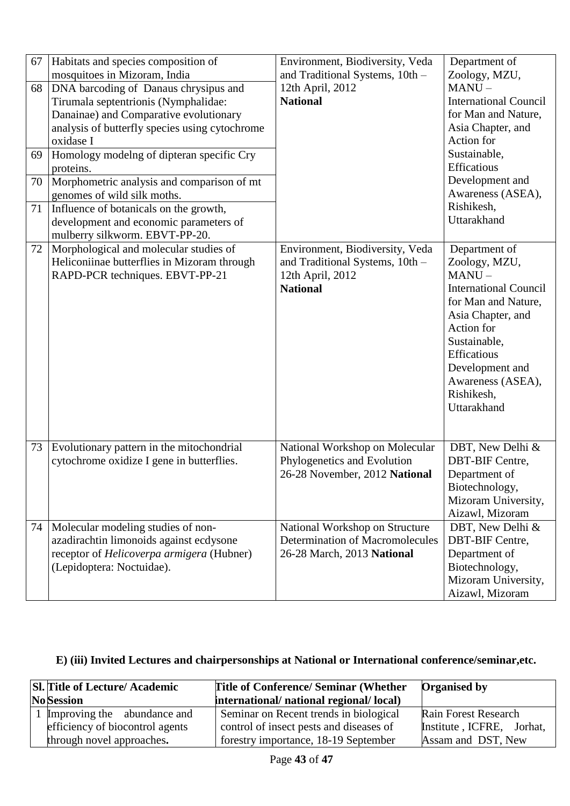| 67                   | Habitats and species composition of<br>mosquitoes in Mizoram, India                                                                                                                                                                                                                                                                                                                                               | Environment, Biodiversity, Veda<br>and Traditional Systems, 10th -                                        | Department of<br>Zoology, MZU,                                                                                                                                                                                                           |
|----------------------|-------------------------------------------------------------------------------------------------------------------------------------------------------------------------------------------------------------------------------------------------------------------------------------------------------------------------------------------------------------------------------------------------------------------|-----------------------------------------------------------------------------------------------------------|------------------------------------------------------------------------------------------------------------------------------------------------------------------------------------------------------------------------------------------|
| 68<br>69<br>70<br>71 | DNA barcoding of Danaus chrysipus and<br>Tirumala septentrionis (Nymphalidae:<br>Danainae) and Comparative evolutionary<br>analysis of butterfly species using cytochrome<br>oxidase I<br>Homology modelng of dipteran specific Cry<br>proteins.<br>Morphometric analysis and comparison of mt<br>genomes of wild silk moths.<br>Influence of botanicals on the growth,<br>development and economic parameters of | 12th April, 2012<br><b>National</b>                                                                       | $MANU -$<br><b>International Council</b><br>for Man and Nature,<br>Asia Chapter, and<br>Action for<br>Sustainable,<br>Efficatious<br>Development and<br>Awareness (ASEA),<br>Rishikesh,<br>Uttarakhand                                   |
|                      | mulberry silkworm. EBVT-PP-20.                                                                                                                                                                                                                                                                                                                                                                                    |                                                                                                           |                                                                                                                                                                                                                                          |
| 72                   | Morphological and molecular studies of<br>Heliconiinae butterflies in Mizoram through<br>RAPD-PCR techniques. EBVT-PP-21                                                                                                                                                                                                                                                                                          | Environment, Biodiversity, Veda<br>and Traditional Systems, 10th -<br>12th April, 2012<br><b>National</b> | Department of<br>Zoology, MZU,<br>$MANU -$<br><b>International Council</b><br>for Man and Nature,<br>Asia Chapter, and<br>Action for<br>Sustainable,<br>Efficatious<br>Development and<br>Awareness (ASEA),<br>Rishikesh,<br>Uttarakhand |
| 73                   | Evolutionary pattern in the mitochondrial<br>cytochrome oxidize I gene in butterflies.                                                                                                                                                                                                                                                                                                                            | National Workshop on Molecular<br>Phylogenetics and Evolution<br>26-28 November, 2012 National            | DBT, New Delhi &<br><b>DBT-BIF Centre,</b><br>Department of<br>Biotechnology,<br>Mizoram University,<br>Aizawl, Mizoram                                                                                                                  |
| 74                   | Molecular modeling studies of non-<br>azadirachtin limonoids against ecdysone<br>receptor of Helicoverpa armigera (Hubner)<br>(Lepidoptera: Noctuidae).                                                                                                                                                                                                                                                           | National Workshop on Structure<br><b>Determination of Macromolecules</b><br>26-28 March, 2013 National    | DBT, New Delhi &<br>DBT-BIF Centre,<br>Department of<br>Biotechnology,<br>Mizoram University,<br>Aizawl, Mizoram                                                                                                                         |

# **E) (iii) Invited Lectures and chairpersonships at National or International conference/seminar,etc.**

| SI. Title of Lecture/ Academic  | <b>Title of Conference/ Seminar (Whether)</b> | <b>Organised by</b>         |
|---------------------------------|-----------------------------------------------|-----------------------------|
| <b>No</b> Session               | international/ national regional/ local)      |                             |
| 1 Improving the abundance and   | Seminar on Recent trends in biological        | <b>Rain Forest Research</b> |
| efficiency of biocontrol agents | control of insect pests and diseases of       | Institute, ICFRE, Jorhat,   |
| through novel approaches.       | forestry importance, 18-19 September          | Assam and DST, New          |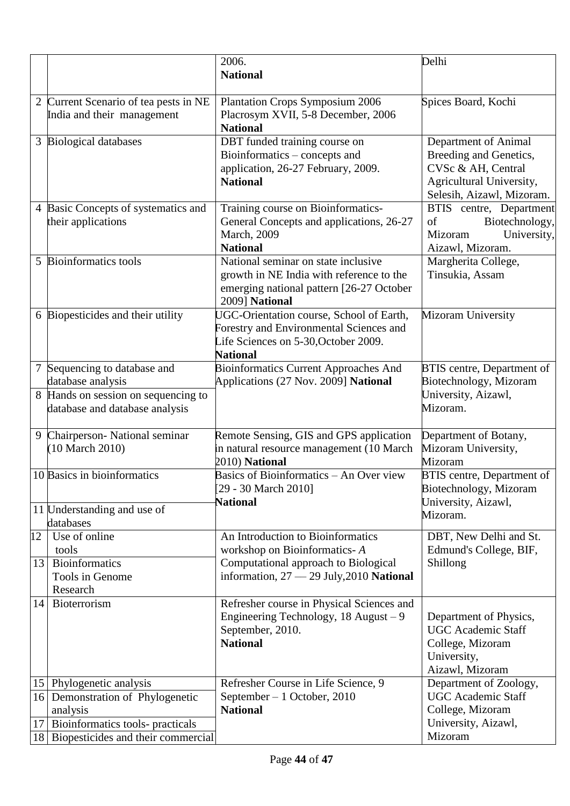|        |                                                                                            | 2006.<br><b>National</b>                                                                                                                       | Delhi                                                                                                                         |
|--------|--------------------------------------------------------------------------------------------|------------------------------------------------------------------------------------------------------------------------------------------------|-------------------------------------------------------------------------------------------------------------------------------|
|        | 2 Current Scenario of tea pests in NE<br>India and their management                        | <b>Plantation Crops Symposium 2006</b><br>Placrosym XVII, 5-8 December, 2006<br><b>National</b>                                                | Spices Board, Kochi                                                                                                           |
|        | 3 Biological databases                                                                     | DBT funded training course on<br>Bioinformatics - concepts and<br>application, 26-27 February, 2009.<br><b>National</b>                        | Department of Animal<br>Breeding and Genetics,<br>CVSc & AH, Central<br>Agricultural University,<br>Selesih, Aizawl, Mizoram. |
|        | 4 Basic Concepts of systematics and<br>their applications                                  | Training course on Bioinformatics-<br>General Concepts and applications, 26-27<br>March, 2009<br><b>National</b>                               | BTIS centre, Department<br>Biotechnology,<br>of<br>University,<br>Mizoram<br>Aizawl, Mizoram.                                 |
| 5      | <b>Bioinformatics tools</b>                                                                | National seminar on state inclusive<br>growth in NE India with reference to the<br>emerging national pattern [26-27 October<br>2009] National  | Margherita College,<br>Tinsukia, Assam                                                                                        |
|        | 6 Biopesticides and their utility                                                          | UGC-Orientation course, School of Earth,<br>Forestry and Environmental Sciences and<br>Life Sciences on 5-30, October 2009.<br><b>National</b> | <b>Mizoram University</b>                                                                                                     |
| $\tau$ | Sequencing to database and                                                                 | <b>Bioinformatics Current Approaches And</b>                                                                                                   | <b>BTIS</b> centre, Department of                                                                                             |
|        | database analysis<br>8 Hands on session on sequencing to<br>database and database analysis | Applications (27 Nov. 2009] National                                                                                                           | Biotechnology, Mizoram<br>University, Aizawl,<br>Mizoram.                                                                     |
| 9      | Chairperson- National seminar<br>(10 March 2010)                                           | Remote Sensing, GIS and GPS application<br>in natural resource management (10 March<br>2010) National                                          | Department of Botany,<br>Mizoram University,<br>Mizoram                                                                       |
|        | 10 Basics in bioinformatics                                                                | Basics of Bioinformatics - An Over view<br>29 - 30 March 2010]<br><b>National</b>                                                              | <b>BTIS</b> centre, Department of<br>Biotechnology, Mizoram<br>University, Aizawl,                                            |
|        | 11 Understanding and use of<br>databases                                                   |                                                                                                                                                | Mizoram.                                                                                                                      |
| 12     | Use of online                                                                              | An Introduction to Bioinformatics                                                                                                              | DBT, New Delhi and St.                                                                                                        |
| 13     | tools<br><b>Bioinformatics</b><br>Tools in Genome<br>Research                              | workshop on Bioinformatics-A<br>Computational approach to Biological<br>information, $27 - 29$ July, $2010$ National                           | Edmund's College, BIF,<br>Shillong                                                                                            |
| 14     | Bioterrorism                                                                               | Refresher course in Physical Sciences and<br>Engineering Technology, 18 August - 9<br>September, 2010.<br><b>National</b>                      | Department of Physics,<br><b>UGC Academic Staff</b><br>College, Mizoram<br>University,<br>Aizawl, Mizoram                     |
|        | 15 Phylogenetic analysis                                                                   | Refresher Course in Life Science, 9                                                                                                            | Department of Zoology,                                                                                                        |
| 16     | Demonstration of Phylogenetic<br>analysis                                                  | September $-1$ October, 2010<br><b>National</b>                                                                                                | <b>UGC</b> Academic Staff<br>College, Mizoram                                                                                 |
| 17     | Bioinformatics tools- practicals                                                           |                                                                                                                                                | University, Aizawl,                                                                                                           |
|        | 18 Biopesticides and their commercial                                                      |                                                                                                                                                | Mizoram                                                                                                                       |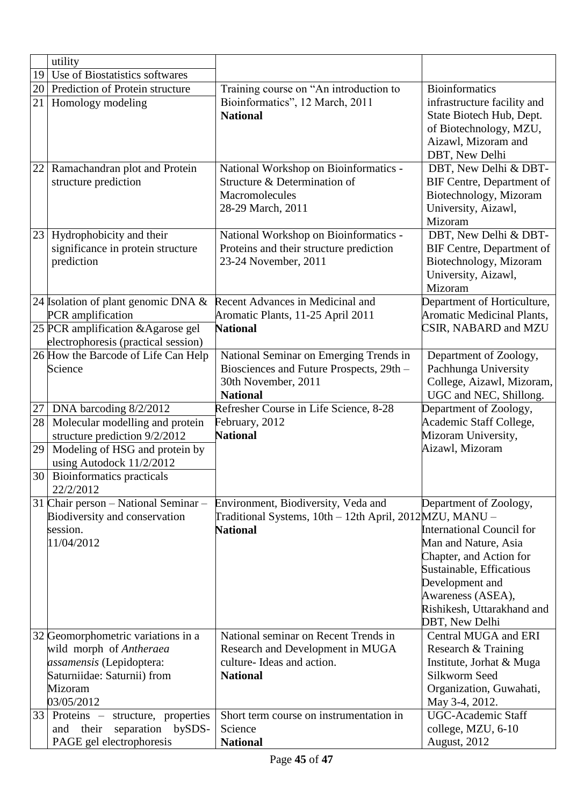|    | utility                                                                            |                                                                       |                                                           |
|----|------------------------------------------------------------------------------------|-----------------------------------------------------------------------|-----------------------------------------------------------|
| 19 | Use of Biostatistics softwares                                                     |                                                                       |                                                           |
| 20 | Prediction of Protein structure                                                    | Training course on "An introduction to                                | <b>Bioinformatics</b>                                     |
| 21 | Homology modeling                                                                  | Bioinformatics", 12 March, 2011                                       | infrastructure facility and                               |
|    |                                                                                    | <b>National</b>                                                       | State Biotech Hub, Dept.                                  |
|    |                                                                                    |                                                                       | of Biotechnology, MZU,                                    |
|    |                                                                                    |                                                                       | Aizawl, Mizoram and                                       |
| 22 |                                                                                    |                                                                       | DBT, New Delhi                                            |
|    | Ramachandran plot and Protein<br>structure prediction                              | National Workshop on Bioinformatics -<br>Structure & Determination of | DBT, New Delhi & DBT-<br><b>BIF Centre, Department of</b> |
|    |                                                                                    | Macromolecules                                                        | Biotechnology, Mizoram                                    |
|    |                                                                                    | 28-29 March, 2011                                                     | University, Aizawl,                                       |
|    |                                                                                    |                                                                       | Mizoram                                                   |
| 23 | Hydrophobicity and their                                                           | National Workshop on Bioinformatics -                                 | DBT, New Delhi & DBT-                                     |
|    | significance in protein structure                                                  | Proteins and their structure prediction                               | BIF Centre, Department of                                 |
|    | prediction                                                                         | 23-24 November, 2011                                                  | Biotechnology, Mizoram                                    |
|    |                                                                                    |                                                                       | University, Aizawl,                                       |
|    |                                                                                    |                                                                       | Mizoram                                                   |
|    | 24 Isolation of plant genomic DNA $\&$                                             | Recent Advances in Medicinal and                                      | Department of Horticulture,                               |
|    | PCR amplification                                                                  | Aromatic Plants, 11-25 April 2011                                     | <b>Aromatic Medicinal Plants,</b>                         |
|    | 25 PCR amplification & Agarose gel                                                 | <b>National</b>                                                       | CSIR, NABARD and MZU                                      |
|    | electrophoresis (practical session)<br>26 How the Barcode of Life Can Help         | National Seminar on Emerging Trends in                                | Department of Zoology,                                    |
|    | Science                                                                            | Biosciences and Future Prospects, 29th -                              | Pachhunga University                                      |
|    |                                                                                    | 30th November, 2011                                                   | College, Aizawl, Mizoram,                                 |
|    |                                                                                    | <b>National</b>                                                       | UGC and NEC, Shillong.                                    |
| 27 | DNA barcoding 8/2/2012                                                             | Refresher Course in Life Science, 8-28                                | Department of Zoology,                                    |
| 28 | Molecular modelling and protein                                                    | February, 2012                                                        | Academic Staff College,                                   |
|    | structure prediction 9/2/2012                                                      | <b>National</b>                                                       | Mizoram University,                                       |
| 29 | Modeling of HSG and protein by                                                     |                                                                       | Aizawl, Mizoram                                           |
|    | using Autodock 11/2/2012                                                           |                                                                       |                                                           |
|    | 30 Bioinformatics practicals<br>22/2/2012                                          |                                                                       |                                                           |
|    | 31 Chair person – National Seminar –                                               | Environment, Biodiversity, Veda and                                   | Department of Zoology,                                    |
|    | Biodiversity and conservation                                                      | Traditional Systems, 10th - 12th April, 2012MZU, MANU -               |                                                           |
|    | session.                                                                           | <b>National</b>                                                       | <b>International Council for</b>                          |
|    | 11/04/2012                                                                         |                                                                       | Man and Nature, Asia                                      |
|    |                                                                                    |                                                                       | Chapter, and Action for                                   |
|    |                                                                                    |                                                                       | Sustainable, Efficatious                                  |
|    |                                                                                    |                                                                       | Development and                                           |
|    |                                                                                    |                                                                       | Awareness (ASEA),                                         |
|    |                                                                                    |                                                                       | Rishikesh, Uttarakhand and                                |
|    |                                                                                    |                                                                       | DBT, New Delhi                                            |
|    | 32 Geomorphometric variations in a                                                 | National seminar on Recent Trends in                                  | Central MUGA and ERI                                      |
|    | wild morph of Antheraea                                                            | Research and Development in MUGA                                      | Research & Training                                       |
|    |                                                                                    |                                                                       |                                                           |
|    | assamensis (Lepidoptera:                                                           | culture- Ideas and action.                                            | Institute, Jorhat & Muga                                  |
|    | Saturniidae: Saturnii) from                                                        | <b>National</b>                                                       | Silkworm Seed                                             |
|    | Mizoram                                                                            |                                                                       | Organization, Guwahati,                                   |
|    | 03/05/2012                                                                         | Short term course on instrumentation in                               | May 3-4, 2012.<br>UGC-Academic Staff                      |
|    | structure, properties<br>$33$ Proteins $-$<br>bySDS-<br>separation<br>and<br>their | Science                                                               | college, MZU, 6-10                                        |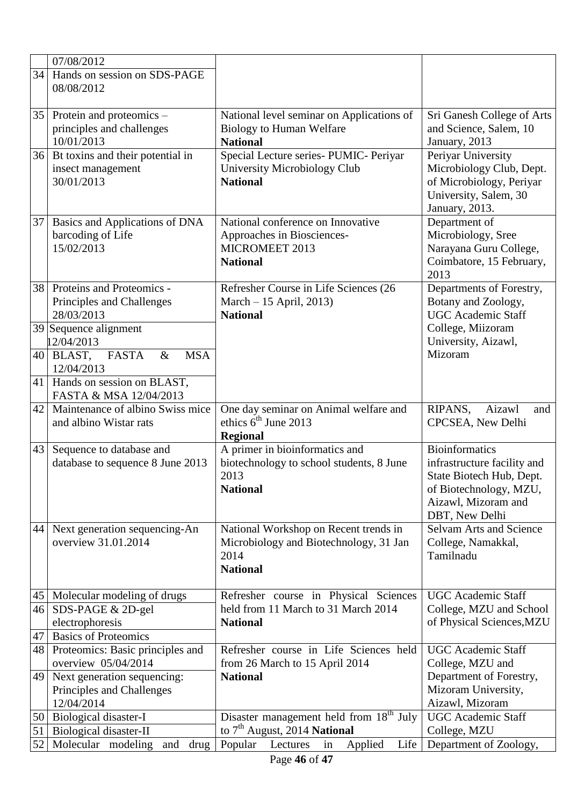|    | 07/08/2012                                                               |                                                                                                            |                                                                                                                                              |
|----|--------------------------------------------------------------------------|------------------------------------------------------------------------------------------------------------|----------------------------------------------------------------------------------------------------------------------------------------------|
| 34 | Hands on session on SDS-PAGE<br>08/08/2012                               |                                                                                                            |                                                                                                                                              |
|    | $35$ Protein and proteomics –<br>principles and challenges<br>10/01/2013 | National level seminar on Applications of<br><b>Biology to Human Welfare</b><br><b>National</b>            | Sri Ganesh College of Arts<br>and Science, Salem, 10<br>January, 2013                                                                        |
|    | 36 Bt toxins and their potential in<br>insect management<br>30/01/2013   | Special Lecture series- PUMIC- Periyar<br>University Microbiology Club<br><b>National</b>                  | Periyar University<br>Microbiology Club, Dept.<br>of Microbiology, Periyar<br>University, Salem, 30<br>January, 2013.                        |
| 37 | Basics and Applications of DNA<br>barcoding of Life<br>15/02/2013        | National conference on Innovative<br>Approaches in Biosciences-<br>MICROMEET 2013<br><b>National</b>       | Department of<br>Microbiology, Sree<br>Narayana Guru College,<br>Coimbatore, 15 February,<br>2013                                            |
| 38 | Proteins and Proteomics -<br>Principles and Challenges<br>28/03/2013     | Refresher Course in Life Sciences (26<br>March - 15 April, 2013)<br><b>National</b>                        | Departments of Forestry,<br>Botany and Zoology,<br><b>UGC</b> Academic Staff                                                                 |
|    | 39 Sequence alignment<br>12/04/2013                                      |                                                                                                            | College, Miizoram<br>University, Aizawl,                                                                                                     |
|    | $40$ BLAST,<br><b>FASTA</b><br><b>MSA</b><br>$\&$<br>12/04/2013          |                                                                                                            | Mizoram                                                                                                                                      |
|    | 41 Hands on session on BLAST,<br>FASTA & MSA 12/04/2013                  |                                                                                                            |                                                                                                                                              |
| 42 | Maintenance of albino Swiss mice<br>and albino Wistar rats               | One day seminar on Animal welfare and<br>ethics $6^{\text{th}}$ June 2013<br><b>Regional</b>               | RIPANS,<br>Aizawl<br>and<br>CPCSEA, New Delhi                                                                                                |
| 43 | Sequence to database and<br>database to sequence 8 June 2013             | A primer in bioinformatics and<br>biotechnology to school students, 8 June<br>2013<br><b>National</b>      | Bioinformatics<br>infrastructure facility and<br>State Biotech Hub, Dept.<br>of Biotechnology, MZU,<br>Aizawl, Mizoram and<br>DBT, New Delhi |
| 44 | Next generation sequencing-An<br>overview 31.01.2014                     | National Workshop on Recent trends in<br>Microbiology and Biotechnology, 31 Jan<br>2014<br><b>National</b> | Selvam Arts and Science<br>College, Namakkal,<br>Tamilnadu                                                                                   |
| 45 | Molecular modeling of drugs                                              | Refresher course in Physical Sciences                                                                      | <b>UGC</b> Academic Staff                                                                                                                    |
|    | 46 SDS-PAGE & 2D-gel                                                     | held from 11 March to 31 March 2014                                                                        | College, MZU and School                                                                                                                      |
| 47 | electrophoresis<br><b>Basics of Proteomics</b>                           | <b>National</b>                                                                                            | of Physical Sciences, MZU                                                                                                                    |
| 48 | Proteomics: Basic principles and                                         | Refresher course in Life Sciences held                                                                     | <b>UGC Academic Staff</b>                                                                                                                    |
|    | overview 05/04/2014                                                      | from 26 March to 15 April 2014                                                                             | College, MZU and                                                                                                                             |
| 49 | Next generation sequencing:<br>Principles and Challenges<br>12/04/2014   | <b>National</b>                                                                                            | Department of Forestry,<br>Mizoram University,<br>Aizawl, Mizoram                                                                            |
| 50 | Biological disaster-I                                                    | Disaster management held from 18 <sup>th</sup> July                                                        | <b>UGC</b> Academic Staff                                                                                                                    |
| 51 | Biological disaster-II                                                   | to 7 <sup>th</sup> August, 2014 National                                                                   | College, MZU                                                                                                                                 |
| 52 | Molecular modeling<br>and<br>drug                                        | Life<br>Applied<br>Popular<br>Lectures<br>in                                                               | Department of Zoology,                                                                                                                       |